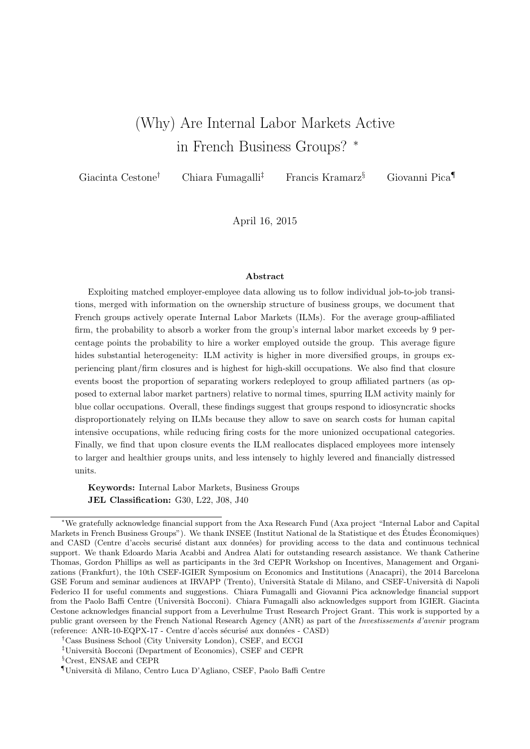# (Why) Are Internal Labor Markets Active in French Business Groups? <sup>∗</sup>

Giacinta Cestone† Chiara Fumagalli‡ Francis Kramarz§ Giovanni Pica¶

April 16, 2015

#### Abstract

Exploiting matched employer-employee data allowing us to follow individual job-to-job transitions, merged with information on the ownership structure of business groups, we document that French groups actively operate Internal Labor Markets (ILMs). For the average group-affiliated firm, the probability to absorb a worker from the group's internal labor market exceeds by 9 percentage points the probability to hire a worker employed outside the group. This average figure hides substantial heterogeneity: ILM activity is higher in more diversified groups, in groups experiencing plant/firm closures and is highest for high-skill occupations. We also find that closure events boost the proportion of separating workers redeployed to group affiliated partners (as opposed to external labor market partners) relative to normal times, spurring ILM activity mainly for blue collar occupations. Overall, these findings suggest that groups respond to idiosyncratic shocks disproportionately relying on ILMs because they allow to save on search costs for human capital intensive occupations, while reducing firing costs for the more unionized occupational categories. Finally, we find that upon closure events the ILM reallocates displaced employees more intensely to larger and healthier groups units, and less intensely to highly levered and financially distressed units.

Keywords: Internal Labor Markets, Business Groups JEL Classification: G30, L22, J08, J40

<sup>∗</sup>We gratefully acknowledge financial support from the Axa Research Fund (Axa project "Internal Labor and Capital Markets in French Business Groups"). We thank INSEE (Institut National de la Statistique et des Études Économiques) and CASD (Centre d'accès securisé distant aux données) for providing access to the data and continuous technical support. We thank Edoardo Maria Acabbi and Andrea Alati for outstanding research assistance. We thank Catherine Thomas, Gordon Phillips as well as participants in the 3rd CEPR Workshop on Incentives, Management and Organizations (Frankfurt), the 10th CSEF-IGIER Symposium on Economics and Institutions (Anacapri), the 2014 Barcelona GSE Forum and seminar audiences at IRVAPP (Trento), Università Statale di Milano, and CSEF-Università di Napoli Federico II for useful comments and suggestions. Chiara Fumagalli and Giovanni Pica acknowledge financial support from the Paolo Baffi Centre (Università Bocconi). Chiara Fumagalli also acknowledges support from IGIER. Giacinta Cestone acknowledges financial support from a Leverhulme Trust Research Project Grant. This work is supported by a public grant overseen by the French National Research Agency (ANR) as part of the Investissements d'avenir program (reference: ANR-10-EQPX-17 - Centre d'accès sécurisé aux données - CASD)

<sup>†</sup>Cass Business School (City University London), CSEF, and ECGI

<sup>&</sup>lt;sup>‡</sup>Università Bocconi (Department of Economics), CSEF and CEPR

<sup>§</sup>Crest, ENSAE and CEPR

<sup>¶</sup>Universit`a di Milano, Centro Luca D'Agliano, CSEF, Paolo Baffi Centre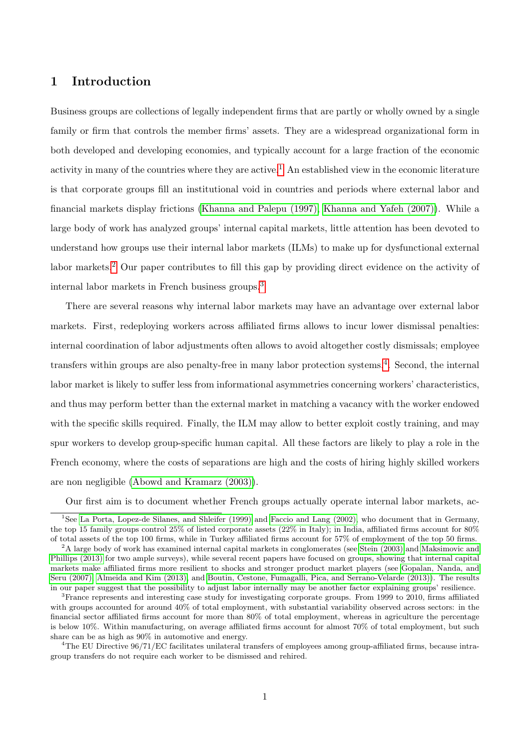# 1 Introduction

Business groups are collections of legally independent firms that are partly or wholly owned by a single family or firm that controls the member firms' assets. They are a widespread organizational form in both developed and developing economies, and typically account for a large fraction of the economic activity in many of the countries where they are active.<sup>[1](#page-1-0)</sup> An established view in the economic literature is that corporate groups fill an institutional void in countries and periods where external labor and financial markets display frictions [\(Khanna and Palepu \(1997\),](#page-28-0) [Khanna and Yafeh \(2007\)\)](#page-28-1). While a large body of work has analyzed groups' internal capital markets, little attention has been devoted to understand how groups use their internal labor markets (ILMs) to make up for dysfunctional external labor markets.[2](#page-1-1) Our paper contributes to fill this gap by providing direct evidence on the activity of internal labor markets in French business groups.[3](#page-1-2)

There are several reasons why internal labor markets may have an advantage over external labor markets. First, redeploying workers across affiliated firms allows to incur lower dismissal penalties: internal coordination of labor adjustments often allows to avoid altogether costly dismissals; employee transfers within groups are also penalty-free in many labor protection systems.<sup>[4](#page-1-3)</sup>. Second, the internal labor market is likely to suffer less from informational asymmetries concerning workers' characteristics, and thus may perform better than the external market in matching a vacancy with the worker endowed with the specific skills required. Finally, the ILM may allow to better exploit costly training, and may spur workers to develop group-specific human capital. All these factors are likely to play a role in the French economy, where the costs of separations are high and the costs of hiring highly skilled workers are non negligible [\(Abowd and Kramarz \(2003\)\)](#page-27-0).

<span id="page-1-0"></span>Our first aim is to document whether French groups actually operate internal labor markets, ac-

<span id="page-1-3"></span><sup>4</sup>The EU Directive 96/71/EC facilitates unilateral transfers of employees among group-affiliated firms, because intragroup transfers do not require each worker to be dismissed and rehired.

<sup>1</sup>See [La Porta, Lopez-de Silanes, and Shleifer \(1999\)](#page-28-2) and [Faccio and Lang \(2002\),](#page-27-1) who document that in Germany, the top 15 family groups control 25% of listed corporate assets (22% in Italy); in India, affiliated firms account for 80% of total assets of the top 100 firms, while in Turkey affiliated firms account for 57% of employment of the top 50 firms.

<span id="page-1-1"></span><sup>&</sup>lt;sup>2</sup>A large body of work has examined internal capital markets in conglomerates (see [Stein \(2003\)](#page-29-0) and [Maksimovic and](#page-28-3) [Phillips \(2013\)](#page-28-3) for two ample surveys), while several recent papers have focused on groups, showing that internal capital markets make affiliated firms more resilient to shocks and stronger product market players (see [Gopalan, Nanda, and](#page-27-2) [Seru \(2007\),](#page-27-2) [Almeida and Kim \(2013\),](#page-27-3) and [Boutin, Cestone, Fumagalli, Pica, and Serrano-Velarde \(2013\)\)](#page-27-4). The results in our paper suggest that the possibility to adjust labor internally may be another factor explaining groups' resilience.

<span id="page-1-2"></span><sup>3</sup>France represents and interesting case study for investigating corporate groups. From 1999 to 2010, firms affiliated with groups accounted for around  $40\%$  of total employment, with substantial variability observed across sectors: in the financial sector affiliated firms account for more than 80% of total employment, whereas in agriculture the percentage is below 10%. Within manufacturing, on average affiliated firms account for almost 70% of total employment, but such share can be as high as 90% in automotive and energy.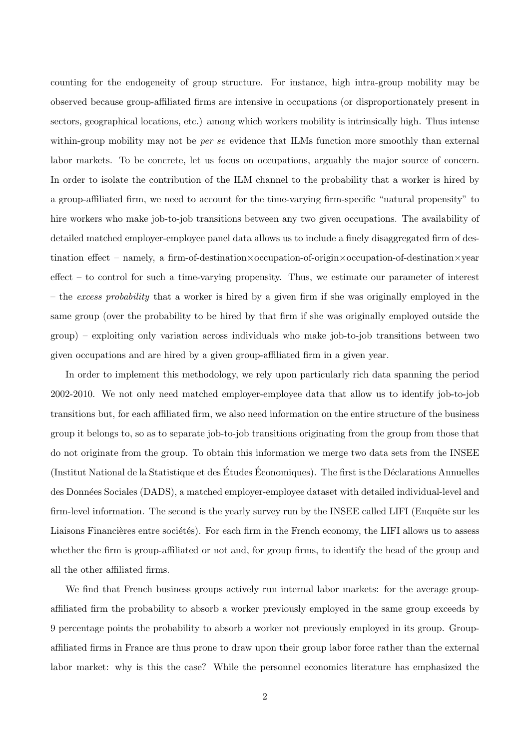counting for the endogeneity of group structure. For instance, high intra-group mobility may be observed because group-affiliated firms are intensive in occupations (or disproportionately present in sectors, geographical locations, etc.) among which workers mobility is intrinsically high. Thus intense within-group mobility may not be *per se* evidence that ILMs function more smoothly than external labor markets. To be concrete, let us focus on occupations, arguably the major source of concern. In order to isolate the contribution of the ILM channel to the probability that a worker is hired by a group-affiliated firm, we need to account for the time-varying firm-specific "natural propensity" to hire workers who make job-to-job transitions between any two given occupations. The availability of detailed matched employer-employee panel data allows us to include a finely disaggregated firm of destination effect – namely, a firm-of-destination×occupation-of-origin×occupation-of-destination×year effect – to control for such a time-varying propensity. Thus, we estimate our parameter of interest – the excess probability that a worker is hired by a given firm if she was originally employed in the same group (over the probability to be hired by that firm if she was originally employed outside the group) – exploiting only variation across individuals who make job-to-job transitions between two given occupations and are hired by a given group-affiliated firm in a given year.

In order to implement this methodology, we rely upon particularly rich data spanning the period 2002-2010. We not only need matched employer-employee data that allow us to identify job-to-job transitions but, for each affiliated firm, we also need information on the entire structure of the business group it belongs to, so as to separate job-to-job transitions originating from the group from those that do not originate from the group. To obtain this information we merge two data sets from the INSEE (Institut National de la Statistique et des Études Économiques). The first is the Déclarations Annuelles des Données Sociales (DADS), a matched employer-employee dataset with detailed individual-level and firm-level information. The second is the yearly survey run by the INSEE called LIFI (Enquête sur les Liaisons Financières entre sociétés). For each firm in the French economy, the LIFI allows us to assess whether the firm is group-affiliated or not and, for group firms, to identify the head of the group and all the other affiliated firms.

We find that French business groups actively run internal labor markets: for the average groupaffiliated firm the probability to absorb a worker previously employed in the same group exceeds by 9 percentage points the probability to absorb a worker not previously employed in its group. Groupaffiliated firms in France are thus prone to draw upon their group labor force rather than the external labor market: why is this the case? While the personnel economics literature has emphasized the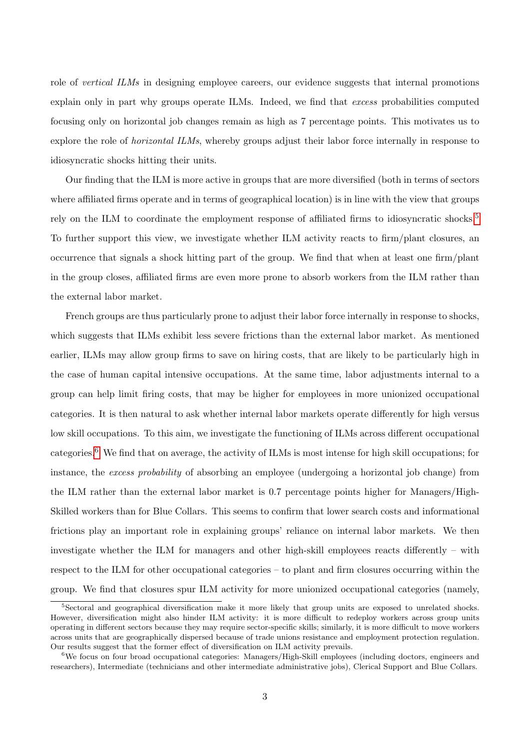role of vertical ILMs in designing employee careers, our evidence suggests that internal promotions explain only in part why groups operate ILMs. Indeed, we find that excess probabilities computed focusing only on horizontal job changes remain as high as 7 percentage points. This motivates us to explore the role of horizontal ILMs, whereby groups adjust their labor force internally in response to idiosyncratic shocks hitting their units.

Our finding that the ILM is more active in groups that are more diversified (both in terms of sectors where affiliated firms operate and in terms of geographical location) is in line with the view that groups rely on the ILM to coordinate the employment response of affiliated firms to idiosyncratic shocks.<sup>[5](#page-3-0)</sup> To further support this view, we investigate whether ILM activity reacts to firm/plant closures, an occurrence that signals a shock hitting part of the group. We find that when at least one firm/plant in the group closes, affiliated firms are even more prone to absorb workers from the ILM rather than the external labor market.

French groups are thus particularly prone to adjust their labor force internally in response to shocks, which suggests that ILMs exhibit less severe frictions than the external labor market. As mentioned earlier, ILMs may allow group firms to save on hiring costs, that are likely to be particularly high in the case of human capital intensive occupations. At the same time, labor adjustments internal to a group can help limit firing costs, that may be higher for employees in more unionized occupational categories. It is then natural to ask whether internal labor markets operate differently for high versus low skill occupations. To this aim, we investigate the functioning of ILMs across different occupational categories.[6](#page-3-1) We find that on average, the activity of ILMs is most intense for high skill occupations; for instance, the *excess probability* of absorbing an employee (undergoing a horizontal job change) from the ILM rather than the external labor market is 0.7 percentage points higher for Managers/High-Skilled workers than for Blue Collars. This seems to confirm that lower search costs and informational frictions play an important role in explaining groups' reliance on internal labor markets. We then investigate whether the ILM for managers and other high-skill employees reacts differently – with respect to the ILM for other occupational categories – to plant and firm closures occurring within the group. We find that closures spur ILM activity for more unionized occupational categories (namely,

<span id="page-3-0"></span><sup>5</sup>Sectoral and geographical diversification make it more likely that group units are exposed to unrelated shocks. However, diversification might also hinder ILM activity: it is more difficult to redeploy workers across group units operating in different sectors because they may require sector-specific skills; similarly, it is more difficult to move workers across units that are geographically dispersed because of trade unions resistance and employment protection regulation. Our results suggest that the former effect of diversification on ILM activity prevails.

<span id="page-3-1"></span><sup>6</sup>We focus on four broad occupational categories: Managers/High-Skill employees (including doctors, engineers and researchers), Intermediate (technicians and other intermediate administrative jobs), Clerical Support and Blue Collars.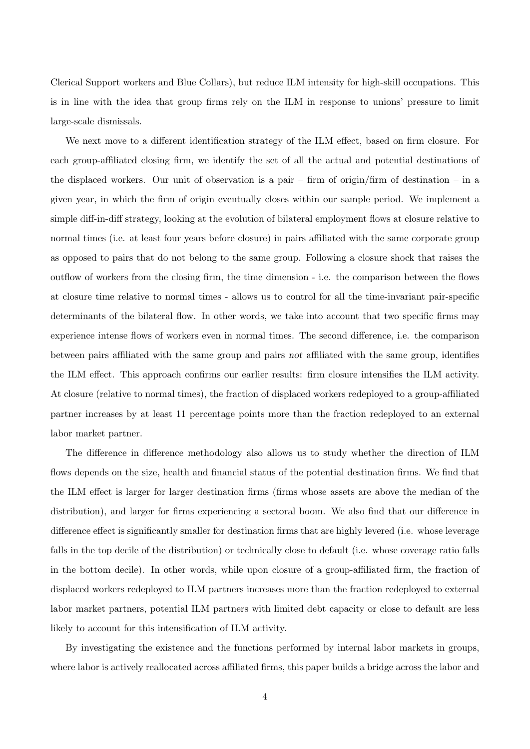Clerical Support workers and Blue Collars), but reduce ILM intensity for high-skill occupations. This is in line with the idea that group firms rely on the ILM in response to unions' pressure to limit large-scale dismissals.

We next move to a different identification strategy of the ILM effect, based on firm closure. For each group-affiliated closing firm, we identify the set of all the actual and potential destinations of the displaced workers. Our unit of observation is a pair – firm of origin/firm of destination – in a given year, in which the firm of origin eventually closes within our sample period. We implement a simple diff-in-diff strategy, looking at the evolution of bilateral employment flows at closure relative to normal times (i.e. at least four years before closure) in pairs affiliated with the same corporate group as opposed to pairs that do not belong to the same group. Following a closure shock that raises the outflow of workers from the closing firm, the time dimension - i.e. the comparison between the flows at closure time relative to normal times - allows us to control for all the time-invariant pair-specific determinants of the bilateral flow. In other words, we take into account that two specific firms may experience intense flows of workers even in normal times. The second difference, i.e. the comparison between pairs affiliated with the same group and pairs not affiliated with the same group, identifies the ILM effect. This approach confirms our earlier results: firm closure intensifies the ILM activity. At closure (relative to normal times), the fraction of displaced workers redeployed to a group-affiliated partner increases by at least 11 percentage points more than the fraction redeployed to an external labor market partner.

The difference in difference methodology also allows us to study whether the direction of ILM flows depends on the size, health and financial status of the potential destination firms. We find that the ILM effect is larger for larger destination firms (firms whose assets are above the median of the distribution), and larger for firms experiencing a sectoral boom. We also find that our difference in difference effect is significantly smaller for destination firms that are highly levered (i.e. whose leverage falls in the top decile of the distribution) or technically close to default (i.e. whose coverage ratio falls in the bottom decile). In other words, while upon closure of a group-affiliated firm, the fraction of displaced workers redeployed to ILM partners increases more than the fraction redeployed to external labor market partners, potential ILM partners with limited debt capacity or close to default are less likely to account for this intensification of ILM activity.

By investigating the existence and the functions performed by internal labor markets in groups, where labor is actively reallocated across affiliated firms, this paper builds a bridge across the labor and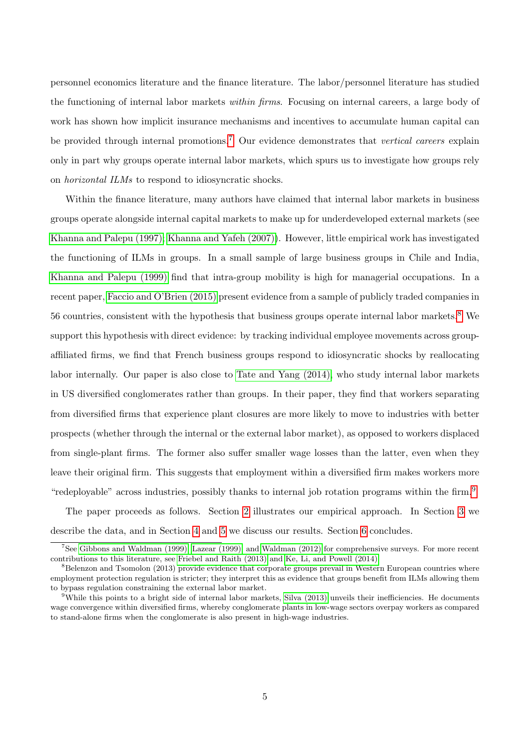personnel economics literature and the finance literature. The labor/personnel literature has studied the functioning of internal labor markets within firms. Focusing on internal careers, a large body of work has shown how implicit insurance mechanisms and incentives to accumulate human capital can be provided through internal promotions.<sup>[7](#page-5-0)</sup> Our evidence demonstrates that vertical careers explain only in part why groups operate internal labor markets, which spurs us to investigate how groups rely on horizontal ILMs to respond to idiosyncratic shocks.

Within the finance literature, many authors have claimed that internal labor markets in business groups operate alongside internal capital markets to make up for underdeveloped external markets (see [Khanna and Palepu \(1997\);](#page-28-0) [Khanna and Yafeh \(2007\)\)](#page-28-1). However, little empirical work has investigated the functioning of ILMs in groups. In a small sample of large business groups in Chile and India, [Khanna and Palepu \(1999\)](#page-28-4) find that intra-group mobility is high for managerial occupations. In a recent paper, [Faccio and O'Brien \(2015\)](#page-27-5) present evidence from a sample of publicly traded companies in 56 countries, consistent with the hypothesis that business groups operate internal labor markets.[8](#page-5-1) We support this hypothesis with direct evidence: by tracking individual employee movements across groupaffiliated firms, we find that French business groups respond to idiosyncratic shocks by reallocating labor internally. Our paper is also close to [Tate and Yang \(2014\),](#page-29-1) who study internal labor markets in US diversified conglomerates rather than groups. In their paper, they find that workers separating from diversified firms that experience plant closures are more likely to move to industries with better prospects (whether through the internal or the external labor market), as opposed to workers displaced from single-plant firms. The former also suffer smaller wage losses than the latter, even when they leave their original firm. This suggests that employment within a diversified firm makes workers more "redeployable" across industries, possibly thanks to internal job rotation programs within the firm.<sup>[9](#page-5-2)</sup>

The paper proceeds as follows. Section [2](#page-6-0) illustrates our empirical approach. In Section [3](#page-10-0) we describe the data, and in Section [4](#page-13-0) and [5](#page-21-0) we discuss our results. Section [6](#page-26-0) concludes.

<span id="page-5-0"></span><sup>7</sup>See [Gibbons and Waldman \(1999\),](#page-27-6) [Lazear \(1999\),](#page-28-5) and [Waldman \(2012\)](#page-29-2) for comprehensive surveys. For more recent contributions to this literature, see [Friebel and Raith \(2013\)](#page-27-7) and [Ke, Li, and Powell \(2014\).](#page-28-6)

<span id="page-5-1"></span><sup>&</sup>lt;sup>8</sup>Belenzon and Tsomolon (2013) provide evidence that corporate groups prevail in Western European countries where employment protection regulation is stricter; they interpret this as evidence that groups benefit from ILMs allowing them to bypass regulation constraining the external labor market.

<span id="page-5-2"></span> $9$ While this points to a bright side of internal labor markets, [Silva \(2013\)](#page-28-7) unveils their inefficiencies. He documents wage convergence within diversified firms, whereby conglomerate plants in low-wage sectors overpay workers as compared to stand-alone firms when the conglomerate is also present in high-wage industries.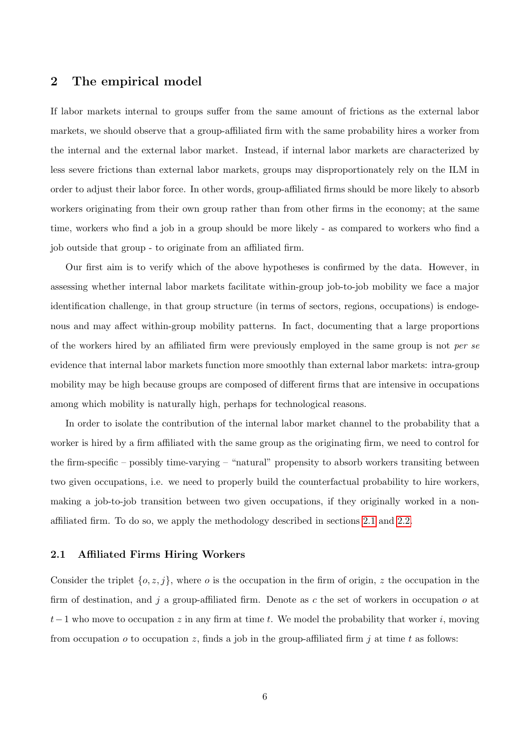# <span id="page-6-0"></span>2 The empirical model

If labor markets internal to groups suffer from the same amount of frictions as the external labor markets, we should observe that a group-affiliated firm with the same probability hires a worker from the internal and the external labor market. Instead, if internal labor markets are characterized by less severe frictions than external labor markets, groups may disproportionately rely on the ILM in order to adjust their labor force. In other words, group-affiliated firms should be more likely to absorb workers originating from their own group rather than from other firms in the economy; at the same time, workers who find a job in a group should be more likely - as compared to workers who find a job outside that group - to originate from an affiliated firm.

Our first aim is to verify which of the above hypotheses is confirmed by the data. However, in assessing whether internal labor markets facilitate within-group job-to-job mobility we face a major identification challenge, in that group structure (in terms of sectors, regions, occupations) is endogenous and may affect within-group mobility patterns. In fact, documenting that a large proportions of the workers hired by an affiliated firm were previously employed in the same group is not per se evidence that internal labor markets function more smoothly than external labor markets: intra-group mobility may be high because groups are composed of different firms that are intensive in occupations among which mobility is naturally high, perhaps for technological reasons.

In order to isolate the contribution of the internal labor market channel to the probability that a worker is hired by a firm affiliated with the same group as the originating firm, we need to control for the firm-specific – possibly time-varying – "natural" propensity to absorb workers transiting between two given occupations, i.e. we need to properly build the counterfactual probability to hire workers, making a job-to-job transition between two given occupations, if they originally worked in a nonaffiliated firm. To do so, we apply the methodology described in sections [2.1](#page-6-1) and [2.2.](#page-8-0)

#### <span id="page-6-1"></span>2.1 Affiliated Firms Hiring Workers

Consider the triplet  $\{o, z, j\}$ , where  $o$  is the occupation in the firm of origin, z the occupation in the firm of destination, and j a group-affiliated firm. Denote as c the set of workers in occupation  $o$  at  $t-1$  who move to occupation z in any firm at time t. We model the probability that worker i, moving from occupation *o* to occupation *z*, finds a job in the group-affiliated firm *j* at time *t* as follows: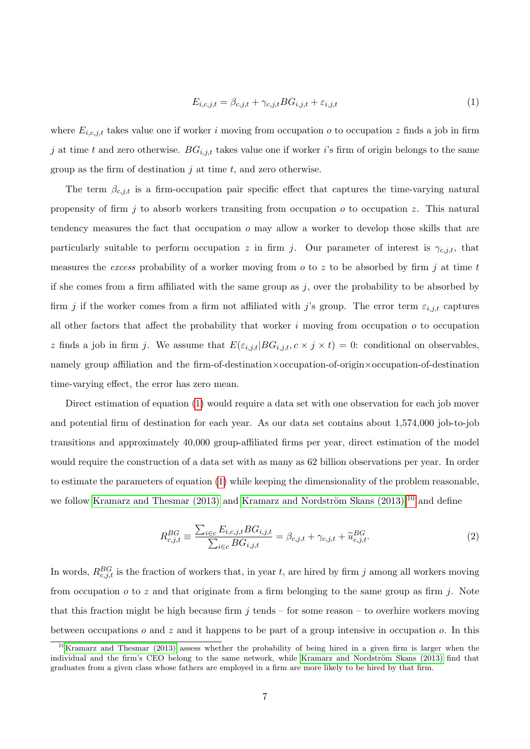<span id="page-7-0"></span>
$$
E_{i,c,j,t} = \beta_{c,j,t} + \gamma_{c,j,t} BG_{i,j,t} + \varepsilon_{i,j,t}
$$
\n
$$
\tag{1}
$$

where  $E_{i,c,j,t}$  takes value one if worker i moving from occupation o to occupation z finds a job in firm j at time t and zero otherwise.  $BG_{i,j,t}$  takes value one if worker i's firm of origin belongs to the same group as the firm of destination  $j$  at time  $t$ , and zero otherwise.

The term  $\beta_{c,i,t}$  is a firm-occupation pair specific effect that captures the time-varying natural propensity of firm  $j$  to absorb workers transiting from occupation  $o$  to occupation  $z$ . This natural tendency measures the fact that occupation o may allow a worker to develop those skills that are particularly suitable to perform occupation z in firm j. Our parameter of interest is  $\gamma_{c,i,t}$ , that measures the excess probability of a worker moving from  $o$  to  $z$  to be absorbed by firm  $j$  at time  $t$ if she comes from a firm affiliated with the same group as  $j$ , over the probability to be absorbed by firm j if the worker comes from a firm not affiliated with j's group. The error term  $\varepsilon_{i,j,t}$  captures all other factors that affect the probability that worker  $i$  moving from occupation  $o$  to occupation z finds a job in firm j. We assume that  $E(\varepsilon_{i,j,t}|BG_{i,j,t}, c \times j \times t) = 0$ : conditional on observables, namely group affiliation and the firm-of-destination×occupation-of-origin×occupation-of-destination time-varying effect, the error has zero mean.

Direct estimation of equation [\(1\)](#page-7-0) would require a data set with one observation for each job mover and potential firm of destination for each year. As our data set contains about 1,574,000 job-to-job transitions and approximately 40,000 group-affiliated firms per year, direct estimation of the model would require the construction of a data set with as many as 62 billion observations per year. In order to estimate the parameters of equation [\(1\)](#page-7-0) while keeping the dimensionality of the problem reasonable, we follow [Kramarz and Thesmar \(2013\)](#page-28-8) and Kramarz and Nordström Skans (2013),<sup>[10](#page-7-1)</sup> and define

<span id="page-7-2"></span>
$$
R_{c,j,t}^{BG} \equiv \frac{\sum_{i \in c} E_{i,c,j,t} BG_{i,j,t}}{\sum_{i \in c} BG_{i,j,t}} = \beta_{c,j,t} + \gamma_{c,j,t} + \widetilde{u}_{c,j,t}^{BG}.
$$
 (2)

In words,  $R_{c,j,t}^{BG}$  is the fraction of workers that, in year t, are hired by firm j among all workers moving from occupation  $\sigma$  to z and that originate from a firm belonging to the same group as firm j. Note that this fraction might be high because firm  $j$  tends – for some reason – to overhire workers moving between occupations  $o$  and  $z$  and it happens to be part of a group intensive in occupation  $o$ . In this

<span id="page-7-1"></span><sup>10</sup>[Kramarz and Thesmar \(2013\)](#page-28-8) assess whether the probability of being hired in a given firm is larger when the individual and the firm's CEO belong to the same network, while Kramarz and Nordström Skans (2013) find that graduates from a given class whose fathers are employed in a firm are more likely to be hired by that firm.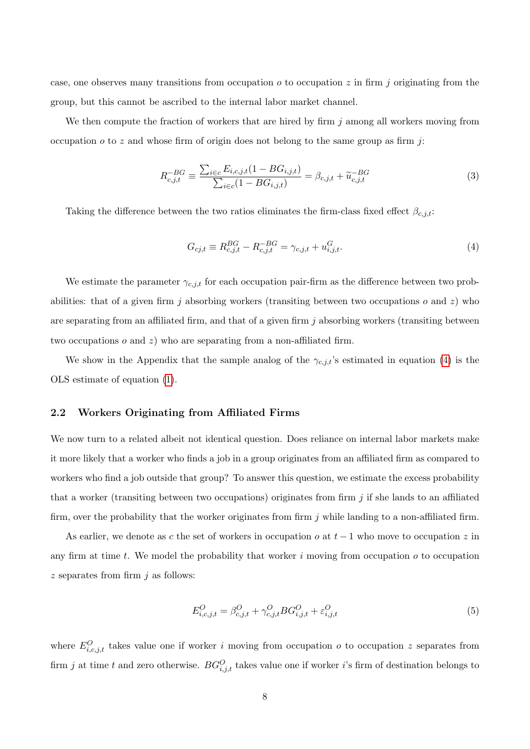case, one observes many transitions from occupation  $o$  to occupation  $z$  in firm  $j$  originating from the group, but this cannot be ascribed to the internal labor market channel.

We then compute the fraction of workers that are hired by firm  $j$  among all workers moving from occupation  $o$  to z and whose firm of origin does not belong to the same group as firm j:

<span id="page-8-3"></span>
$$
R_{c,j,t}^{-BG} \equiv \frac{\sum_{i \in c} E_{i,c,j,t} (1 - BG_{i,j,t})}{\sum_{i \in c} (1 - BG_{i,j,t})} = \beta_{c,j,t} + \widetilde{u}_{c,j,t}^{-BG}
$$
(3)

Taking the difference between the two ratios eliminates the firm-class fixed effect  $\beta_{c,j,t}$ :

<span id="page-8-1"></span>
$$
G_{cj,t} \equiv R_{c,j,t}^{BG} - R_{c,j,t}^{-BG} = \gamma_{c,j,t} + u_{i,j,t}^G.
$$
\n(4)

We estimate the parameter  $\gamma_{c,j,t}$  for each occupation pair-firm as the difference between two probabilities: that of a given firm j absorbing workers (transiting between two occupations o and z) who are separating from an affiliated firm, and that of a given firm  $j$  absorbing workers (transiting between two occupations  $o$  and  $z$ ) who are separating from a non-affiliated firm.

We show in the Appendix that the sample analog of the  $\gamma_{c,j,t}$ 's estimated in equation [\(4\)](#page-8-1) is the OLS estimate of equation [\(1\)](#page-7-0).

#### <span id="page-8-0"></span>2.2 Workers Originating from Affiliated Firms

We now turn to a related albeit not identical question. Does reliance on internal labor markets make it more likely that a worker who finds a job in a group originates from an affiliated firm as compared to workers who find a job outside that group? To answer this question, we estimate the excess probability that a worker (transiting between two occupations) originates from firm  $j$  if she lands to an affiliated firm, over the probability that the worker originates from firm  $j$  while landing to a non-affiliated firm.

As earlier, we denote as c the set of workers in occupation  $o$  at  $t-1$  who move to occupation z in any firm at time t. We model the probability that worker i moving from occupation  $o$  to occupation  $z$  separates from firm  $i$  as follows:

<span id="page-8-2"></span>
$$
E_{i,c,j,t}^{O} = \beta_{c,j,t}^{O} + \gamma_{c,j,t}^{O} BG_{i,j,t}^{O} + \varepsilon_{i,j,t}^{O}
$$
\n(5)

where  $E_{i,c,j,t}^{O}$  takes value one if worker i moving from occupation o to occupation z separates from firm j at time t and zero otherwise.  $BG_{i,j,t}^O$  takes value one if worker i's firm of destination belongs to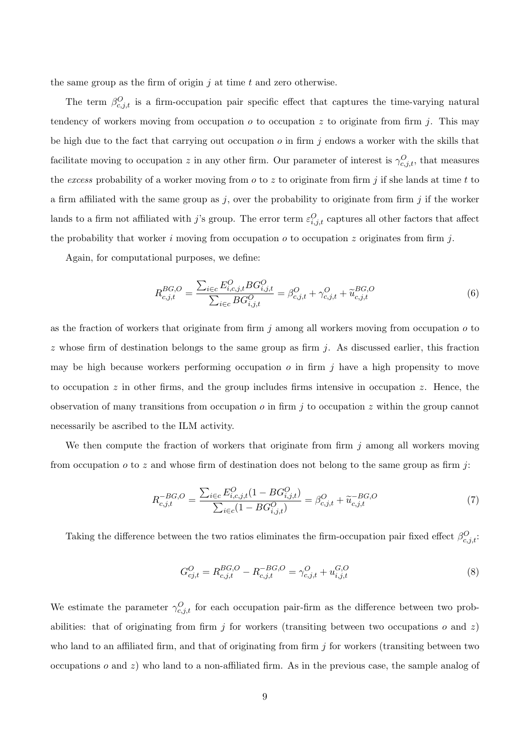the same group as the firm of origin  $j$  at time  $t$  and zero otherwise.

The term  $\beta_{c,j,t}^{O}$  is a firm-occupation pair specific effect that captures the time-varying natural tendency of workers moving from occupation  $o$  to occupation  $z$  to originate from firm  $j$ . This may be high due to the fact that carrying out occupation  $o$  in firm  $j$  endows a worker with the skills that facilitate moving to occupation z in any other firm. Our parameter of interest is  $\gamma_{c,j,t}^O$ , that measures the excess probability of a worker moving from  $o$  to  $z$  to originate from firm  $j$  if she lands at time  $t$  to a firm affiliated with the same group as  $j$ , over the probability to originate from firm  $j$  if the worker lands to a firm not affiliated with j's group. The error term  $\varepsilon_{i,j,t}^O$  captures all other factors that affect the probability that worker i moving from occupation  $o$  to occupation z originates from firm j.

Again, for computational purposes, we define:

$$
R_{c,j,t}^{BG,O} = \frac{\sum_{i \in c} E_{i,c,j,t}^{O} BG_{i,j,t}^{O}}{\sum_{i \in c} BG_{i,j,t}^{O}} = \beta_{c,j,t}^{O} + \gamma_{c,j,t}^{O} + \tilde{u}_{c,j,t}^{BG,O}
$$
(6)

as the fraction of workers that originate from firm  $j$  among all workers moving from occupation  $o$  to  $z$  whose firm of destination belongs to the same group as firm j. As discussed earlier, this fraction may be high because workers performing occupation  $o$  in firm  $j$  have a high propensity to move to occupation z in other firms, and the group includes firms intensive in occupation z. Hence, the observation of many transitions from occupation  $o$  in firm  $j$  to occupation  $z$  within the group cannot necessarily be ascribed to the ILM activity.

We then compute the fraction of workers that originate from firm  $j$  among all workers moving from occupation  $o$  to  $z$  and whose firm of destination does not belong to the same group as firm j:

$$
R_{c,j,t}^{-BG,O} = \frac{\sum_{i \in c} E_{i,c,j,t}^{O}(1 - BG_{i,j,t}^{O})}{\sum_{i \in c} (1 - BG_{i,j,t}^{O})} = \beta_{c,j,t}^{O} + \widetilde{u}_{c,j,t}^{-BG,O}
$$
(7)

Taking the difference between the two ratios eliminates the firm-occupation pair fixed effect  $\beta_{c,j,t}^{O}$ .

<span id="page-9-0"></span>
$$
G_{cj,t}^{O} = R_{c,j,t}^{BG,O} - R_{c,j,t}^{-BG,O} = \gamma_{c,j,t}^{O} + u_{i,j,t}^{G,O}
$$
\n(8)

We estimate the parameter  $\gamma_{c,j,t}^O$  for each occupation pair-firm as the difference between two probabilities: that of originating from firm  $j$  for workers (transiting between two occupations  $o$  and  $z$ ) who land to an affiliated firm, and that of originating from firm  $j$  for workers (transiting between two occupations  $o$  and  $z$ ) who land to a non-affiliated firm. As in the previous case, the sample analog of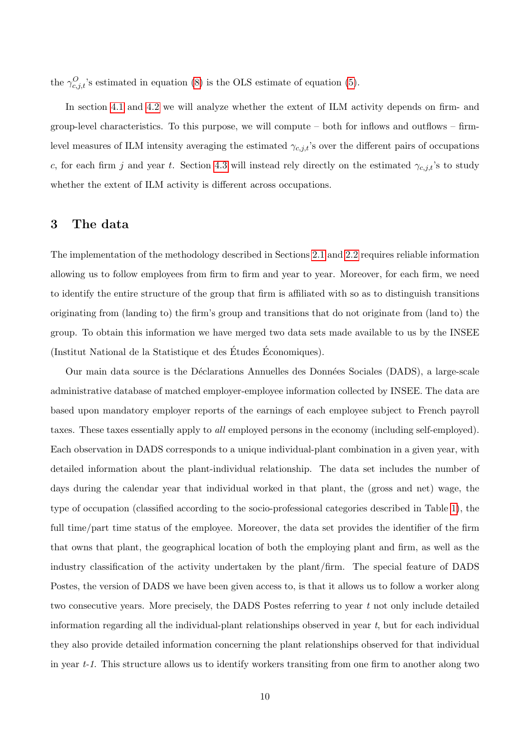the  $\gamma_{c,j,t}^O$ 's estimated in equation [\(8\)](#page-9-0) is the OLS estimate of equation [\(5\)](#page-8-2).

In section [4.1](#page-15-0) and [4.2](#page-17-0) we will analyze whether the extent of ILM activity depends on firm- and group-level characteristics. To this purpose, we will compute – both for inflows and outflows – firmlevel measures of ILM intensity averaging the estimated  $\gamma_{c,j,t}$ 's over the different pairs of occupations c, for each firm j and year t. Section [4.3](#page-19-0) will instead rely directly on the estimated  $\gamma_{c,j,t}$ 's to study whether the extent of ILM activity is different across occupations.

## <span id="page-10-0"></span>3 The data

The implementation of the methodology described in Sections [2.1](#page-6-1) and [2.2](#page-8-0) requires reliable information allowing us to follow employees from firm to firm and year to year. Moreover, for each firm, we need to identify the entire structure of the group that firm is affiliated with so as to distinguish transitions originating from (landing to) the firm's group and transitions that do not originate from (land to) the group. To obtain this information we have merged two data sets made available to us by the INSEE (Institut National de la Statistique et des Études Économiques).

Our main data source is the Déclarations Annuelles des Données Sociales (DADS), a large-scale administrative database of matched employer-employee information collected by INSEE. The data are based upon mandatory employer reports of the earnings of each employee subject to French payroll taxes. These taxes essentially apply to all employed persons in the economy (including self-employed). Each observation in DADS corresponds to a unique individual-plant combination in a given year, with detailed information about the plant-individual relationship. The data set includes the number of days during the calendar year that individual worked in that plant, the (gross and net) wage, the type of occupation (classified according to the socio-professional categories described in Table [1\)](#page-11-0), the full time/part time status of the employee. Moreover, the data set provides the identifier of the firm that owns that plant, the geographical location of both the employing plant and firm, as well as the industry classification of the activity undertaken by the plant/firm. The special feature of DADS Postes, the version of DADS we have been given access to, is that it allows us to follow a worker along two consecutive years. More precisely, the DADS Postes referring to year  $t$  not only include detailed information regarding all the individual-plant relationships observed in year  $t$ , but for each individual they also provide detailed information concerning the plant relationships observed for that individual in year t-1. This structure allows us to identify workers transiting from one firm to another along two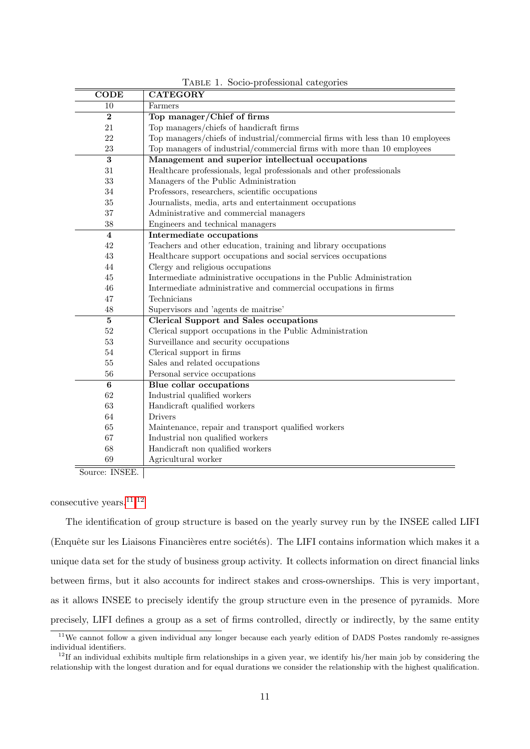<span id="page-11-0"></span>

| $\overline{\mathrm{CODE}}$ | <b>CATEGORY</b>                                                                |
|----------------------------|--------------------------------------------------------------------------------|
| 10                         | Farmers                                                                        |
| $\bf{2}$                   | Top manager/Chief of firms                                                     |
| 21                         | Top managers/chiefs of handicraft firms                                        |
| 22                         | Top managers/chiefs of industrial/commercial firms with less than 10 employees |
| $23\,$                     | Top managers of industrial/commercial firms with more than 10 employees        |
| 3                          | Management and superior intellectual occupations                               |
| 31                         | Healthcare professionals, legal professionals and other professionals          |
| 33                         | Managers of the Public Administration                                          |
| 34                         | Professors, researchers, scientific occupations                                |
| 35                         | Journalists, media, arts and entertainment occupations                         |
| 37                         | Administrative and commercial managers                                         |
| 38                         | Engineers and technical managers                                               |
| $\overline{4}$             | Intermediate occupations                                                       |
| 42                         | Teachers and other education, training and library occupations                 |
| 43                         | Healthcare support occupations and social services occupations                 |
| 44                         | Clergy and religious occupations                                               |
| 45                         | Intermediate administrative occupations in the Public Administration           |
| 46                         | Intermediate administrative and commercial occupations in firms                |
| 47                         | Technicians                                                                    |
| 48                         | Supervisors and 'agents de maitrise'                                           |
| 5                          | <b>Clerical Support and Sales occupations</b>                                  |
| 52                         | Clerical support occupations in the Public Administration                      |
| 53                         | Surveillance and security occupations                                          |
| 54                         | Clerical support in firms                                                      |
| 55                         | Sales and related occupations                                                  |
| 56                         | Personal service occupations                                                   |
| 6                          | Blue collar occupations                                                        |
| 62                         | Industrial qualified workers                                                   |
| 63                         | Handicraft qualified workers                                                   |
| 64                         | <b>Drivers</b>                                                                 |
| 65                         | Maintenance, repair and transport qualified workers                            |
| 67                         | Industrial non qualified workers                                               |
| 68                         | Handicraft non qualified workers                                               |
| 69                         | Agricultural worker                                                            |

Table 1. Socio-professional categories

Source: INSEE.

### consecutive years.[11](#page-11-1),[12](#page-11-2)

The identification of group structure is based on the yearly survey run by the INSEE called LIFI (Enquête sur les Liaisons Financières entre sociétés). The LIFI contains information which makes it a unique data set for the study of business group activity. It collects information on direct financial links between firms, but it also accounts for indirect stakes and cross-ownerships. This is very important, as it allows INSEE to precisely identify the group structure even in the presence of pyramids. More precisely, LIFI defines a group as a set of firms controlled, directly or indirectly, by the same entity

<span id="page-11-1"></span><sup>&</sup>lt;sup>11</sup>We cannot follow a given individual any longer because each yearly edition of DADS Postes randomly re-assignes individual identifiers.

<span id="page-11-2"></span>If an individual exhibits multiple firm relationships in a given year, we identify his/her main job by considering the relationship with the longest duration and for equal durations we consider the relationship with the highest qualification.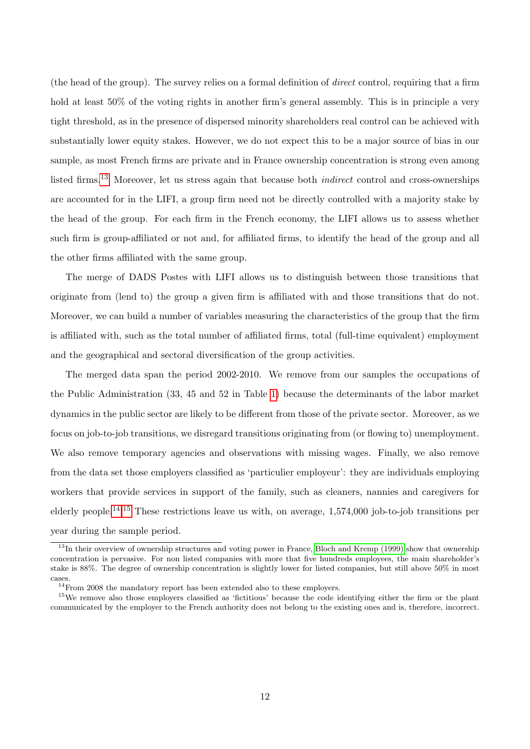(the head of the group). The survey relies on a formal definition of direct control, requiring that a firm hold at least 50% of the voting rights in another firm's general assembly. This is in principle a very tight threshold, as in the presence of dispersed minority shareholders real control can be achieved with substantially lower equity stakes. However, we do not expect this to be a major source of bias in our sample, as most French firms are private and in France ownership concentration is strong even among listed firms.<sup>[13](#page-12-0)</sup> Moreover, let us stress again that because both *indirect* control and cross-ownerships are accounted for in the LIFI, a group firm need not be directly controlled with a majority stake by the head of the group. For each firm in the French economy, the LIFI allows us to assess whether such firm is group-affiliated or not and, for affiliated firms, to identify the head of the group and all the other firms affiliated with the same group.

The merge of DADS Postes with LIFI allows us to distinguish between those transitions that originate from (lend to) the group a given firm is affiliated with and those transitions that do not. Moreover, we can build a number of variables measuring the characteristics of the group that the firm is affiliated with, such as the total number of affiliated firms, total (full-time equivalent) employment and the geographical and sectoral diversification of the group activities.

The merged data span the period 2002-2010. We remove from our samples the occupations of the Public Administration (33, 45 and 52 in Table [1\)](#page-11-0) because the determinants of the labor market dynamics in the public sector are likely to be different from those of the private sector. Moreover, as we focus on job-to-job transitions, we disregard transitions originating from (or flowing to) unemployment. We also remove temporary agencies and observations with missing wages. Finally, we also remove from the data set those employers classified as 'particulier employeur': they are individuals employing workers that provide services in support of the family, such as cleaners, nannies and caregivers for elderly people.<sup>[14](#page-12-1),[15](#page-12-2)</sup> These restrictions leave us with, on average,  $1.574,000$  job-to-job transitions per year during the sample period.

<span id="page-12-0"></span><sup>&</sup>lt;sup>13</sup>In their overview of ownership structures and voting power in France, [Bloch and Kremp \(1999\)](#page-27-8) show that ownership concentration is pervasive. For non listed companies with more that five hundreds employees, the main shareholder's stake is 88%. The degree of ownership concentration is slightly lower for listed companies, but still above 50% in most cases.

<span id="page-12-2"></span><span id="page-12-1"></span><sup>&</sup>lt;sup>14</sup>From 2008 the mandatory report has been extended also to these employers.

<sup>&</sup>lt;sup>15</sup>We remove also those employers classified as 'fictitious' because the code identifying either the firm or the plant communicated by the employer to the French authority does not belong to the existing ones and is, therefore, incorrect.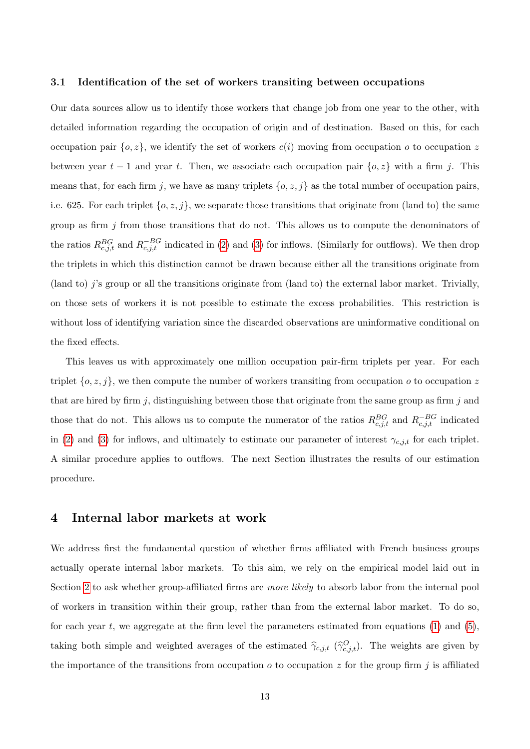#### 3.1 Identification of the set of workers transiting between occupations

Our data sources allow us to identify those workers that change job from one year to the other, with detailed information regarding the occupation of origin and of destination. Based on this, for each occupation pair  $\{o, z\}$ , we identify the set of workers  $c(i)$  moving from occupation o to occupation z between year  $t-1$  and year t. Then, we associate each occupation pair  $\{o, z\}$  with a firm j. This means that, for each firm j, we have as many triplets  $\{o, z, j\}$  as the total number of occupation pairs, i.e. 625. For each triplet  $\{o, z, j\}$ , we separate those transitions that originate from (land to) the same group as firm  $j$  from those transitions that do not. This allows us to compute the denominators of the ratios  $R_{c,j,t}^{BG}$  and  $R_{c,j,t}^{-BG}$  indicated in [\(2\)](#page-7-2) and [\(3\)](#page-8-3) for inflows. (Similarly for outflows). We then drop the triplets in which this distinction cannot be drawn because either all the transitions originate from (land to) j's group or all the transitions originate from (land to) the external labor market. Trivially, on those sets of workers it is not possible to estimate the excess probabilities. This restriction is without loss of identifying variation since the discarded observations are uninformative conditional on the fixed effects.

This leaves us with approximately one million occupation pair-firm triplets per year. For each triplet  $\{o, z, j\}$ , we then compute the number of workers transiting from occupation  $o$  to occupation z that are hired by firm j, distinguishing between those that originate from the same group as firm j and those that do not. This allows us to compute the numerator of the ratios  $R_{c,j,t}^{BG}$  and  $R_{c,j,t}^{-BG}$  indicated in [\(2\)](#page-7-2) and [\(3\)](#page-8-3) for inflows, and ultimately to estimate our parameter of interest  $\gamma_{c,j,t}$  for each triplet. A similar procedure applies to outflows. The next Section illustrates the results of our estimation procedure.

#### <span id="page-13-0"></span>4 Internal labor markets at work

We address first the fundamental question of whether firms affiliated with French business groups actually operate internal labor markets. To this aim, we rely on the empirical model laid out in Section [2](#page-6-0) to ask whether group-affiliated firms are *more likely* to absorb labor from the internal pool of workers in transition within their group, rather than from the external labor market. To do so, for each year  $t$ , we aggregate at the firm level the parameters estimated from equations  $(1)$  and  $(5)$ , taking both simple and weighted averages of the estimated  $\hat{\gamma}_{c,j,t}$  ( $\hat{\gamma}_{c,j,t}^{O}$ ). The weights are given by the importance of the transitions from occupation  $o$  to occupation  $z$  for the group firm  $j$  is affiliated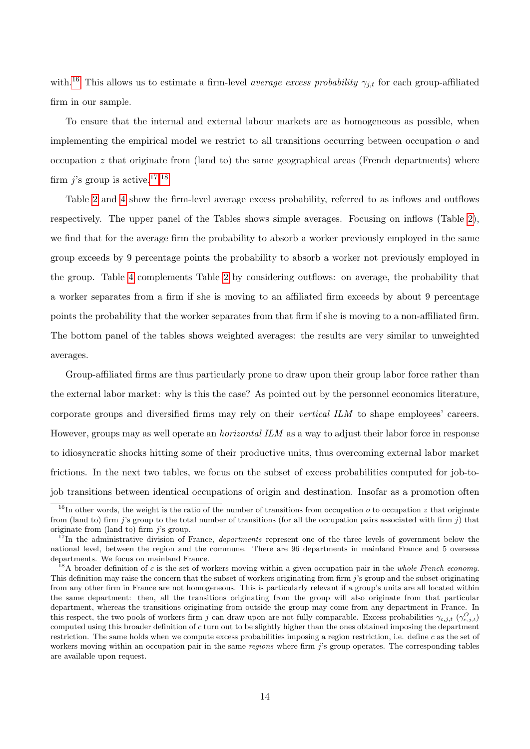with.<sup>[16](#page-14-0)</sup> This allows us to estimate a firm-level *average excess probability*  $\gamma_{j,t}$  for each group-affiliated firm in our sample.

To ensure that the internal and external labour markets are as homogeneous as possible, when implementing the empirical model we restrict to all transitions occurring between occupation o and occupation  $z$  that originate from (land to) the same geographical areas (French departments) where firm *i*'s group is active.<sup>[17](#page-14-1),[18](#page-14-2)</sup>

Table [2](#page-30-0) and [4](#page-32-0) show the firm-level average excess probability, referred to as inflows and outflows respectively. The upper panel of the Tables shows simple averages. Focusing on inflows (Table [2\)](#page-30-0), we find that for the average firm the probability to absorb a worker previously employed in the same group exceeds by 9 percentage points the probability to absorb a worker not previously employed in the group. Table [4](#page-32-0) complements Table [2](#page-30-0) by considering outflows: on average, the probability that a worker separates from a firm if she is moving to an affiliated firm exceeds by about 9 percentage points the probability that the worker separates from that firm if she is moving to a non-affiliated firm. The bottom panel of the tables shows weighted averages: the results are very similar to unweighted averages.

Group-affiliated firms are thus particularly prone to draw upon their group labor force rather than the external labor market: why is this the case? As pointed out by the personnel economics literature, corporate groups and diversified firms may rely on their vertical ILM to shape employees' careers. However, groups may as well operate an horizontal ILM as a way to adjust their labor force in response to idiosyncratic shocks hitting some of their productive units, thus overcoming external labor market frictions. In the next two tables, we focus on the subset of excess probabilities computed for job-tojob transitions between identical occupations of origin and destination. Insofar as a promotion often

<span id="page-14-0"></span><sup>&</sup>lt;sup>16</sup>In other words, the weight is the ratio of the number of transitions from occupation *o* to occupation *z* that originate from (land to) firm j's group to the total number of transitions (for all the occupation pairs associated with firm j) that originate from (land to) firm  $i$ 's group.

<span id="page-14-1"></span> $17$ In the administrative division of France, *departments* represent one of the three levels of government below the national level, between the region and the commune. There are 96 departments in mainland France and 5 overseas departments. We focus on mainland France.

<span id="page-14-2"></span> $^{18}$ A broader definition of c is the set of workers moving within a given occupation pair in the whole French economy. This definition may raise the concern that the subset of workers originating from firm  $j$ 's group and the subset originating from any other firm in France are not homogeneous. This is particularly relevant if a group's units are all located within the same department: then, all the transitions originating from the group will also originate from that particular department, whereas the transitions originating from outside the group may come from any department in France. In this respect, the two pools of workers firm j can draw upon are not fully comparable. Excess probabilities  $\gamma_{c,j,t}$  ( $\gamma_{c,j,t}^O$ ) computed using this broader definition of c turn out to be slightly higher than the ones obtained imposing the department restriction. The same holds when we compute excess probabilities imposing a region restriction, i.e. define c as the set of workers moving within an occupation pair in the same *regions* where firm j's group operates. The corresponding tables are available upon request.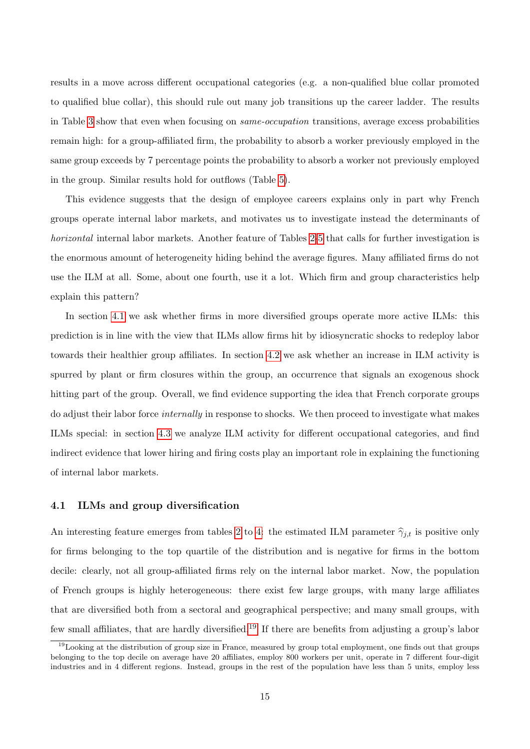results in a move across different occupational categories (e.g. a non-qualified blue collar promoted to qualified blue collar), this should rule out many job transitions up the career ladder. The results in Table [3](#page-31-0) show that even when focusing on same-occupation transitions, average excess probabilities remain high: for a group-affiliated firm, the probability to absorb a worker previously employed in the same group exceeds by 7 percentage points the probability to absorb a worker not previously employed in the group. Similar results hold for outflows (Table [5\)](#page-33-0).

This evidence suggests that the design of employee careers explains only in part why French groups operate internal labor markets, and motivates us to investigate instead the determinants of horizontal internal labor markets. Another feature of Tables [2-](#page-30-0)[5](#page-33-0) that calls for further investigation is the enormous amount of heterogeneity hiding behind the average figures. Many affiliated firms do not use the ILM at all. Some, about one fourth, use it a lot. Which firm and group characteristics help explain this pattern?

In section [4.1](#page-15-0) we ask whether firms in more diversified groups operate more active ILMs: this prediction is in line with the view that ILMs allow firms hit by idiosyncratic shocks to redeploy labor towards their healthier group affiliates. In section [4.2](#page-17-0) we ask whether an increase in ILM activity is spurred by plant or firm closures within the group, an occurrence that signals an exogenous shock hitting part of the group. Overall, we find evidence supporting the idea that French corporate groups do adjust their labor force internally in response to shocks. We then proceed to investigate what makes ILMs special: in section [4.3](#page-19-0) we analyze ILM activity for different occupational categories, and find indirect evidence that lower hiring and firing costs play an important role in explaining the functioning of internal labor markets.

#### <span id="page-15-0"></span>4.1 ILMs and group diversification

An interesting feature emerges from tables [2](#page-30-0) to [4:](#page-32-0) the estimated ILM parameter  $\hat{\gamma}_{j,t}$  is positive only for firms belonging to the top quartile of the distribution and is negative for firms in the bottom decile: clearly, not all group-affiliated firms rely on the internal labor market. Now, the population of French groups is highly heterogeneous: there exist few large groups, with many large affiliates that are diversified both from a sectoral and geographical perspective; and many small groups, with few small affiliates, that are hardly diversified.[19](#page-15-1) If there are benefits from adjusting a group's labor

<span id="page-15-1"></span> $19$ Looking at the distribution of group size in France, measured by group total employment, one finds out that groups belonging to the top decile on average have 20 affiliates, employ 800 workers per unit, operate in 7 different four-digit industries and in 4 different regions. Instead, groups in the rest of the population have less than 5 units, employ less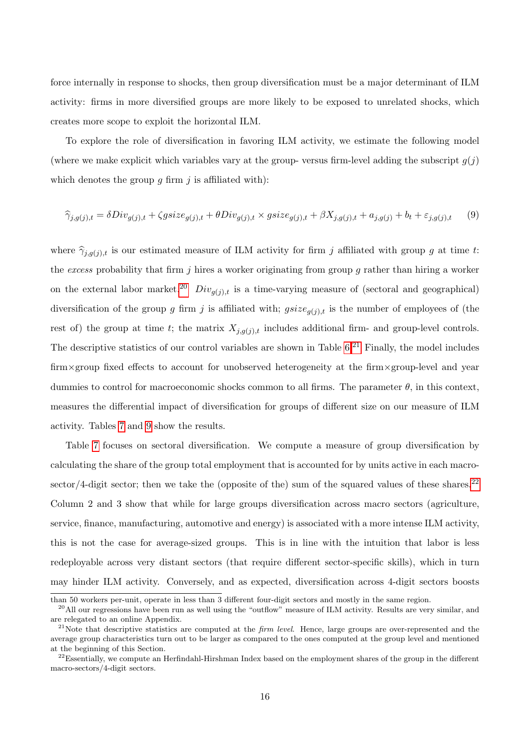force internally in response to shocks, then group diversification must be a major determinant of ILM activity: firms in more diversified groups are more likely to be exposed to unrelated shocks, which creates more scope to exploit the horizontal ILM.

To explore the role of diversification in favoring ILM activity, we estimate the following model (where we make explicit which variables vary at the group- versus firm-level adding the subscript  $q(j)$ ) which denotes the group q firm  $j$  is affiliated with):

<span id="page-16-3"></span>
$$
\widehat{\gamma}_{j,g(j),t} = \delta Div_{g(j),t} + \zeta gsize_{g(j),t} + \theta Div_{g(j),t} \times gsize_{g(j),t} + \beta X_{j,g(j),t} + a_{j,g(j)} + b_t + \varepsilon_{j,g(j),t} \tag{9}
$$

where  $\hat{\gamma}_{i,q(j),t}$  is our estimated measure of ILM activity for firm j affiliated with group g at time t: the excess probability that firm  $j$  hires a worker originating from group  $g$  rather than hiring a worker on the external labor market.<sup>[20](#page-16-0)</sup>  $Div_{q(j),t}$  is a time-varying measure of (sectoral and geographical) diversification of the group g firm j is affiliated with;  $gsize_{q(j),t}$  is the number of employees of (the rest of) the group at time t; the matrix  $X_{j,g(j),t}$  includes additional firm- and group-level controls. The descriptive statistics of our control variables are shown in Table  $6<sup>21</sup>$  $6<sup>21</sup>$  $6<sup>21</sup>$  Finally, the model includes firm×group fixed effects to account for unobserved heterogeneity at the firm×group-level and year dummies to control for macroeconomic shocks common to all firms. The parameter  $\theta$ , in this context, measures the differential impact of diversification for groups of different size on our measure of ILM activity. Tables [7](#page-35-0) and [9](#page-37-0) show the results.

Table [7](#page-35-0) focuses on sectoral diversification. We compute a measure of group diversification by calculating the share of the group total employment that is accounted for by units active in each macro-sector/4-digit sector; then we take the (opposite of the) sum of the squared values of these shares.<sup>[22](#page-16-2)</sup> Column 2 and 3 show that while for large groups diversification across macro sectors (agriculture, service, finance, manufacturing, automotive and energy) is associated with a more intense ILM activity, this is not the case for average-sized groups. This is in line with the intuition that labor is less redeployable across very distant sectors (that require different sector-specific skills), which in turn may hinder ILM activity. Conversely, and as expected, diversification across 4-digit sectors boosts

than 50 workers per-unit, operate in less than 3 different four-digit sectors and mostly in the same region.

<span id="page-16-0"></span><sup>&</sup>lt;sup>20</sup>All our regressions have been run as well using the "outflow" measure of ILM activity. Results are very similar, and are relegated to an online Appendix.

<span id="page-16-1"></span> $21$ Note that descriptive statistics are computed at the *firm level*. Hence, large groups are over-represented and the average group characteristics turn out to be larger as compared to the ones computed at the group level and mentioned at the beginning of this Section.

<span id="page-16-2"></span><sup>&</sup>lt;sup>22</sup>Essentially, we compute an Herfindahl-Hirshman Index based on the employment shares of the group in the different macro-sectors/4-digit sectors.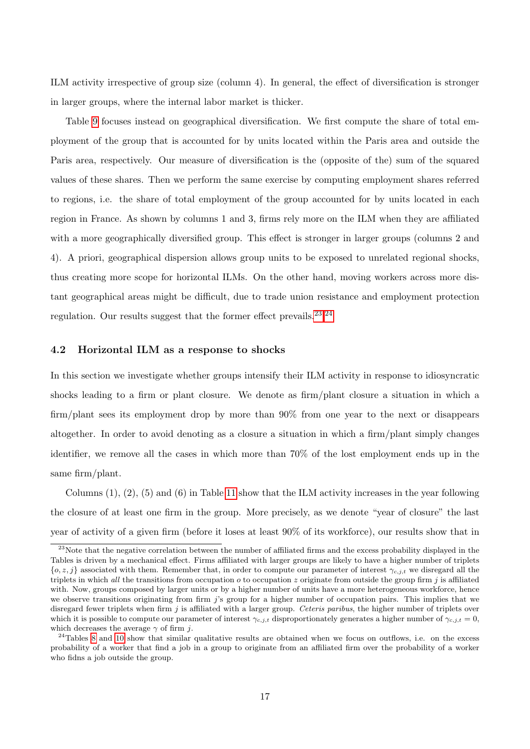ILM activity irrespective of group size (column 4). In general, the effect of diversification is stronger in larger groups, where the internal labor market is thicker.

Table [9](#page-37-0) focuses instead on geographical diversification. We first compute the share of total employment of the group that is accounted for by units located within the Paris area and outside the Paris area, respectively. Our measure of diversification is the (opposite of the) sum of the squared values of these shares. Then we perform the same exercise by computing employment shares referred to regions, i.e. the share of total employment of the group accounted for by units located in each region in France. As shown by columns 1 and 3, firms rely more on the ILM when they are affiliated with a more geographically diversified group. This effect is stronger in larger groups (columns 2 and 4). A priori, geographical dispersion allows group units to be exposed to unrelated regional shocks, thus creating more scope for horizontal ILMs. On the other hand, moving workers across more distant geographical areas might be difficult, due to trade union resistance and employment protection regulation. Our results suggest that the former effect prevails.  $23,24$  $23,24$  $23,24$ 

#### <span id="page-17-0"></span>4.2 Horizontal ILM as a response to shocks

In this section we investigate whether groups intensify their ILM activity in response to idiosyncratic shocks leading to a firm or plant closure. We denote as firm/plant closure a situation in which a firm/plant sees its employment drop by more than  $90\%$  from one year to the next or disappears altogether. In order to avoid denoting as a closure a situation in which a firm/plant simply changes identifier, we remove all the cases in which more than 70% of the lost employment ends up in the same firm/plant.

Columns  $(1)$ ,  $(2)$ ,  $(5)$  and  $(6)$  in Table [11](#page-39-0) show that the ILM activity increases in the year following the closure of at least one firm in the group. More precisely, as we denote "year of closure" the last year of activity of a given firm (before it loses at least 90% of its workforce), our results show that in

<span id="page-17-1"></span><sup>&</sup>lt;sup>23</sup>Note that the negative correlation between the number of affiliated firms and the excess probability displayed in the Tables is driven by a mechanical effect. Firms affiliated with larger groups are likely to have a higher number of triplets  ${o, z, j}$  associated with them. Remember that, in order to compute our parameter of interest  $\gamma_{c,j,t}$  we disregard all the triplets in which all the transitions from occupation  $o$  to occupation  $z$  originate from outside the group firm  $j$  is affiliated with. Now, groups composed by larger units or by a higher number of units have a more heterogeneous workforce, hence we observe transitions originating from firm j's group for a higher number of occupation pairs. This implies that we disregard fewer triplets when firm  $j$  is affiliated with a larger group. Ceteris paribus, the higher number of triplets over which it is possible to compute our parameter of interest  $\gamma_{c,j,t}$  disproportionately generates a higher number of  $\gamma_{c,j,t} = 0$ , which decreases the average  $\gamma$  of firm j.

<span id="page-17-2"></span> $^{24}$ Tables [8](#page-36-0) and [10](#page-38-0) show that similar qualitative results are obtained when we focus on outflows, i.e. on the excess probability of a worker that find a job in a group to originate from an affiliated firm over the probability of a worker who fidns a job outside the group.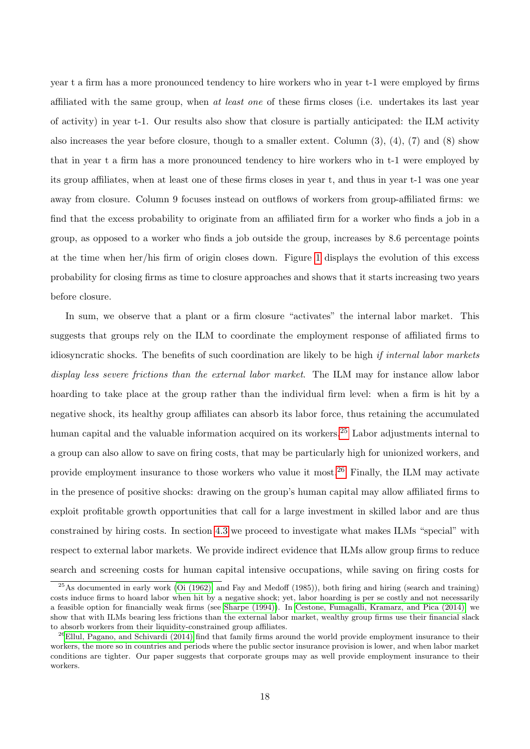year t a firm has a more pronounced tendency to hire workers who in year t-1 were employed by firms affiliated with the same group, when at least one of these firms closes (i.e. undertakes its last year of activity) in year t-1. Our results also show that closure is partially anticipated: the ILM activity also increases the year before closure, though to a smaller extent. Column (3), (4), (7) and (8) show that in year t a firm has a more pronounced tendency to hire workers who in t-1 were employed by its group affiliates, when at least one of these firms closes in year t, and thus in year t-1 was one year away from closure. Column 9 focuses instead on outflows of workers from group-affiliated firms: we find that the excess probability to originate from an affiliated firm for a worker who finds a job in a group, as opposed to a worker who finds a job outside the group, increases by 8.6 percentage points at the time when her/his firm of origin closes down. Figure [1](#page-21-1) displays the evolution of this excess probability for closing firms as time to closure approaches and shows that it starts increasing two years before closure.

In sum, we observe that a plant or a firm closure "activates" the internal labor market. This suggests that groups rely on the ILM to coordinate the employment response of affiliated firms to idiosyncratic shocks. The benefits of such coordination are likely to be high if internal labor markets display less severe frictions than the external labor market. The ILM may for instance allow labor hoarding to take place at the group rather than the individual firm level: when a firm is hit by a negative shock, its healthy group affiliates can absorb its labor force, thus retaining the accumulated human capital and the valuable information acquired on its workers.<sup>[25](#page-18-0)</sup> Labor adjustments internal to a group can also allow to save on firing costs, that may be particularly high for unionized workers, and provide employment insurance to those workers who value it most.[26](#page-18-1) Finally, the ILM may activate in the presence of positive shocks: drawing on the group's human capital may allow affiliated firms to exploit profitable growth opportunities that call for a large investment in skilled labor and are thus constrained by hiring costs. In section [4.3](#page-19-0) we proceed to investigate what makes ILMs "special" with respect to external labor markets. We provide indirect evidence that ILMs allow group firms to reduce search and screening costs for human capital intensive occupations, while saving on firing costs for

<span id="page-18-0"></span> $^{25}$ As documented in early work [\(Oi \(1962\),](#page-28-10) and Fay and Medoff (1985)), both firing and hiring (search and training) costs induce firms to hoard labor when hit by a negative shock; yet, labor hoarding is per se costly and not necessarily a feasible option for financially weak firms (see [Sharpe \(1994\)\)](#page-28-11). In [Cestone, Fumagalli, Kramarz, and Pica \(2014\),](#page-27-9) we show that with ILMs bearing less frictions than the external labor market, wealthy group firms use their financial slack to absorb workers from their liquidity-constrained group affiliates.

<span id="page-18-1"></span> $^{26}$ [Ellul, Pagano, and Schivardi \(2014\)](#page-27-10) find that family firms around the world provide employment insurance to their workers, the more so in countries and periods where the public sector insurance provision is lower, and when labor market conditions are tighter. Our paper suggests that corporate groups may as well provide employment insurance to their workers.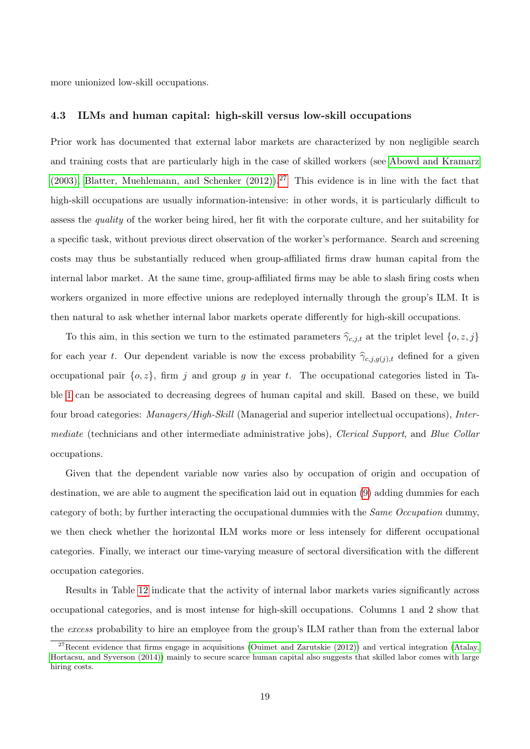more unionized low-skill occupations.

#### <span id="page-19-0"></span>4.3 ILMs and human capital: high-skill versus low-skill occupations

Prior work has documented that external labor markets are characterized by non negligible search and training costs that are particularly high in the case of skilled workers (see [Abowd and Kramarz](#page-27-0) [\(2003\),](#page-27-0) Blatter, Muehlemann, and Schenker  $(2012)$ ).<sup>[27](#page-19-1)</sup> This evidence is in line with the fact that high-skill occupations are usually information-intensive: in other words, it is particularly difficult to assess the quality of the worker being hired, her fit with the corporate culture, and her suitability for a specific task, without previous direct observation of the worker's performance. Search and screening costs may thus be substantially reduced when group-affiliated firms draw human capital from the internal labor market. At the same time, group-affiliated firms may be able to slash firing costs when workers organized in more effective unions are redeployed internally through the group's ILM. It is then natural to ask whether internal labor markets operate differently for high-skill occupations.

To this aim, in this section we turn to the estimated parameters  $\hat{\gamma}_{c,j,t}$  at the triplet level  ${o, z, j}$ for each year t. Our dependent variable is now the excess probability  $\hat{\gamma}_{c,i,q(j),t}$  defined for a given occupational pair  $\{o, z\}$ , firm j and group g in year t. The occupational categories listed in Table [1](#page-11-0) can be associated to decreasing degrees of human capital and skill. Based on these, we build four broad categories: Managers/High-Skill (Managerial and superior intellectual occupations), Intermediate (technicians and other intermediate administrative jobs), Clerical Support, and Blue Collar occupations.

Given that the dependent variable now varies also by occupation of origin and occupation of destination, we are able to augment the specification laid out in equation [\(9\)](#page-16-3) adding dummies for each category of both; by further interacting the occupational dummies with the Same Occupation dummy, we then check whether the horizontal ILM works more or less intensely for different occupational categories. Finally, we interact our time-varying measure of sectoral diversification with the different occupation categories.

Results in Table [12](#page-40-0) indicate that the activity of internal labor markets varies significantly across occupational categories, and is most intense for high-skill occupations. Columns 1 and 2 show that the excess probability to hire an employee from the group's ILM rather than from the external labor

<span id="page-19-1"></span> $27$ Recent evidence that firms engage in acquisitions [\(Ouimet and Zarutskie \(2012\)\)](#page-28-12) and vertical integration [\(Atalay,](#page-27-12) [Hortacsu, and Syverson \(2014\)\)](#page-27-12) mainly to secure scarce human capital also suggests that skilled labor comes with large hiring costs.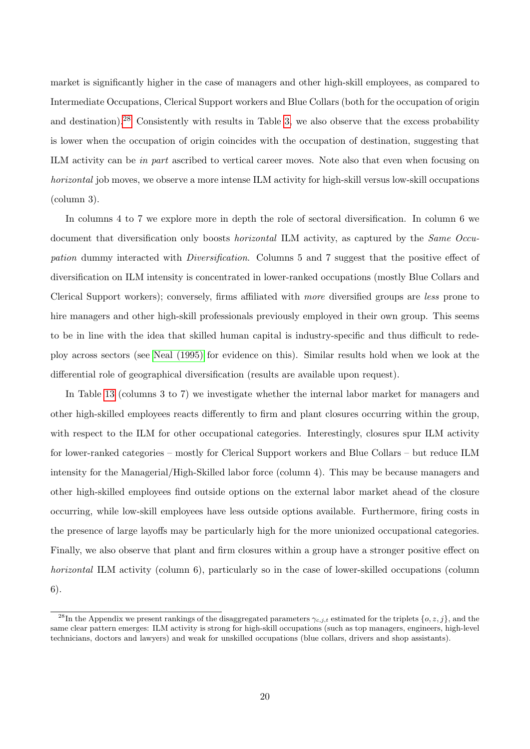market is significantly higher in the case of managers and other high-skill employees, as compared to Intermediate Occupations, Clerical Support workers and Blue Collars (both for the occupation of origin and destination).<sup>[28](#page-20-0)</sup> Consistently with results in Table [3,](#page-31-0) we also observe that the excess probability is lower when the occupation of origin coincides with the occupation of destination, suggesting that ILM activity can be in part ascribed to vertical career moves. Note also that even when focusing on horizontal job moves, we observe a more intense ILM activity for high-skill versus low-skill occupations (column 3).

In columns 4 to 7 we explore more in depth the role of sectoral diversification. In column 6 we document that diversification only boosts *horizontal* ILM activity, as captured by the *Same Occu*pation dummy interacted with Diversification. Columns 5 and 7 suggest that the positive effect of diversification on ILM intensity is concentrated in lower-ranked occupations (mostly Blue Collars and Clerical Support workers); conversely, firms affiliated with more diversified groups are less prone to hire managers and other high-skill professionals previously employed in their own group. This seems to be in line with the idea that skilled human capital is industry-specific and thus difficult to redeploy across sectors (see [Neal \(1995\)](#page-28-13) for evidence on this). Similar results hold when we look at the differential role of geographical diversification (results are available upon request).

In Table [13](#page-41-0) (columns 3 to 7) we investigate whether the internal labor market for managers and other high-skilled employees reacts differently to firm and plant closures occurring within the group, with respect to the ILM for other occupational categories. Interestingly, closures spur ILM activity for lower-ranked categories – mostly for Clerical Support workers and Blue Collars – but reduce ILM intensity for the Managerial/High-Skilled labor force (column 4). This may be because managers and other high-skilled employees find outside options on the external labor market ahead of the closure occurring, while low-skill employees have less outside options available. Furthermore, firing costs in the presence of large layoffs may be particularly high for the more unionized occupational categories. Finally, we also observe that plant and firm closures within a group have a stronger positive effect on horizontal ILM activity (column 6), particularly so in the case of lower-skilled occupations (column 6).

<span id="page-20-0"></span><sup>&</sup>lt;sup>28</sup>In the Appendix we present rankings of the disaggregated parameters  $\gamma_{c,j,t}$  estimated for the triplets  $\{o, z, j\}$ , and the same clear pattern emerges: ILM activity is strong for high-skill occupations (such as top managers, engineers, high-level technicians, doctors and lawyers) and weak for unskilled occupations (blue collars, drivers and shop assistants).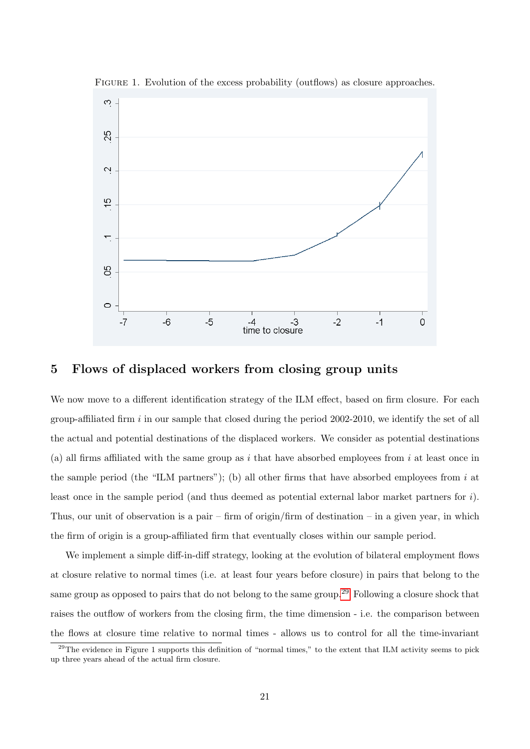

<span id="page-21-1"></span>FIGURE 1. Evolution of the excess probability (outflows) as closure approaches.

## <span id="page-21-0"></span>5 Flows of displaced workers from closing group units

We now move to a different identification strategy of the ILM effect, based on firm closure. For each group-affiliated firm  $i$  in our sample that closed during the period 2002-2010, we identify the set of all the actual and potential destinations of the displaced workers. We consider as potential destinations (a) all firms affiliated with the same group as i that have absorbed employees from i at least once in the sample period (the "ILM partners"); (b) all other firms that have absorbed employees from  $i$  at least once in the sample period (and thus deemed as potential external labor market partners for i). Thus, our unit of observation is a pair – firm of origin/firm of destination – in a given year, in which the firm of origin is a group-affiliated firm that eventually closes within our sample period.

We implement a simple diff-in-diff strategy, looking at the evolution of bilateral employment flows at closure relative to normal times (i.e. at least four years before closure) in pairs that belong to the same group as opposed to pairs that do not belong to the same group.<sup>[29](#page-21-2)</sup> Following a closure shock that raises the outflow of workers from the closing firm, the time dimension - i.e. the comparison between the flows at closure time relative to normal times - allows us to control for all the time-invariant

<span id="page-21-2"></span> $^{29}$ The evidence in Figure 1 supports this definition of "normal times," to the extent that ILM activity seems to pick up three years ahead of the actual firm closure.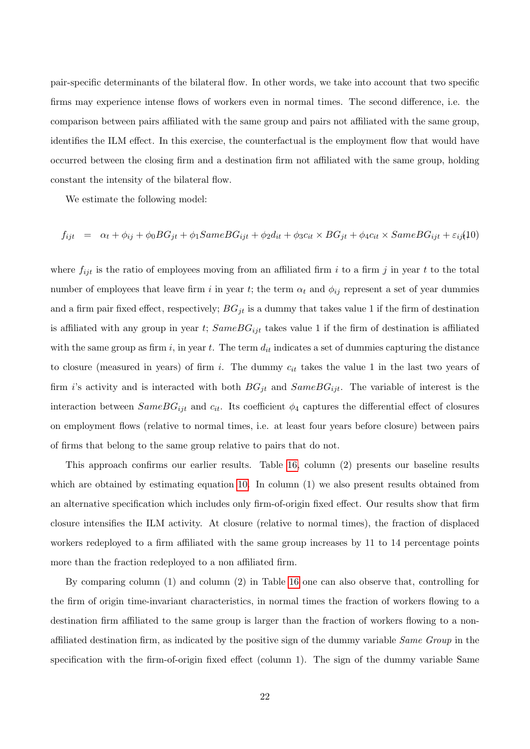pair-specific determinants of the bilateral flow. In other words, we take into account that two specific firms may experience intense flows of workers even in normal times. The second difference, i.e. the comparison between pairs affiliated with the same group and pairs not affiliated with the same group, identifies the ILM effect. In this exercise, the counterfactual is the employment flow that would have occurred between the closing firm and a destination firm not affiliated with the same group, holding constant the intensity of the bilateral flow.

We estimate the following model:

<span id="page-22-0"></span>
$$
f_{ijt} = \alpha_t + \phi_{ij} + \phi_0 BG_{jt} + \phi_1 SameBG_{ijt} + \phi_2 d_{it} + \phi_3 c_{it} \times BG_{jt} + \phi_4 c_{it} \times SameBG_{ijt} + \varepsilon_{ij}(10)
$$

where  $f_{ijt}$  is the ratio of employees moving from an affiliated firm i to a firm j in year t to the total number of employees that leave firm i in year t; the term  $\alpha_t$  and  $\phi_{ij}$  represent a set of year dummies and a firm pair fixed effect, respectively;  $BG_{jt}$  is a dummy that takes value 1 if the firm of destination is affiliated with any group in year t;  $SameBG_{ijt}$  takes value 1 if the firm of destination is affiliated with the same group as firm i, in year t. The term  $d_{it}$  indicates a set of dummies capturing the distance to closure (measured in years) of firm i. The dummy  $c_{it}$  takes the value 1 in the last two years of firm i's activity and is interacted with both  $BG_{jt}$  and  $SameBG_{ijt}$ . The variable of interest is the interaction between  $SameBG_{ijt}$  and  $c_{it}$ . Its coefficient  $\phi_4$  captures the differential effect of closures on employment flows (relative to normal times, i.e. at least four years before closure) between pairs of firms that belong to the same group relative to pairs that do not.

This approach confirms our earlier results. Table [16,](#page-44-0) column (2) presents our baseline results which are obtained by estimating equation [10.](#page-22-0) In column (1) we also present results obtained from an alternative specification which includes only firm-of-origin fixed effect. Our results show that firm closure intensifies the ILM activity. At closure (relative to normal times), the fraction of displaced workers redeployed to a firm affiliated with the same group increases by 11 to 14 percentage points more than the fraction redeployed to a non affiliated firm.

By comparing column (1) and column (2) in Table [16](#page-44-0) one can also observe that, controlling for the firm of origin time-invariant characteristics, in normal times the fraction of workers flowing to a destination firm affiliated to the same group is larger than the fraction of workers flowing to a nonaffiliated destination firm, as indicated by the positive sign of the dummy variable Same Group in the specification with the firm-of-origin fixed effect (column 1). The sign of the dummy variable Same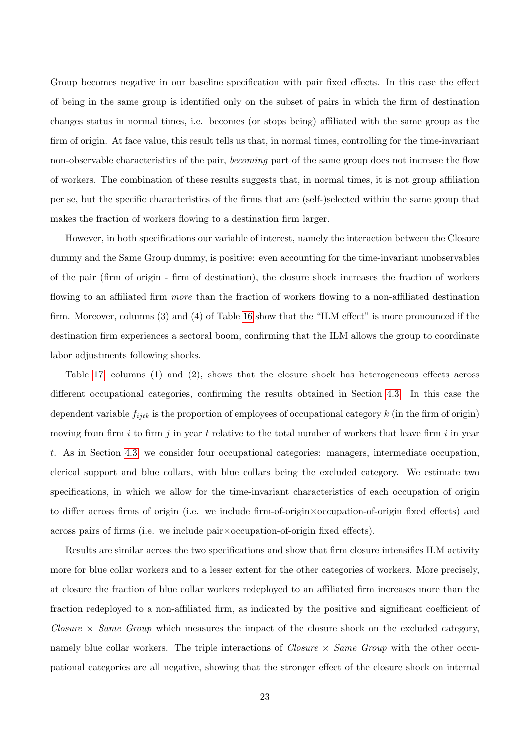Group becomes negative in our baseline specification with pair fixed effects. In this case the effect of being in the same group is identified only on the subset of pairs in which the firm of destination changes status in normal times, i.e. becomes (or stops being) affiliated with the same group as the firm of origin. At face value, this result tells us that, in normal times, controlling for the time-invariant non-observable characteristics of the pair, becoming part of the same group does not increase the flow of workers. The combination of these results suggests that, in normal times, it is not group affiliation per se, but the specific characteristics of the firms that are (self-)selected within the same group that makes the fraction of workers flowing to a destination firm larger.

However, in both specifications our variable of interest, namely the interaction between the Closure dummy and the Same Group dummy, is positive: even accounting for the time-invariant unobservables of the pair (firm of origin - firm of destination), the closure shock increases the fraction of workers flowing to an affiliated firm *more* than the fraction of workers flowing to a non-affiliated destination firm. Moreover, columns (3) and (4) of Table [16](#page-44-0) show that the "ILM effect" is more pronounced if the destination firm experiences a sectoral boom, confirming that the ILM allows the group to coordinate labor adjustments following shocks.

Table [17,](#page-45-0) columns (1) and (2), shows that the closure shock has heterogeneous effects across different occupational categories, confirming the results obtained in Section [4.3.](#page-19-0) In this case the dependent variable  $f_{i j t k}$  is the proportion of employees of occupational category k (in the firm of origin) moving from firm i to firm j in year t relative to the total number of workers that leave firm i in year t. As in Section [4.3,](#page-19-0) we consider four occupational categories: managers, intermediate occupation, clerical support and blue collars, with blue collars being the excluded category. We estimate two specifications, in which we allow for the time-invariant characteristics of each occupation of origin to differ across firms of origin (i.e. we include firm-of-origin×occupation-of-origin fixed effects) and across pairs of firms (i.e. we include pair×occupation-of-origin fixed effects).

Results are similar across the two specifications and show that firm closure intensifies ILM activity more for blue collar workers and to a lesser extent for the other categories of workers. More precisely, at closure the fraction of blue collar workers redeployed to an affiliated firm increases more than the fraction redeployed to a non-affiliated firm, as indicated by the positive and significant coefficient of Closure  $\times$  Same Group which measures the impact of the closure shock on the excluded category. namely blue collar workers. The triple interactions of *Closure*  $\times$  *Same Group* with the other occupational categories are all negative, showing that the stronger effect of the closure shock on internal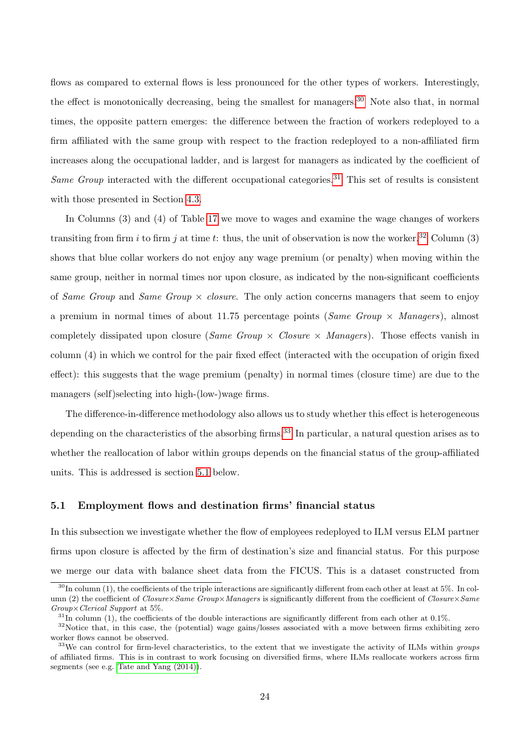flows as compared to external flows is less pronounced for the other types of workers. Interestingly, the effect is monotonically decreasing, being the smallest for managers.<sup>[30](#page-24-0)</sup> Note also that, in normal times, the opposite pattern emerges: the difference between the fraction of workers redeployed to a firm affiliated with the same group with respect to the fraction redeployed to a non-affiliated firm increases along the occupational ladder, and is largest for managers as indicated by the coefficient of Same Group interacted with the different occupational categories.<sup>[31](#page-24-1)</sup> This set of results is consistent with those presented in Section [4.3.](#page-19-0)

In Columns (3) and (4) of Table [17](#page-45-0) we move to wages and examine the wage changes of workers transiting from firm i to firm j at time t: thus, the unit of observation is now the worker.<sup>[32](#page-24-2)</sup> Column (3) shows that blue collar workers do not enjoy any wage premium (or penalty) when moving within the same group, neither in normal times nor upon closure, as indicated by the non-significant coefficients of Same Group and Same Group  $\times$  closure. The only action concerns managers that seem to enjoy a premium in normal times of about 11.75 percentage points (Same Group  $\times$  Managers), almost completely dissipated upon closure (Same Group  $\times$  Closure  $\times$  Managers). Those effects vanish in column (4) in which we control for the pair fixed effect (interacted with the occupation of origin fixed effect): this suggests that the wage premium (penalty) in normal times (closure time) are due to the managers (self)selecting into high-(low-)wage firms.

The difference-in-difference methodology also allows us to study whether this effect is heterogeneous depending on the characteristics of the absorbing firms.<sup>[33](#page-24-3)</sup> In particular, a natural question arises as to whether the reallocation of labor within groups depends on the financial status of the group-affiliated units. This is addressed is section [5.1](#page-24-4) below.

#### <span id="page-24-4"></span>5.1 Employment flows and destination firms' financial status

In this subsection we investigate whether the flow of employees redeployed to ILM versus ELM partner firms upon closure is affected by the firm of destination's size and financial status. For this purpose we merge our data with balance sheet data from the FICUS. This is a dataset constructed from

<span id="page-24-0"></span> $30$ In column (1), the coefficients of the triple interactions are significantly different from each other at least at 5%. In column (2) the coefficient of  $Closure \times Same$  Group×Managers is significantly different from the coefficient of Closure×Same Group×Clerical Support at 5%.

<span id="page-24-2"></span><span id="page-24-1"></span> $31$ In column (1), the coefficients of the double interactions are significantly different from each other at 0.1%.

<sup>&</sup>lt;sup>32</sup>Notice that, in this case, the (potential) wage gains/losses associated with a move between firms exhibiting zero worker flows cannot be observed.

<span id="page-24-3"></span> $33$ We can control for firm-level characteristics, to the extent that we investigate the activity of ILMs within groups of affiliated firms. This is in contrast to work focusing on diversified firms, where ILMs reallocate workers across firm segments (see e.g. [Tate and Yang \(2014\)\)](#page-29-1).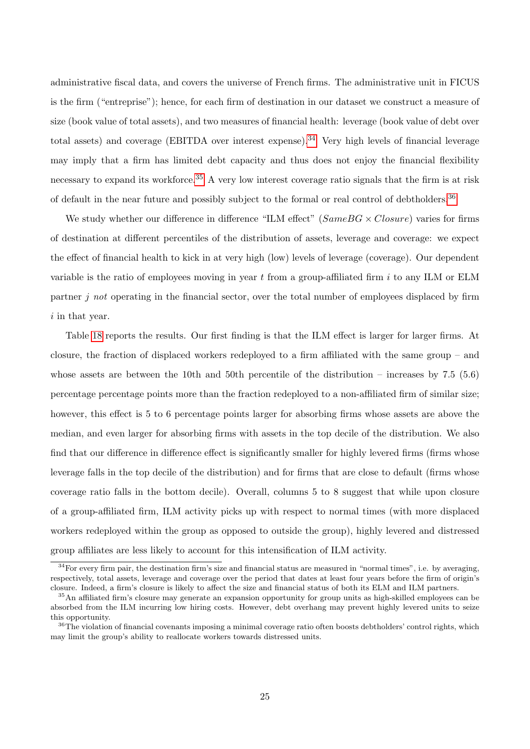administrative fiscal data, and covers the universe of French firms. The administrative unit in FICUS is the firm ("entreprise"); hence, for each firm of destination in our dataset we construct a measure of size (book value of total assets), and two measures of financial health: leverage (book value of debt over total assets) and coverage (EBITDA over interest expense).<sup>[34](#page-25-0)</sup> Very high levels of financial leverage may imply that a firm has limited debt capacity and thus does not enjoy the financial flexibility necessary to expand its workforce.<sup>[35](#page-25-1)</sup> A very low interest coverage ratio signals that the firm is at risk of default in the near future and possibly subject to the formal or real control of debtholders.<sup>[36](#page-25-2)</sup>

We study whether our difference in difference "ILM effect" ( $SameBG \times Closure$ ) varies for firms of destination at different percentiles of the distribution of assets, leverage and coverage: we expect the effect of financial health to kick in at very high (low) levels of leverage (coverage). Our dependent variable is the ratio of employees moving in year  $t$  from a group-affiliated firm  $i$  to any ILM or ELM partner j not operating in the financial sector, over the total number of employees displaced by firm i in that year.

Table [18](#page-46-0) reports the results. Our first finding is that the ILM effect is larger for larger firms. At closure, the fraction of displaced workers redeployed to a firm affiliated with the same group – and whose assets are between the 10th and 50th percentile of the distribution – increases by 7.5 (5.6) percentage percentage points more than the fraction redeployed to a non-affiliated firm of similar size; however, this effect is 5 to 6 percentage points larger for absorbing firms whose assets are above the median, and even larger for absorbing firms with assets in the top decile of the distribution. We also find that our difference in difference effect is significantly smaller for highly levered firms (firms whose leverage falls in the top decile of the distribution) and for firms that are close to default (firms whose coverage ratio falls in the bottom decile). Overall, columns 5 to 8 suggest that while upon closure of a group-affiliated firm, ILM activity picks up with respect to normal times (with more displaced workers redeployed within the group as opposed to outside the group), highly levered and distressed group affiliates are less likely to account for this intensification of ILM activity.

<span id="page-25-0"></span> $34$  For every firm pair, the destination firm's size and financial status are measured in "normal times", i.e. by averaging, respectively, total assets, leverage and coverage over the period that dates at least four years before the firm of origin's closure. Indeed, a firm's closure is likely to affect the size and financial status of both its ELM and ILM partners.

<span id="page-25-1"></span><sup>&</sup>lt;sup>35</sup>An affiliated firm's closure may generate an expansion opportunity for group units as high-skilled employees can be absorbed from the ILM incurring low hiring costs. However, debt overhang may prevent highly levered units to seize this opportunity.

<span id="page-25-2"></span><sup>&</sup>lt;sup>36</sup>The violation of financial covenants imposing a minimal coverage ratio often boosts debtholders' control rights, which may limit the group's ability to reallocate workers towards distressed units.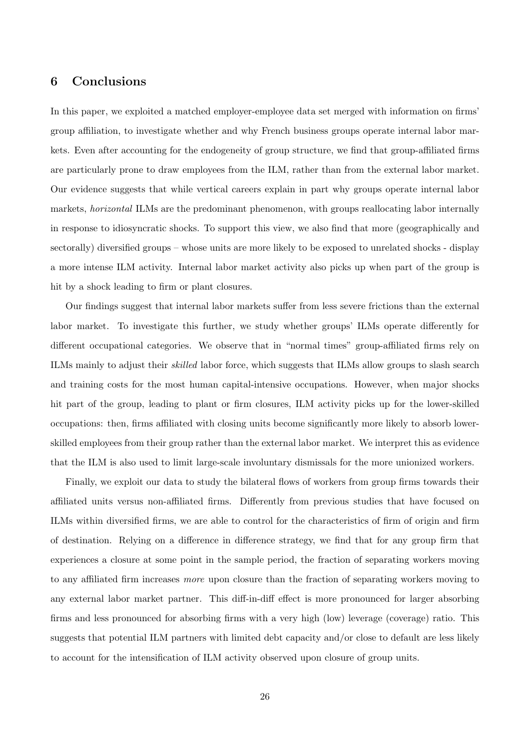# <span id="page-26-0"></span>6 Conclusions

In this paper, we exploited a matched employer-employee data set merged with information on firms' group affiliation, to investigate whether and why French business groups operate internal labor markets. Even after accounting for the endogeneity of group structure, we find that group-affiliated firms are particularly prone to draw employees from the ILM, rather than from the external labor market. Our evidence suggests that while vertical careers explain in part why groups operate internal labor markets, *horizontal* ILMs are the predominant phenomenon, with groups reallocating labor internally in response to idiosyncratic shocks. To support this view, we also find that more (geographically and sectorally) diversified groups – whose units are more likely to be exposed to unrelated shocks - display a more intense ILM activity. Internal labor market activity also picks up when part of the group is hit by a shock leading to firm or plant closures.

Our findings suggest that internal labor markets suffer from less severe frictions than the external labor market. To investigate this further, we study whether groups' ILMs operate differently for different occupational categories. We observe that in "normal times" group-affiliated firms rely on ILMs mainly to adjust their skilled labor force, which suggests that ILMs allow groups to slash search and training costs for the most human capital-intensive occupations. However, when major shocks hit part of the group, leading to plant or firm closures, ILM activity picks up for the lower-skilled occupations: then, firms affiliated with closing units become significantly more likely to absorb lowerskilled employees from their group rather than the external labor market. We interpret this as evidence that the ILM is also used to limit large-scale involuntary dismissals for the more unionized workers.

Finally, we exploit our data to study the bilateral flows of workers from group firms towards their affiliated units versus non-affiliated firms. Differently from previous studies that have focused on ILMs within diversified firms, we are able to control for the characteristics of firm of origin and firm of destination. Relying on a difference in difference strategy, we find that for any group firm that experiences a closure at some point in the sample period, the fraction of separating workers moving to any affiliated firm increases more upon closure than the fraction of separating workers moving to any external labor market partner. This diff-in-diff effect is more pronounced for larger absorbing firms and less pronounced for absorbing firms with a very high (low) leverage (coverage) ratio. This suggests that potential ILM partners with limited debt capacity and/or close to default are less likely to account for the intensification of ILM activity observed upon closure of group units.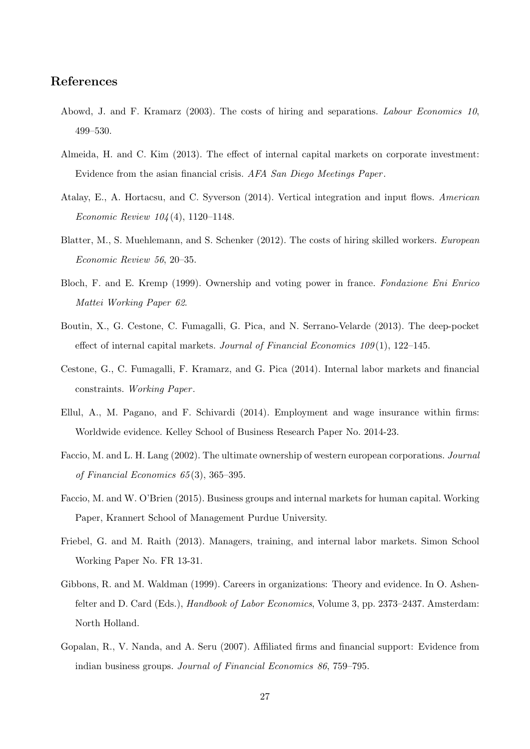# References

- <span id="page-27-0"></span>Abowd, J. and F. Kramarz (2003). The costs of hiring and separations. Labour Economics 10, 499–530.
- <span id="page-27-3"></span>Almeida, H. and C. Kim (2013). The effect of internal capital markets on corporate investment: Evidence from the asian financial crisis. AFA San Diego Meetings Paper .
- <span id="page-27-12"></span>Atalay, E., A. Hortacsu, and C. Syverson (2014). Vertical integration and input flows. American Economic Review 104 (4), 1120–1148.
- <span id="page-27-11"></span>Blatter, M., S. Muehlemann, and S. Schenker (2012). The costs of hiring skilled workers. European Economic Review 56, 20–35.
- <span id="page-27-8"></span>Bloch, F. and E. Kremp (1999). Ownership and voting power in france. Fondazione Eni Enrico Mattei Working Paper 62.
- <span id="page-27-4"></span>Boutin, X., G. Cestone, C. Fumagalli, G. Pica, and N. Serrano-Velarde (2013). The deep-pocket effect of internal capital markets. Journal of Financial Economics 109 (1), 122–145.
- <span id="page-27-9"></span>Cestone, G., C. Fumagalli, F. Kramarz, and G. Pica (2014). Internal labor markets and financial constraints. Working Paper.
- <span id="page-27-10"></span>Ellul, A., M. Pagano, and F. Schivardi (2014). Employment and wage insurance within firms: Worldwide evidence. Kelley School of Business Research Paper No. 2014-23.
- <span id="page-27-1"></span>Faccio, M. and L. H. Lang (2002). The ultimate ownership of western european corporations. Journal of Financial Economics 65 (3), 365–395.
- <span id="page-27-5"></span>Faccio, M. and W. O'Brien (2015). Business groups and internal markets for human capital. Working Paper, Krannert School of Management Purdue University.
- <span id="page-27-7"></span>Friebel, G. and M. Raith (2013). Managers, training, and internal labor markets. Simon School Working Paper No. FR 13-31.
- <span id="page-27-6"></span>Gibbons, R. and M. Waldman (1999). Careers in organizations: Theory and evidence. In O. Ashenfelter and D. Card (Eds.), *Handbook of Labor Economics*, Volume 3, pp. 2373–2437. Amsterdam: North Holland.
- <span id="page-27-2"></span>Gopalan, R., V. Nanda, and A. Seru (2007). Affiliated firms and financial support: Evidence from indian business groups. Journal of Financial Economics 86, 759–795.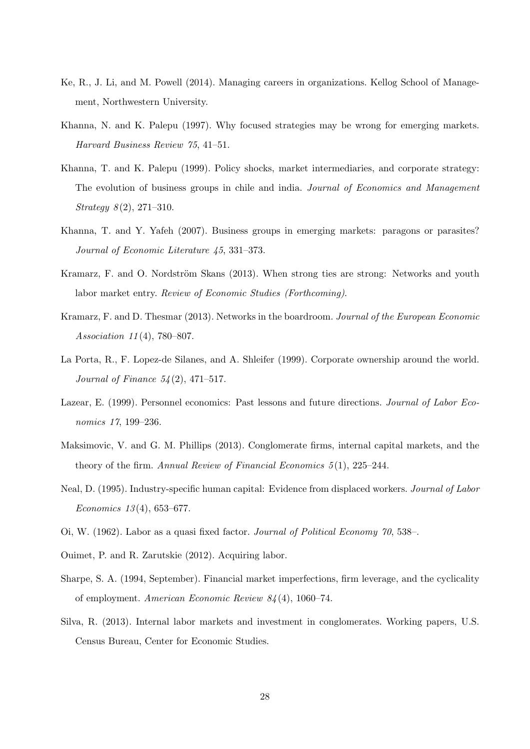- <span id="page-28-6"></span>Ke, R., J. Li, and M. Powell (2014). Managing careers in organizations. Kellog School of Management, Northwestern University.
- <span id="page-28-0"></span>Khanna, N. and K. Palepu (1997). Why focused strategies may be wrong for emerging markets. Harvard Business Review 75, 41–51.
- <span id="page-28-4"></span>Khanna, T. and K. Palepu (1999). Policy shocks, market intermediaries, and corporate strategy: The evolution of business groups in chile and india. Journal of Economics and Management  $Strategy 8(2), 271-310.$
- <span id="page-28-1"></span>Khanna, T. and Y. Yafeh (2007). Business groups in emerging markets: paragons or parasites? Journal of Economic Literature 45, 331–373.
- <span id="page-28-9"></span>Kramarz, F. and O. Nordström Skans (2013). When strong ties are strong: Networks and youth labor market entry. Review of Economic Studies (Forthcoming).
- <span id="page-28-8"></span>Kramarz, F. and D. Thesmar (2013). Networks in the boardroom. Journal of the European Economic Association 11 (4), 780–807.
- <span id="page-28-2"></span>La Porta, R., F. Lopez-de Silanes, and A. Shleifer (1999). Corporate ownership around the world. *Journal of Finance*  $54(2)$ ,  $471-517$ .
- <span id="page-28-5"></span>Lazear, E. (1999). Personnel economics: Past lessons and future directions. Journal of Labor Economics 17, 199–236.
- <span id="page-28-3"></span>Maksimovic, V. and G. M. Phillips (2013). Conglomerate firms, internal capital markets, and the theory of the firm. Annual Review of Financial Economics  $5(1)$ , 225–244.
- <span id="page-28-13"></span>Neal, D. (1995). Industry-specific human capital: Evidence from displaced workers. Journal of Labor Economics  $13(4)$ , 653–677.
- <span id="page-28-12"></span><span id="page-28-10"></span>Oi, W. (1962). Labor as a quasi fixed factor. Journal of Political Economy 70, 538–.
- <span id="page-28-11"></span>Ouimet, P. and R. Zarutskie (2012). Acquiring labor.
- Sharpe, S. A. (1994, September). Financial market imperfections, firm leverage, and the cyclicality of employment. American Economic Review 84 (4), 1060–74.
- <span id="page-28-7"></span>Silva, R. (2013). Internal labor markets and investment in conglomerates. Working papers, U.S. Census Bureau, Center for Economic Studies.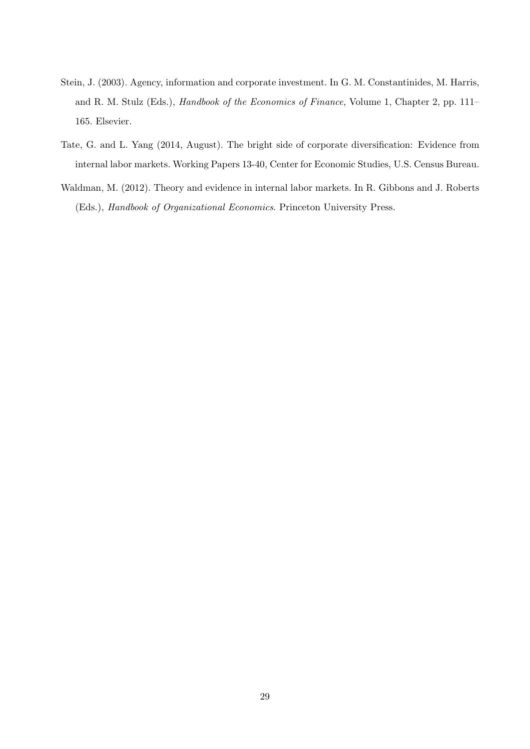- <span id="page-29-0"></span>Stein, J. (2003). Agency, information and corporate investment. In G. M. Constantinides, M. Harris, and R. M. Stulz (Eds.), Handbook of the Economics of Finance, Volume 1, Chapter 2, pp. 111– 165. Elsevier.
- <span id="page-29-1"></span>Tate, G. and L. Yang (2014, August). The bright side of corporate diversification: Evidence from internal labor markets. Working Papers 13-40, Center for Economic Studies, U.S. Census Bureau.
- <span id="page-29-2"></span>Waldman, M. (2012). Theory and evidence in internal labor markets. In R. Gibbons and J. Roberts (Eds.), Handbook of Organizational Economics. Princeton University Press.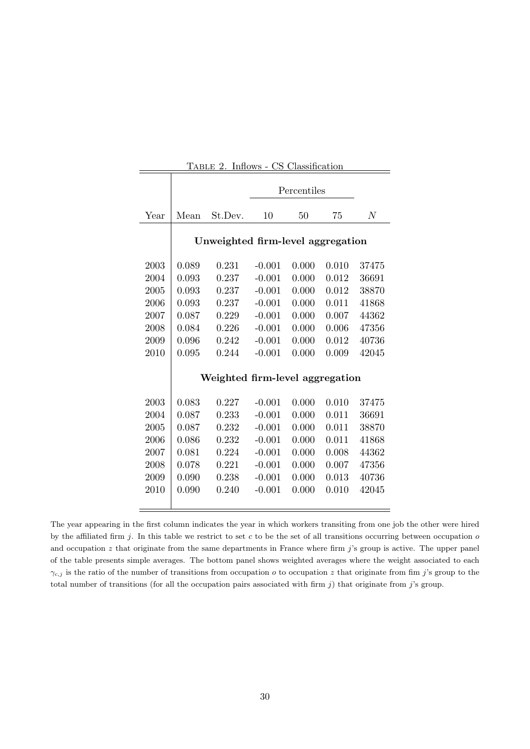<span id="page-30-0"></span>

|      |       | TABLE 2. Inflows - CS Classification |          |             |       |       |
|------|-------|--------------------------------------|----------|-------------|-------|-------|
|      |       |                                      |          | Percentiles |       |       |
| Year | Mean  | St.Dev.                              | 10       | 50          | 75    | $\,N$ |
|      |       | Unweighted firm-level aggregation    |          |             |       |       |
| 2003 | 0.089 | 0.231                                | $-0.001$ | 0.000       | 0.010 | 37475 |
| 2004 | 0.093 | 0.237                                | $-0.001$ | 0.000       | 0.012 | 36691 |
| 2005 | 0.093 | 0.237                                | $-0.001$ | 0.000       | 0.012 | 38870 |
| 2006 | 0.093 | 0.237                                | $-0.001$ | 0.000       | 0.011 | 41868 |
| 2007 | 0.087 | 0.229                                | $-0.001$ | 0.000       | 0.007 | 44362 |
| 2008 | 0.084 | 0.226                                | $-0.001$ | 0.000       | 0.006 | 47356 |
| 2009 | 0.096 | 0.242                                | $-0.001$ | 0.000       | 0.012 | 40736 |
| 2010 | 0.095 | 0.244                                | $-0.001$ | 0.000       | 0.009 | 42045 |
|      |       | Weighted firm-level aggregation      |          |             |       |       |
| 2003 | 0.083 | 0.227                                | $-0.001$ | 0.000       | 0.010 | 37475 |
| 2004 | 0.087 | 0.233                                | $-0.001$ | 0.000       | 0.011 | 36691 |
| 2005 | 0.087 | 0.232                                | $-0.001$ | 0.000       | 0.011 | 38870 |
| 2006 | 0.086 | 0.232                                | $-0.001$ | 0.000       | 0.011 | 41868 |
| 2007 | 0.081 | 0.224                                | $-0.001$ | 0.000       | 0.008 | 44362 |
| 2008 | 0.078 | 0.221                                | $-0.001$ | 0.000       | 0.007 | 47356 |
| 2009 | 0.090 | 0.238                                | $-0.001$ | 0.000       | 0.013 | 40736 |
| 2010 | 0.090 | 0.240                                | $-0.001$ | 0.000       | 0.010 | 42045 |
|      |       |                                      |          |             |       |       |

The year appearing in the first column indicates the year in which workers transiting from one job the other were hired by the affiliated firm j. In this table we restrict to set c to be the set of all transitions occurring between occupation  $o$ and occupation  $z$  that originate from the same departments in France where firm  $j$ 's group is active. The upper panel of the table presents simple averages. The bottom panel shows weighted averages where the weight associated to each  $\gamma_{c,j}$  is the ratio of the number of transitions from occupation *o* to occupation *z* that originate from fim j's group to the total number of transitions (for all the occupation pairs associated with firm  $j$ ) that originate from  $j$ 's group.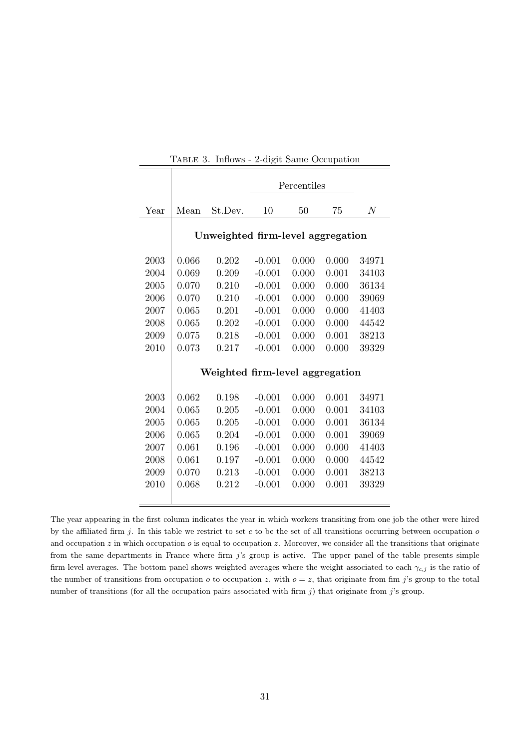<span id="page-31-0"></span>

|      |       |                                   |          | Percentiles |       |                |
|------|-------|-----------------------------------|----------|-------------|-------|----------------|
| Year | Mean  | St.Dev.                           | 10       | 50          | 75    | $\overline{N}$ |
|      |       | Unweighted firm-level aggregation |          |             |       |                |
| 2003 | 0.066 | 0.202                             | $-0.001$ | 0.000       | 0.000 | 34971          |
| 2004 | 0.069 | 0.209                             | $-0.001$ | 0.000       | 0.001 | 34103          |
| 2005 | 0.070 | 0.210                             | $-0.001$ | 0.000       | 0.000 | 36134          |
| 2006 | 0.070 | 0.210                             | $-0.001$ | 0.000       | 0.000 | 39069          |
| 2007 | 0.065 | 0.201                             | $-0.001$ | 0.000       | 0.000 | 41403          |
| 2008 | 0.065 | 0.202                             | $-0.001$ | 0.000       | 0.000 | 44542          |
| 2009 | 0.075 | 0.218                             | $-0.001$ | 0.000       | 0.001 | 38213          |
| 2010 | 0.073 | 0.217                             | $-0.001$ | 0.000       | 0.000 | 39329          |
|      |       | Weighted firm-level aggregation   |          |             |       |                |
| 2003 | 0.062 | 0.198                             | $-0.001$ | 0.000       | 0.001 | 34971          |
| 2004 | 0.065 | 0.205                             | $-0.001$ | 0.000       | 0.001 | 34103          |
| 2005 | 0.065 | 0.205                             | $-0.001$ | 0.000       | 0.001 | 36134          |
| 2006 | 0.065 | 0.204                             | $-0.001$ | 0.000       | 0.001 | 39069          |
| 2007 | 0.061 | 0.196                             | $-0.001$ | 0.000       | 0.000 | 41403          |
| 2008 | 0.061 | 0.197                             | $-0.001$ | 0.000       | 0.000 | 44542          |
| 2009 | 0.070 | 0.213                             | $-0.001$ | 0.000       | 0.001 | 38213          |
| 2010 | 0.068 | 0.212                             | $-0.001$ | 0.000       | 0.001 | 39329          |
|      |       |                                   |          |             |       |                |

Table 3. Inflows - 2-digit Same Occupation

The year appearing in the first column indicates the year in which workers transiting from one job the other were hired by the affiliated firm  $j$ . In this table we restrict to set c to be the set of all transitions occurring between occupation  $o$ and occupation  $z$  in which occupation  $o$  is equal to occupation  $z$ . Moreover, we consider all the transitions that originate from the same departments in France where firm  $j$ 's group is active. The upper panel of the table presents simple firm-level averages. The bottom panel shows weighted averages where the weight associated to each  $\gamma_{c,j}$  is the ratio of the number of transitions from occupation  $o$  to occupation  $z$ , with  $o = z$ , that originate from fim j's group to the total number of transitions (for all the occupation pairs associated with firm  $j$ ) that originate from j's group.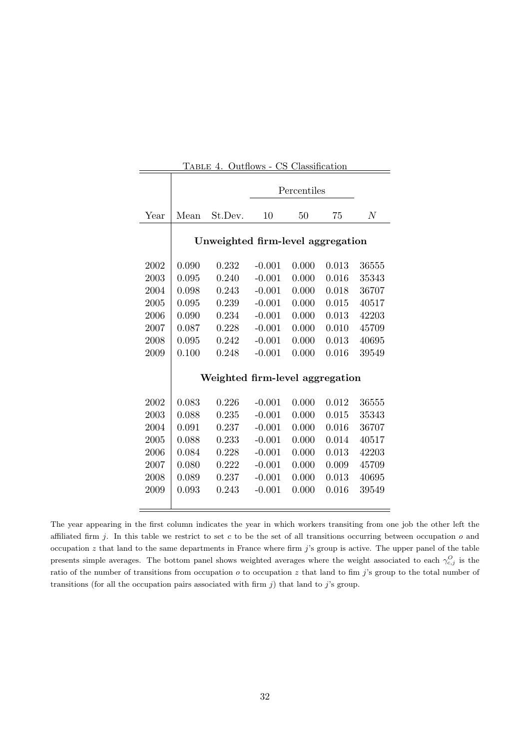<span id="page-32-0"></span>

|      |       | TABLE 4. Outflows - CS Classification |          |             |       |                |
|------|-------|---------------------------------------|----------|-------------|-------|----------------|
|      |       |                                       |          | Percentiles |       |                |
| Year | Mean  | St.Dev.                               | 10       | 50          | 75    | $\overline{N}$ |
|      |       | Unweighted firm-level aggregation     |          |             |       |                |
| 2002 | 0.090 | 0.232                                 | $-0.001$ | 0.000       | 0.013 | 36555          |
| 2003 | 0.095 | 0.240                                 | $-0.001$ | 0.000       | 0.016 | 35343          |
| 2004 | 0.098 | 0.243                                 | $-0.001$ | 0.000       | 0.018 | 36707          |
| 2005 | 0.095 | 0.239                                 | $-0.001$ | 0.000       | 0.015 | 40517          |
| 2006 | 0.090 | 0.234                                 | $-0.001$ | 0.000       | 0.013 | 42203          |
| 2007 | 0.087 | 0.228                                 | $-0.001$ | 0.000       | 0.010 | 45709          |
| 2008 | 0.095 | 0.242                                 | $-0.001$ | 0.000       | 0.013 | 40695          |
| 2009 | 0.100 | 0.248                                 | $-0.001$ | 0.000       | 0.016 | 39549          |
|      |       | Weighted firm-level aggregation       |          |             |       |                |
| 2002 | 0.083 | 0.226                                 | $-0.001$ | 0.000       | 0.012 | 36555          |
| 2003 | 0.088 | 0.235                                 | $-0.001$ | 0.000       | 0.015 | 35343          |
| 2004 | 0.091 | 0.237                                 | $-0.001$ | 0.000       | 0.016 | 36707          |
| 2005 | 0.088 | 0.233                                 | $-0.001$ | 0.000       | 0.014 | 40517          |
| 2006 | 0.084 | 0.228                                 | $-0.001$ | 0.000       | 0.013 | 42203          |
| 2007 | 0.080 | 0.222                                 | $-0.001$ | 0.000       | 0.009 | 45709          |
| 2008 | 0.089 | 0.237                                 | $-0.001$ | 0.000       | 0.013 | 40695          |
| 2009 | 0.093 | 0.243                                 | $-0.001$ | 0.000       | 0.016 | 39549          |
|      |       |                                       |          |             |       |                |

The year appearing in the first column indicates the year in which workers transiting from one job the other left the affiliated firm j. In this table we restrict to set c to be the set of all transitions occurring between occupation  $o$  and occupation  $z$  that land to the same departments in France where firm  $j$ 's group is active. The upper panel of the table presents simple averages. The bottom panel shows weighted averages where the weight associated to each  $\gamma_{c,j}^O$  is the ratio of the number of transitions from occupation  $o$  to occupation  $z$  that land to fim j's group to the total number of transitions (for all the occupation pairs associated with firm  $j$ ) that land to  $j$ 's group.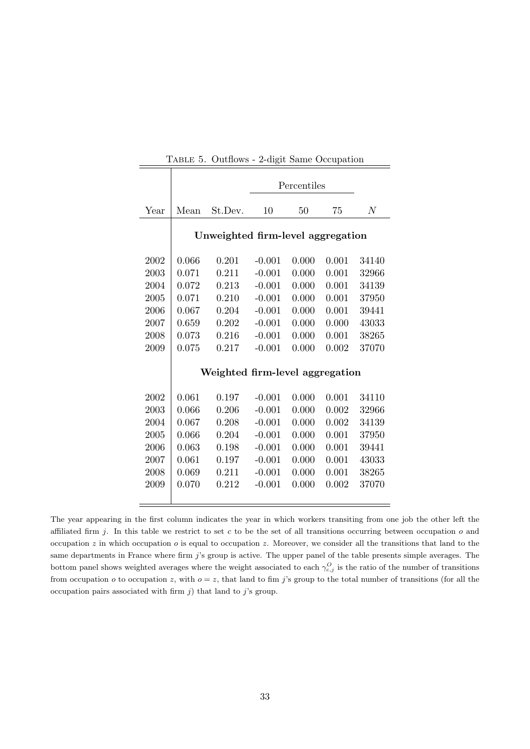<span id="page-33-0"></span>

|      |       |                                   |          | Percentiles |       |                |
|------|-------|-----------------------------------|----------|-------------|-------|----------------|
| Year | Mean  | St.Dev.                           | 10       | 50          | 75    | $\overline{N}$ |
|      |       | Unweighted firm-level aggregation |          |             |       |                |
| 2002 | 0.066 | 0.201                             | $-0.001$ | 0.000       | 0.001 | 34140          |
| 2003 | 0.071 | 0.211                             | $-0.001$ | 0.000       | 0.001 | 32966          |
| 2004 | 0.072 | 0.213                             | $-0.001$ | 0.000       | 0.001 | 34139          |
| 2005 | 0.071 | 0.210                             | $-0.001$ | 0.000       | 0.001 | 37950          |
| 2006 | 0.067 | 0.204                             | $-0.001$ | 0.000       | 0.001 | 39441          |
| 2007 | 0.659 | 0.202                             | $-0.001$ | 0.000       | 0.000 | 43033          |
| 2008 | 0.073 | 0.216                             | $-0.001$ | 0.000       | 0.001 | 38265          |
| 2009 | 0.075 | 0.217                             | $-0.001$ | 0.000       | 0.002 | 37070          |
|      |       | Weighted firm-level aggregation   |          |             |       |                |
| 2002 | 0.061 | 0.197                             | $-0.001$ | 0.000       | 0.001 | 34110          |
| 2003 | 0.066 | 0.206                             | $-0.001$ | 0.000       | 0.002 | 32966          |
| 2004 | 0.067 | 0.208                             | $-0.001$ | 0.000       | 0.002 | 34139          |
| 2005 | 0.066 | 0.204                             | $-0.001$ | 0.000       | 0.001 | 37950          |
| 2006 | 0.063 | 0.198                             | $-0.001$ | 0.000       | 0.001 | 39441          |
| 2007 | 0.061 | 0.197                             | $-0.001$ | 0.000       | 0.001 | 43033          |
| 2008 | 0.069 | 0.211                             | $-0.001$ | 0.000       | 0.001 | 38265          |
| 2009 | 0.070 | 0.212                             | $-0.001$ | 0.000       | 0.002 | 37070          |
|      |       |                                   |          |             |       |                |

Table 5. Outflows - 2-digit Same Occupation

The year appearing in the first column indicates the year in which workers transiting from one job the other left the affiliated firm j. In this table we restrict to set c to be the set of all transitions occurring between occupation  $o$  and occupation  $z$  in which occupation  $o$  is equal to occupation  $z$ . Moreover, we consider all the transitions that land to the same departments in France where firm j's group is active. The upper panel of the table presents simple averages. The bottom panel shows weighted averages where the weight associated to each  $\gamma_{c,j}^O$  is the ratio of the number of transitions from occupation  $o$  to occupation z, with  $o = z$ , that land to fim j's group to the total number of transitions (for all the occupation pairs associated with firm  $j$ ) that land to  $j$ 's group.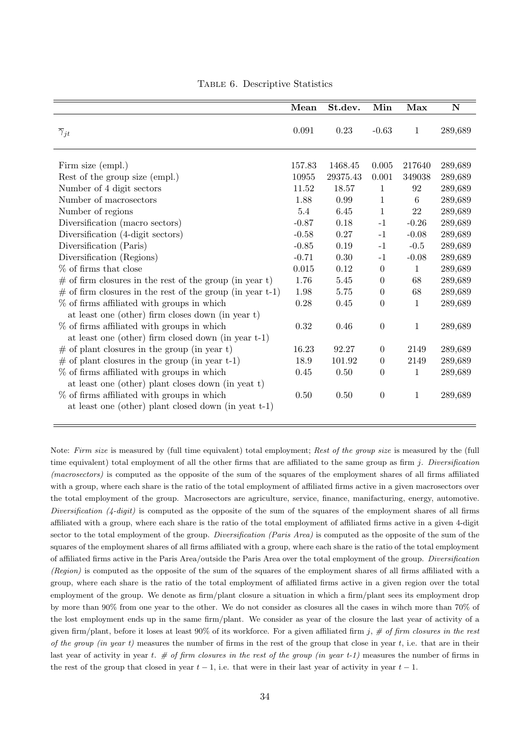<span id="page-34-0"></span>

|                                                                                                                                                                                                                                                                                                                                                                                                                                                                                                                                                                                                                                | Mean                                                                                                                               | St.dev.                                                                                                              | Min                                                                                                                                                                | Max                                                                                                                          | $\mathbf N$                                                                                                                                            |
|--------------------------------------------------------------------------------------------------------------------------------------------------------------------------------------------------------------------------------------------------------------------------------------------------------------------------------------------------------------------------------------------------------------------------------------------------------------------------------------------------------------------------------------------------------------------------------------------------------------------------------|------------------------------------------------------------------------------------------------------------------------------------|----------------------------------------------------------------------------------------------------------------------|--------------------------------------------------------------------------------------------------------------------------------------------------------------------|------------------------------------------------------------------------------------------------------------------------------|--------------------------------------------------------------------------------------------------------------------------------------------------------|
| $\overline{\gamma}_{jt}$                                                                                                                                                                                                                                                                                                                                                                                                                                                                                                                                                                                                       | 0.091                                                                                                                              | 0.23                                                                                                                 | $-0.63$                                                                                                                                                            | $\mathbf{1}$                                                                                                                 | 289,689                                                                                                                                                |
| Firm size (empl.)<br>Rest of the group size (empl.)<br>Number of 4 digit sectors<br>Number of macrosectors<br>Number of regions<br>Diversification (macro sectors)<br>Diversification (4-digit sectors)<br>Diversification (Paris)<br>Diversification (Regions)<br>% of firms that close<br>$\#$ of firm closures in the rest of the group (in year t)<br>$\#$ of firm closures in the rest of the group (in year t-1)<br>% of firms affiliated with groups in which<br>at least one (other) firm closes down (in year t)<br>% of firms affiliated with groups in which<br>at least one (other) firm closed down (in year t-1) | 157.83<br>10955<br>11.52<br>1.88<br>5.4<br>$-0.87$<br>$-0.58$<br>$-0.85$<br>$-0.71$<br>0.015<br>1.76<br>1.98<br>0.28<br>$\rm 0.32$ | 1468.45<br>29375.43<br>18.57<br>0.99<br>6.45<br>0.18<br>0.27<br>0.19<br>0.30<br>0.12<br>5.45<br>5.75<br>0.45<br>0.46 | 0.005<br>0.001<br>1<br>$\mathbf 1$<br>$\mathbf{1}$<br>$-1$<br>$-1$<br>$-1$<br>$-1$<br>$\boldsymbol{0}$<br>$\theta$<br>$\overline{0}$<br>$\overline{0}$<br>$\theta$ | 217640<br>349038<br>92<br>6<br>22<br>$-0.26$<br>$-0.08$<br>$-0.5$<br>$-0.08$<br>$\mathbf{1}$<br>68<br>68<br>1<br>$\mathbf 1$ | 289,689<br>289,689<br>289,689<br>289,689<br>289,689<br>289,689<br>289,689<br>289,689<br>289,689<br>289,689<br>289,689<br>289,689<br>289,689<br>289,689 |
| $\#$ of plant closures in the group (in year t)                                                                                                                                                                                                                                                                                                                                                                                                                                                                                                                                                                                | 16.23                                                                                                                              | 92.27                                                                                                                | $\Omega$                                                                                                                                                           | 2149                                                                                                                         | 289,689                                                                                                                                                |
| $\#$ of plant closures in the group (in year t-1)                                                                                                                                                                                                                                                                                                                                                                                                                                                                                                                                                                              | 18.9                                                                                                                               | 101.92                                                                                                               | $\theta$                                                                                                                                                           | 2149                                                                                                                         | 289,689                                                                                                                                                |
| % of firms affiliated with groups in which<br>at least one (other) plant closes down (in year t)<br>$\%$ of firms affiliated with groups in which<br>at least one (other) plant closed down (in year t-1)                                                                                                                                                                                                                                                                                                                                                                                                                      | 0.45<br>$0.50\,$                                                                                                                   | 0.50<br>0.50                                                                                                         | $\overline{0}$<br>$\theta$                                                                                                                                         | 1<br>1                                                                                                                       | 289,689<br>289,689                                                                                                                                     |

Table 6. Descriptive Statistics

Note: Firm size is measured by (full time equivalent) total employment; Rest of the group size is measured by the (full time equivalent) total employment of all the other firms that are affiliated to the same group as firm  $j$ . Diversification  $(macrosectors)$  is computed as the opposite of the sum of the squares of the employment shares of all firms affiliated with a group, where each share is the ratio of the total employment of affiliated firms active in a given macrosectors over the total employment of the group. Macrosectors are agriculture, service, finance, manifacturing, energy, automotive. Diversification  $(4\t{-}digit)$  is computed as the opposite of the sum of the squares of the employment shares of all firms affiliated with a group, where each share is the ratio of the total employment of affiliated firms active in a given 4-digit sector to the total employment of the group. *Diversification (Paris Area)* is computed as the opposite of the sum of the squares of the employment shares of all firms affiliated with a group, where each share is the ratio of the total employment of affiliated firms active in the Paris Area/outside the Paris Area over the total employment of the group. Diversification (Region) is computed as the opposite of the sum of the squares of the employment shares of all firms affiliated with a group, where each share is the ratio of the total employment of affiliated firms active in a given region over the total employment of the group. We denote as firm/plant closure a situation in which a firm/plant sees its employment drop by more than 90% from one year to the other. We do not consider as closures all the cases in wihch more than 70% of the lost employment ends up in the same firm/plant. We consider as year of the closure the last year of activity of a given firm/plant, before it loses at least 90% of its workforce. For a given affiliated firm j,  $\#$  of firm closures in the rest of the group (in year t) measures the number of firms in the rest of the group that close in year t, i.e. that are in their last year of activity in year t.  $\#$  of firm closures in the rest of the group (in year t-1) measures the number of firms in the rest of the group that closed in year  $t-1$ , i.e. that were in their last year of activity in year  $t-1$ .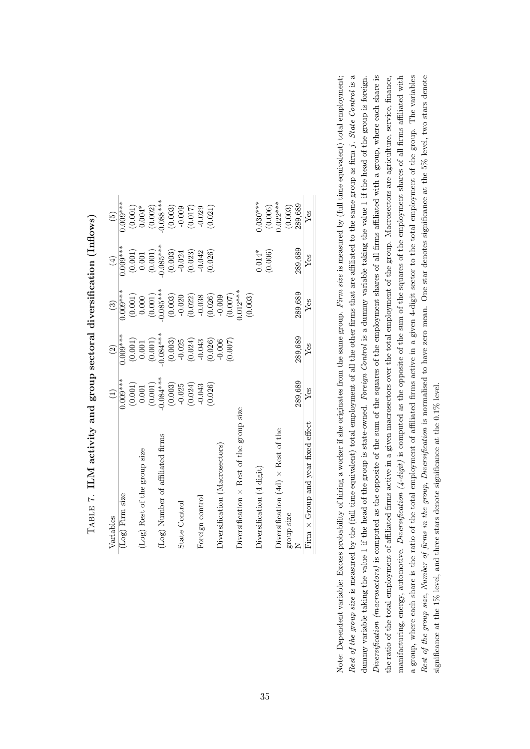| Variables                                       | $\left( 1\right)$                               | $\widehat{c}$                                   | $\widehat{S}$ | $\bigoplus$                                     | $\widetilde{5}$       |
|-------------------------------------------------|-------------------------------------------------|-------------------------------------------------|---------------|-------------------------------------------------|-----------------------|
| (Log) Firm size                                 | $0.009***$                                      | $0.009***$                                      | $0.009***$    | $0.009***$                                      | $0.009***$            |
|                                                 | $\begin{array}{c} (0.001) \\ 0.001 \end{array}$ | $\begin{array}{c} (0.001) \\ 0.001 \end{array}$ | (0.001)       | $\begin{array}{c} (0.001) \\ 0.001 \end{array}$ | $(0.001)$<br>$0.004*$ |
| (Log) Rest of the group size                    |                                                 |                                                 | 0.000         |                                                 |                       |
|                                                 | (0.001)                                         | (0.001)                                         | (0.001)       | (0.001)                                         | (0.002)               |
| (Log) Number of affiliated firms                | $-0.084***$                                     | $0.084***$                                      | $-0.085***$   | $0.085***$                                      | $0.088***$            |
|                                                 | (0.003)                                         | (0.003)                                         | (0.003)       | (0.003)                                         | (0.003)               |
| State Control                                   | $-0.025$                                        | $-0.025$                                        | $-0.020$      | $-0.024$                                        | $-0.009$              |
|                                                 | (0.024)                                         | (0.024)                                         | (0.022)       | (0.023)                                         | (0.017)               |
| Foreign control                                 | $-0.043$                                        | $-0.043$                                        | $-0.038$      | $-0.042$                                        | $-0.029$              |
|                                                 | (0.026)                                         | (0.026)                                         | (0.026)       | (0.026)                                         | (0.021)               |
| Diversification (Macrosectors)                  |                                                 | $-0.006$                                        | $-0.009$      |                                                 |                       |
|                                                 |                                                 | (0.007)                                         | (0.007)       |                                                 |                       |
| Diversification $\times$ Rest of the group size |                                                 |                                                 | $.012***$     |                                                 |                       |
|                                                 |                                                 |                                                 | (0.003)       |                                                 |                       |
| Diversification (4 digit)                       |                                                 |                                                 |               | $0.014*$                                        | $0.030***$            |
|                                                 |                                                 |                                                 |               | (0.006)                                         | (0.006)               |
| Diversification $(4d) \times$ Rest of the       |                                                 |                                                 |               |                                                 | $0.022***$            |
| group size                                      |                                                 |                                                 |               |                                                 | (0.003)               |
|                                                 | 289.689                                         | 289.689                                         | 289,689       | 289,689                                         | 289,689               |
| Firm $\times$ Group and year fixed effect       | $Y$ es                                          | Yes                                             | $Y$ es        | $Y$ es                                          | $Y$ es                |
|                                                 |                                                 |                                                 |               |                                                 |                       |

TABLE 7. ILM activity and group sectoral diversification (Inflows) TABLE 7. ILM activity and group sectoral diversification (Inflows)

<span id="page-35-0"></span>Rest of the group size is measured by the (full time equivalent) total employment of all the other firms that are affiliated to the same group as firm j. State Control is a Rest of the group size is measured by the (full time equivalent) total employment of all the other firms that are affiliated to the same group as firm j. State Control is a Note: Dependent variable: Excess probability of hiring a worker if she originates from the same group. Firm size is measured by (full time equivalent) total employment; Diversification (macrosectors) is computed as the opposite of the sum of the squares of the employment shares of all firms affiliated with a group, where each share is manifacturing, energy, automotive. *Diversification*  $(4\text{-digit)$  is computed as the opposite of the sum of the squares of the employment shares of all firms affiliated with a group, where each share is the ratio of the total employment of affiliated firms active in a given 4-digit sector to the total employment of the group. The variables Rest of the group size, Number of firms in the group, Diversification is normalised to have zero mean. One star denotes significance at the 5% level, two stars denote dummy variable taking the value 1 if the head of the group is state-owned. Foreign Control is a dummy variable taking the value 1 if the head of the group is foreign. Diversification (macrosectors) is computed as the opposite of the sum of the squares of the employment shares of all firms affiliated with a group, where each share is the ratio of the total employment of affiliated firms active in a given macrosectors over the total employment of the group. Macrosectors are agriculture, service, finance, Note: Dependent variable: Excess probability of hiring a worker if she originates from the same group. Firm size is measured by (full time equivalent) total employment; dummy variable taking the value 1 if the head of the group is state-owned. Foreign Control is a dummy variable taking the value 1 if the head of the group is foreign. the ratio of the total employment of affiliated firms active in a given macrosectors over the total employment of the group. Macrosectors are agriculture, service, finance, manifacturing, energy, automotive. Diversification  $(4\text{-digit})$  is computed as the opposite of the squares of the employment shares of all firms affiliated with a group, where each share is the ratio of the total employment of affiliated firms active in a given 4-digit sector to the total employment of the group. The variables Rest of the group size, Number of firms in the group, Diversification is normalised to have zero mean. One star denotes significance at the 5% level, two stars denote significance at the 1% level, and three stars denote significance at the 0.1% level. significance at the 1% level, and three stars denote significance at the 0.1% level.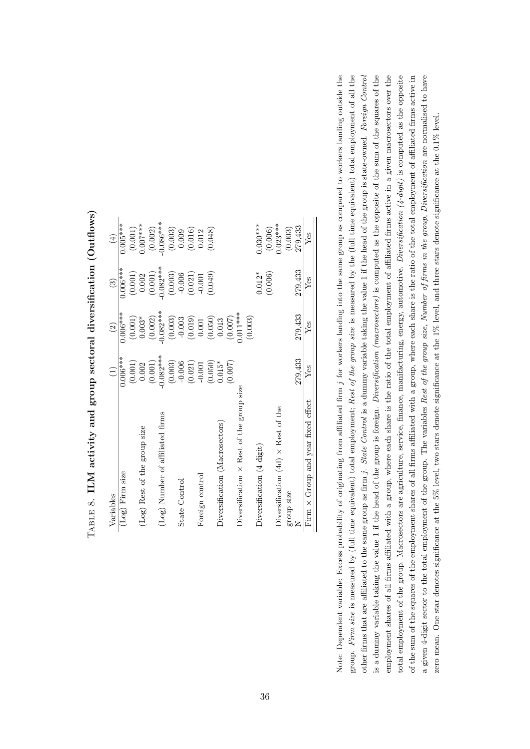| Variables                                       | $\widehat{\Xi}$ | $\widehat{c}$ | $\widehat{c}$ | $\bigoplus$ |
|-------------------------------------------------|-----------------|---------------|---------------|-------------|
| (Log) Firm size                                 | $0.006***$      | $0.006***$    | $0.006***$    | $0.005***$  |
|                                                 | (0.001)         | (0.001)       | (0.001)       | (0.001)     |
| (Log) Rest of the group size                    | 0.002           | $0.003*$      | 0.002         | $0.007***$  |
|                                                 | (0.001)         | (0.002)       | (0.001)       | (0.002)     |
| (Log) Number of affiliated firms                | $-0.082***$     | $0.082***$    | $-0.082***$   | $-0.086***$ |
|                                                 | (0.003)         | (0.003)       | (0.003)       | (0.003)     |
| State Control                                   | $-0.006$        | $-0.003$      | $-0.006$      | 0.009       |
|                                                 | (0.021)         | (0.019)       | (0.021)       | (0.016)     |
| Foreign control                                 | $-0.001$        | $0.001\,$     | $-0.001$      | 0.012       |
|                                                 | (0.050)         | (0.050)       | (0.049)       | (0.048)     |
| Diversification (Macrosectors)                  | $0.015*$        | 0.013         |               |             |
|                                                 | (700.0)         | (0.007)       |               |             |
| Diversification $\times$ Rest of the group size |                 | $0.011***$    |               |             |
|                                                 |                 | (0.003)       |               |             |
| Diversification (4 digit)                       |                 |               | $0.012*$      | $0.030***$  |
|                                                 |                 |               | (0.006)       | (0.006)     |
| Diversification $(4d) \times$ Rest of the       |                 |               |               | $0.023***$  |
| group size                                      |                 |               |               | (0.003)     |
|                                                 | 279,433         | 279,433       | 279,433       | 279,433     |
| Group and year fixed effect<br>$\times$<br>Firm | Yes             | Yes           | $Y$ es        | Yes         |
|                                                 |                 |               |               |             |

 $T_{\text{ABLE}}$ 8. ILM activity and group sectoral diversification (Outflows)  $_{\rm{TABLE 8.~ILM}}$  activity and group sectoral diversification (Outflows)

<span id="page-36-0"></span>Note: Dependent variable: Excess probability of originating from affiliated firm j for workers landing into the same group as compared to workers landing outside the group. Firm size is measured by (full time equivalent) total employment; Rest of the group size is measured by the (full time equivalent) total employment of all the other firms that are affiliated to the same group as firm  $j$ . State Control is a dummy variable taking the value 1 if the head of the group is state-owned. Foreign Control is a dummy variable taking the value 1 if the head of the group is foreign. *Diversification (macrosectors)* is computed as the opposite of the sum of the squares of the employment shares of all firms affiliated with a group, where each share is the ratio of the total employment of affiliated firms active in a given macrosectors over the total employment of the group. Macrosectors are agriculture, service, finance, manifacturing, energy, automotive. *Diversification*  $(4-digit)$  is computed as the opposite of the sum of the squares of the employment shares of all firms affiliated with a group, where each share is the ratio of the total employment of affiliated firms active in a given 4-digit sector to the total employment of the group. The variables Rest of the group size, Number of firms in the group, Diversification are normalised to have other firms that are affiliated to the same group as firm  $j$ . *State Control* is a dummy variable taking the value 1 if the head of the group is state-owned. *Foreign Control* is a dummy variable taking the value 1 if the head of the group is foreign. Diversification (macrosectors) is computed as the opposite of the sum of the squares of the total employment of the group. Macrosectors are agriculture, service, finance, manifacturing, energy, automotive. Diversification  $(4$ -digit) is computed as the opposite a given 4-digit sector to the total employment of the group. The variables Rest of the group of firms in the group, Diversification are normalised to have Note: Dependent variable: Excess probability of originating from affiliated firm j for workers landing into the same group as compared to workers landing outside the group. Firm size is measured by (full time equivalent) total employment; Rest of the group size is measured by the (full time equivalent) total employment of all the employment shares of all firms affiliated with a group, where each share is the ratio of the total employment of affiliated firms active in a given macrosectors over the of the sum of the squares of the employment shares of all firms affiliated with a group, where each share is the ratio of the total employment of affiliated firms active in zero mean. One star denotes significance at the 5% level, two stars denote significance at the 1% level, and three stars denote significance at the 0.1% level. zero mean. One star denotes significance at the 5% level, two stars denote significance at the 1% level, and three stars denote significance at the 0.1% level.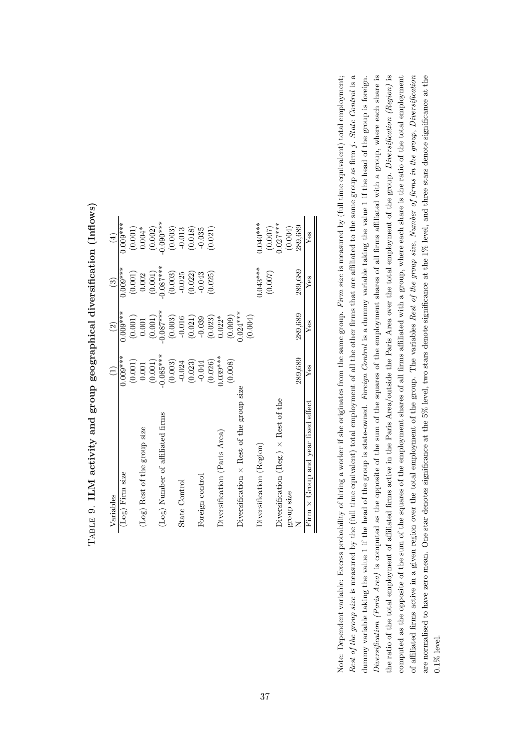| Variables                                       | $\widehat{\Xi}$ | $\widehat{2}$ | $\widehat{c}$ | $\widehat{E}$ |
|-------------------------------------------------|-----------------|---------------|---------------|---------------|
| (Log) Firm size                                 | $0.009***$      | $0.009***$    | $0.009***$    | $0.009***$    |
|                                                 | (0.001)         | (0.001)       | (0.001)       | (0.001)       |
| (Log) Rest of the group size                    | 0.001           | 0.001         | 0.002         | $0.004*$      |
|                                                 | (0.001)         | (0.001)       | (0.001)       | (0.002)       |
| (Log) Number of affiliated firms                | $-0.085***$     | $-0.087***$   | $0.087***$    | $0.090***$    |
|                                                 | (0.003)         | (0.003)       | (0.003)       | (0.003)       |
| State Control                                   | $-0.024$        | $-0.016$      | $-0.025$      | $-0.013$      |
|                                                 | (0.023)         | (0.021)       | (0.022)       | (0.018)       |
| Foreign control                                 | $-0.044$        | $-0.039$      | $-0.043$      | $-0.035$      |
|                                                 | (0.026)         | (0.023)       | (0.025)       | (0.021)       |
| Diversification (Paris Area)                    | $0.039***$      | $0.022*$      |               |               |
|                                                 | (0.008)         | (0.009)       |               |               |
| Diversification $\times$ Rest of the group size |                 | $0.024***$    |               |               |
|                                                 |                 | (0.004)       |               |               |
| Diversification (Region)                        |                 |               | $0.043***$    | $0.040***$    |
|                                                 |                 |               | (0.007)       | (0.007)       |
| Diversification (Reg.) $\times$ Rest of the     |                 |               |               | $0.027***$    |
| group size                                      |                 |               |               | (0.004)       |
|                                                 | 289,689         | 289,689       | 289,689       | 289.689       |
| $\times$ Group and year fixed effect<br>Firm    | $Y$ es          | Yes           | Yes           | Yes           |

TABLE 9. ILM activity and group geographical diversification (Inflows)  $_{\rm TABLE}$  9. ILM activity and group geographical diversification (Inflows)

<span id="page-37-0"></span>Rest of the group size is measured by the (full time equivalent) total employment of all the other firms that are affiliated to the same group as firm j. State Control is a Rest of the group size is measured by the (full time equivalent) total employment of all the other firms that are affiliated to the same group as firm j. State Control is a the ratio of the total employment of affiliated firms active in the Paris Area/outside the Paris Area over the total employment of the group. Diversification (Region) is Note: Dependent variable: Excess probability of hiring a worker if she originates from the same group. Firm size is measured by (full time equivalent) total employment; Diversification (Paris Area) is computed as the opposite of the sum of the squares of the employment shares of all firms affiliated with a group, where each share is computed as the opposite of the sum of the squares of the employment shares of all firms affiliated with a group, where each share is the ratio of the total employment of affiliated firms active in a given region over the total employment of the group. The variables Rest of the group size, Number of firms in the group, Diversification dummy variable taking the value 1 if the head of the group is state-owned. Foreign Control is a dummy variable taking the value 1 if the head of the group is foreign. Diversification (Paris Area) is computed as the opposite of the sum of the squares of the employment shares of all firms affiliated with a group, where each share is the ratio of the total employment of affiliated firms active in the Paris Area/outside the Paris Area over the total employment of the group. Diversification (Region) is of affiliated firms active in a given region over the total employment of the group. The variables Rest of the group size, Number of firms in the group, Diversification are normalised to have zero mean. One star denotes significance at the 5% level, two stars denote significance at the 1% level, and three stars denote significance at the Note: Dependent variable: Excess probability of hiring a worker if she originates from the same group. Firm size is measured by (full time equivalent) total employment; dummy variable taking the value 1 if the head of the group is state-owned. Foreign Control is a dummy variable taking the value 1 if the head of the group is foreign. computed as the opposite of the sum of the squares of the employment shares of all firms affiliated with a group, where each share is the ratio of the total employment are normalised to have zero mean. One star denotes significance at the 5% level, two stars denote significance at the 1% level, and three stars denote significance at the 0.1% level.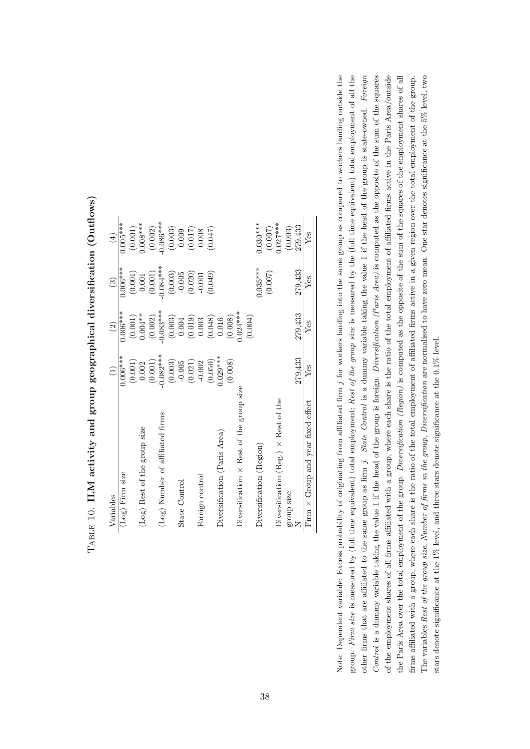| Variables                                       |                       | $\widehat{\mathfrak{D}}$ | $\widehat{\mathbb{C}}$ | $\left( \pm \right)$ |
|-------------------------------------------------|-----------------------|--------------------------|------------------------|----------------------|
| (Log) Firm size                                 | $0.006***$            | $0.006***$               | $0.006***$             | $0.005***$           |
|                                                 | (0.001)               | (0.001)                  | (0.001)                | (0.001)              |
| (Log) Rest of the group size                    | 0.002                 | $0.004**$                | 0.001                  | $0.008***$           |
|                                                 | $\left( 0.001\right)$ | (0.002)                  | $\left( 0.001\right)$  | (0.002)              |
| (Log) Number of affiliated firms                | $-0.082***$           | $-0.083***$              | $-0.084***$            | $0.086***$           |
|                                                 | (0.003)               | (0.003)                  | (0.003)                | (0.003)              |
| State Control                                   | $-0.005$              | $0.004\,$                | $-0.005$               | 0.009                |
|                                                 | (0.021)               | (0.019)                  | (0.020)                | (0.017)              |
| Foreign control                                 | $-0.002$              | 0.003                    | $-0.001$               | 0.008                |
|                                                 | (0.050)               | (0.048)                  | (0.049)                | (740.0)              |
| Diversification (Paris Area)                    | $0.029***$            | 0.016                    |                        |                      |
|                                                 | (9.008)               | (0.008)                  |                        |                      |
| Diversification $\times$ Rest of the group size |                       | $0.024***$               |                        |                      |
|                                                 |                       | (0.004)                  |                        |                      |
| Diversification (Region)                        |                       |                          | $0.035***$             | $0.030***$           |
|                                                 |                       |                          | (0.007)                | (0.007)              |
| Diversification (Reg.) $\times$ Rest of the     |                       |                          |                        | $0.027***$           |
| group size                                      |                       |                          |                        | (0.003)              |
|                                                 | 279,433               | 279,433                  | 279,433                | 279,433              |
| Group and year fixed effect<br>$\times$<br>Firm | Yes                   | Yes                      | Yes                    | Yes                  |

 $T_{\rm ABLE}$  10. ILM activity and group geographical diversification (Outflows)  $\text{T}_{\text{ABLE}}$  10. ILM activity and group geographical diversification (Outflows)

<span id="page-38-0"></span>Note: Dependent variable: Excess probability of originating from affiliated firm j for workers landing into the same group as compared to workers landing outside the group. Firm size is measured by (full time equivalent) total employment; Rest of the group size is measured by the (full time equivalent) total employment of all the other firms that are affiliated to the same group as firm  $j$ . State Control is a dummy variable taking the value 1 if the head of the group is state-owned. Foreign Control is a dummy variable taking the value 1 if the head of the group is foreign. *Diversification (Paris Area)* is computed as the opposite of the sum of the squares of the employment shares of all firms affiliated with a group, where each share is the ratio of the total employment of affiliated firms active in the Paris Area/outside the Paris Area over the total employment of the group. Diversification (Region) is computed as the opposite of the sum of the squares of the employment shares of all The variables Rest of the group size, Number of firms in the group, Diversification are normalised to have zero mean. One star denotes significance at the 5% level, two other firms that are affiliated to the same group as firm j. State Control is a dummy variable taking the value 1 if the head of the group is state-owned. Foreign Control is a dummy variable taking the value 1 if the head of the group is foreign. Diversification (Paris Area) is computed as the opposite of the sum of the squares the Paris Area over the total employment of the group. *Diversification (Region)* is computed as the opposite of the squares of the employment shares of all firms affiliated with a group, where each share is the ratio of the total employment of affiliated firms active in a given region over the total employment of the group. Note: Dependent variable: Excess probability of originating from affiliated firm j for workers landing into the same group as compared to workers landing outside the group. Firm size is measured by (full time equivalent) total employment; Rest of the group size is measured by the (full time equivalent) total employment of all the of the employment shares of all firms affiliated with a group, where each share is the ratio of the total employment of affiliated firms active in the Paris Area/outside firms affiliated with a group, where each share is the ratio of the total employment of affiliated firms active in a given region over the total employment of the group. The variables Rest of the group size, Number of firms in the group, Diversification are normalised to have zero mean. One star denotes significance at the 5% level, two stars denote significance at the 1% level, and three stars denote significance at the 0.1% level. stars denote significance at the 1% level, and three stars denote significance at the  $0.1\%$  level.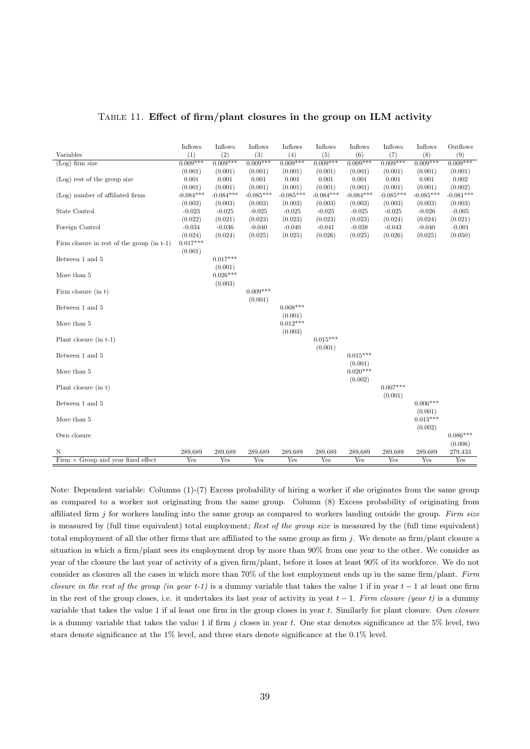<span id="page-39-0"></span>

| Variables                                    | Inflows<br>(1) | Inflows<br>(2) | Inflows<br>(3) | Inflows<br>(4) | Inflows<br>(5) | Inflows<br>(6) | Inflows<br>(7) | Inflows<br>(8)        | Outflows<br>(9)       |
|----------------------------------------------|----------------|----------------|----------------|----------------|----------------|----------------|----------------|-----------------------|-----------------------|
| $(Log)$ firm size                            | $0.009***$     | $0.009***$     | $0.009***$     | $0.009***$     | $0.009***$     | $0.009***$     | $0.009***$     | $0.009***$            | $0.009***$            |
|                                              | (0.001)        | (0.001)        | (0.001)        | (0.001)        | (0.001)        | (0.001)        | (0.001)        | (0.001)               | (0.001)               |
| $(Log)$ rest of the group size               | 0.001          | 0.001          | 0.001          | 0.001          | 0.001          | 0.001          | 0.001          | 0.001                 | 0.002                 |
|                                              | (0.001)        | (0.001)        | (0.001)        | (0.001)        | (0.001)        | (0.001)        | (0.001)        | (0.001)               | (0.002)               |
| (Log) number of affiliated firms             | $-0.084***$    | $-0.084***$    | $-0.085***$    | $-0.085***$    | $-0.084***$    | $-0.084***$    | $-0.085***$    | $-0.085***$           | $-0.081***$           |
|                                              | (0.003)        | (0.003)        | (0.003)        | (0.003)        | (0.003)        | (0.003)        | (0.003)        | (0.003)               | (0.003)               |
| State Control                                | $-0.023$       | $-0.025$       | $-0.025$       | $-0.025$       | $-0.025$       | $-0.025$       | $-0.025$       | $-0.026$              | $-0.005$              |
|                                              | (0.022)        | (0.021)        | (0.023)        | (0.023)        | (0.023)        | (0.023)        | (0.024)        | (0.024)               | (0.021)               |
| Foreign Control                              | $-0.034$       | $-0.036$       | $-0.040$       | $-0.040$       | $-0.041$       | $-0.038$       | $-0.043$       | $-0.040$              | $-0.001$              |
|                                              | (0.024)        | (0.024)        | (0.025)        | (0.025)        | (0.026)        | (0.025)        | (0.026)        | (0.025)               | (0.050)               |
| Firm closure in rest of the group $(in t-1)$ | $0.017***$     |                |                |                |                |                |                |                       |                       |
|                                              | (0.001)        |                |                |                |                |                |                |                       |                       |
| Between 1 and 5                              |                | $0.017***$     |                |                |                |                |                |                       |                       |
|                                              |                | (0.001)        |                |                |                |                |                |                       |                       |
| More than 5                                  |                | $0.026***$     |                |                |                |                |                |                       |                       |
|                                              |                | (0.003)        |                |                |                |                |                |                       |                       |
| Firm closure $(in t)$                        |                |                | $0.009***$     |                |                |                |                |                       |                       |
|                                              |                |                | (0.001)        |                |                |                |                |                       |                       |
| Between 1 and 5                              |                |                |                | $0.008***$     |                |                |                |                       |                       |
|                                              |                |                |                | (0.001)        |                |                |                |                       |                       |
| More than 5                                  |                |                |                | $0.012***$     |                |                |                |                       |                       |
|                                              |                |                |                | (0.003)        |                |                |                |                       |                       |
| Plant closure $(in t-1)$                     |                |                |                |                | $0.015***$     |                |                |                       |                       |
|                                              |                |                |                |                | (0.001)        |                |                |                       |                       |
| Between 1 and 5                              |                |                |                |                |                | $0.015***$     |                |                       |                       |
|                                              |                |                |                |                |                | (0.001)        |                |                       |                       |
| More than 5                                  |                |                |                |                |                | $0.020***$     |                |                       |                       |
|                                              |                |                |                |                |                | (0.002)        |                |                       |                       |
| Plant closure $(in t)$                       |                |                |                |                |                |                | $0.007***$     |                       |                       |
|                                              |                |                |                |                |                |                | (0.001)        |                       |                       |
| Between 1 and 5                              |                |                |                |                |                |                |                | $0.006***$            |                       |
|                                              |                |                |                |                |                |                |                | (0.001)<br>$0.013***$ |                       |
| More than 5                                  |                |                |                |                |                |                |                |                       |                       |
|                                              |                |                |                |                |                |                |                | (0.002)               |                       |
| Own closure                                  |                |                |                |                |                |                |                |                       | $0.086***$<br>(0.006) |
| Ν                                            | 289,689        | 289,689        | 289,689        | 289,689        | 289,689        | 289,689        | 289,689        | 289,689               | 279,433               |
| Firm $\times$ Group and year fixed effect    | Yes            | Yes            | Yes            | Yes            | Yes            | Yes            | Yes            | Yes                   | Yes                   |
|                                              |                |                |                |                |                |                |                |                       |                       |

Table 11. Effect of firm/plant closures in the group on ILM activity

Note: Dependent variable: Columns (1)-(7) Excess probability of hiring a worker if she originates from the same group as compared to a worker not originating from the same group. Column (8) Excess probability of originating from affiliated firm  $j$  for workers landing into the same group as compared to workers landing outside the group. Firm size is measured by (full time equivalent) total employment; Rest of the group size is measured by the (full time equivalent) total employment of all the other firms that are affiliated to the same group as firm j. We denote as firm/plant closure a situation in which a firm/plant sees its employment drop by more than 90% from one year to the other. We consider as year of the closure the last year of activity of a given firm/plant, before it loses at least 90% of its workforce. We do not consider as closures all the cases in which more than 70% of the lost employment ends up in the same firm/plant. Firm closure in the rest of the group (in year t-1) is a dummy variable that takes the value 1 if in year  $t-1$  at least one firm in the rest of the group closes, i.e. it undertakes its last year of activity in yeat  $t-1$ . Firm closure (year t) is a dummy variable that takes the value 1 if al least one firm in the group closes in year  $t$ . Similarly for plant closure. Own closure is a dummy variable that takes the value 1 if firm  $j$  closes in year  $t$ . One star denotes significance at the 5% level, two stars denote significance at the 1% level, and three stars denote significance at the 0.1% level.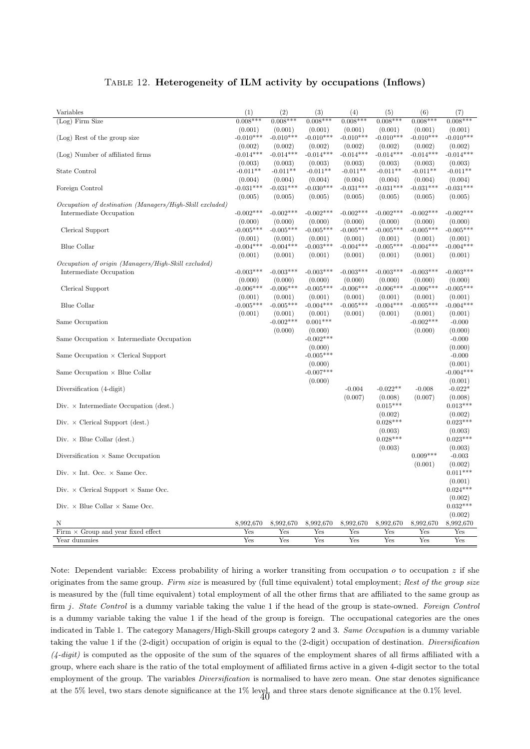#### Table 12. Heterogeneity of ILM activity by occupations (Inflows)

<span id="page-40-0"></span>

| Variables                                                | (1)         | (2)         | (3)         | (4)         | (5)         | (6)         | (7)         |
|----------------------------------------------------------|-------------|-------------|-------------|-------------|-------------|-------------|-------------|
| $(Log)$ Firm Size                                        | $0.008***$  | $0.008***$  | $0.008***$  | $0.008***$  | $0.008***$  | $0.008***$  | $0.008***$  |
|                                                          | (0.001)     | (0.001)     | (0.001)     | (0.001)     | (0.001)     | (0.001)     | (0.001)     |
| (Log) Rest of the group size                             | $-0.010***$ | $-0.010***$ | $-0.010***$ | $-0.010***$ | $-0.010***$ | $-0.010***$ | $-0.010***$ |
|                                                          | (0.002)     | (0.002)     | (0.002)     | (0.002)     | (0.002)     | (0.002)     | (0.002)     |
| (Log) Number of affiliated firms                         | $-0.014***$ | $-0.014***$ | $-0.014***$ | $-0.014***$ | $-0.014***$ | $-0.014***$ | $-0.014***$ |
|                                                          | (0.003)     | (0.003)     | (0.003)     | (0.003)     | (0.003)     | (0.003)     | (0.003)     |
| State Control                                            | $-0.011**$  | $-0.011**$  | $-0.011**$  | $-0.011**$  | $-0.011**$  | $-0.011**$  | $-0.011**$  |
|                                                          | (0.004)     | (0.004)     | (0.004)     | (0.004)     | (0.004)     | (0.004)     | (0.004)     |
| Foreign Control                                          | $-0.031***$ | $-0.031***$ | $-0.030***$ | $-0.031***$ | $-0.031***$ | $-0.031***$ | $-0.031***$ |
|                                                          | (0.005)     | (0.005)     | (0.005)     | (0.005)     | (0.005)     | (0.005)     | (0.005)     |
| Occupation of destination (Managers/High-Skill excluded) |             |             |             |             |             |             |             |
| Intermediate Occupation                                  | $-0.002***$ | $-0.002***$ | $-0.002***$ | $-0.002***$ | $-0.002***$ | $-0.002***$ | $-0.002***$ |
|                                                          | (0.000)     | (0.000)     | (0.000)     | (0.000)     | (0.000)     | (0.000)     | (0.000)     |
| Clerical Support                                         | $-0.005***$ | $-0.005***$ | $-0.005***$ | $-0.005***$ | $-0.005***$ | $-0.005***$ | $-0.005***$ |
|                                                          | (0.001)     | (0.001)     | (0.001)     | (0.001)     | (0.001)     | (0.001)     | (0.001)     |
| Blue Collar                                              | $-0.004***$ | $-0.004***$ | $-0.003***$ | $-0.004***$ | $-0.005***$ | $-0.004***$ | $-0.004***$ |
|                                                          | (0.001)     | (0.001)     | (0.001)     | (0.001)     | (0.001)     | (0.001)     | (0.001)     |
| Occupation of origin (Managers/High-Skill excluded)      |             |             |             |             |             |             |             |
| Intermediate Occupation                                  | $-0.003***$ | $-0.003***$ | $-0.003***$ | $-0.003***$ | $-0.003***$ | $-0.003***$ | $-0.003***$ |
|                                                          | (0.000)     | (0.000)     | (0.000)     | (0.000)     | (0.000)     | (0.000)     | (0.000)     |
| Clerical Support                                         | $-0.006***$ | $-0.006***$ | $-0.005***$ | $-0.006***$ | $-0.006***$ | $-0.006***$ | $-0.005***$ |
|                                                          | (0.001)     | (0.001)     | (0.001)     | (0.001)     | (0.001)     | (0.001)     | (0.001)     |
| Blue Collar                                              | $-0.005***$ | $-0.005***$ | $-0.004***$ | $-0.005***$ | $-0.004***$ | $-0.005***$ | $-0.004***$ |
|                                                          | (0.001)     | (0.001)     | (0.001)     | (0.001)     | (0.001)     | (0.001)     | (0.001)     |
| Same Occupation                                          |             | $-0.002***$ | $0.001***$  |             |             | $-0.002***$ | $-0.000$    |
|                                                          |             | (0.000)     | (0.000)     |             |             | (0.000)     | (0.000)     |
| Same Occupation $\times$ Intermediate Occupation         |             |             | $-0.002***$ |             |             |             | $-0.000$    |
|                                                          |             |             |             |             |             |             |             |
|                                                          |             |             | (0.000)     |             |             |             | (0.000)     |
| Same Occupation $\times$ Clerical Support                |             |             | $-0.005***$ |             |             |             | $-0.000$    |
|                                                          |             |             | (0.000)     |             |             |             | (0.001)     |
| Same Occupation $\times$ Blue Collar                     |             |             | $-0.007***$ |             |             |             | $-0.004***$ |
|                                                          |             |             | (0.000)     |             |             |             | (0.001)     |
| Diversification (4-digit)                                |             |             |             | $-0.004$    | $-0.022**$  | $-0.008$    | $-0.022*$   |
|                                                          |             |             |             | (0.007)     | (0.008)     | (0.007)     | (0.008)     |
| Div. $\times$ Intermediate Occupation (dest.)            |             |             |             |             | $0.015***$  |             | $0.013***$  |
|                                                          |             |             |             |             | (0.002)     |             | (0.002)     |
| Div. $\times$ Clerical Support (dest.)                   |             |             |             |             | $0.028***$  |             | $0.023***$  |
|                                                          |             |             |             |             | (0.003)     |             | (0.003)     |
| Div. $\times$ Blue Collar (dest.)                        |             |             |             |             | $0.028***$  |             | $0.023***$  |
|                                                          |             |             |             |             | (0.003)     |             | (0.003)     |
| Diversification $\times$ Same Occupation                 |             |             |             |             |             | $0.009***$  | $-0.003$    |
|                                                          |             |             |             |             |             | (0.001)     | (0.002)     |
| Div. $\times$ Int. Occ. $\times$ Same Occ.               |             |             |             |             |             |             | $0.011***$  |
|                                                          |             |             |             |             |             |             | (0.001)     |
| Div. $\times$ Clerical Support $\times$ Same Occ.        |             |             |             |             |             |             | $0.024***$  |
|                                                          |             |             |             |             |             |             | (0.002)     |
| Div. $\times$ Blue Collar $\times$ Same Occ.             |             |             |             |             |             |             | $0.032***$  |
|                                                          |             |             |             |             |             |             | (0.002)     |
| Ν                                                        | 8,992,670   | 8,992,670   | 8,992,670   | 8,992,670   | 8,992,670   | 8,992,670   | 8,992,670   |
| Firm $\times$ Group and year fixed effect                | Yes         | Yes         | Yes         | Yes         | Yes         | Yes         | Yes         |
| Year dummies                                             | Yes         | Yes         | Yes         | Yes         | Yes         | Yes         | Yes         |

Note: Dependent variable: Excess probability of hiring a worker transiting from occupation  $o$  to occupation  $z$  if she originates from the same group. Firm size is measured by (full time equivalent) total employment; Rest of the group size is measured by the (full time equivalent) total employment of all the other firms that are affiliated to the same group as firm j. State Control is a dummy variable taking the value 1 if the head of the group is state-owned. Foreign Control is a dummy variable taking the value 1 if the head of the group is foreign. The occupational categories are the ones indicated in Table 1. The category Managers/High-Skill groups category 2 and 3. Same Occupation is a dummy variable taking the value 1 if the (2-digit) occupation of origin is equal to the (2-digit) occupation of destination. Diversification  $(4\t{-}digit)$  is computed as the opposite of the sum of the squares of the employment shares of all firms affiliated with a group, where each share is the ratio of the total employment of affiliated firms active in a given 4-digit sector to the total employment of the group. The variables *Diversification* is normalised to have zero mean. One star denotes significance at the 5% level, two stars denote significance at the 1% level, and three stars denote significance at the 0.1% level. 40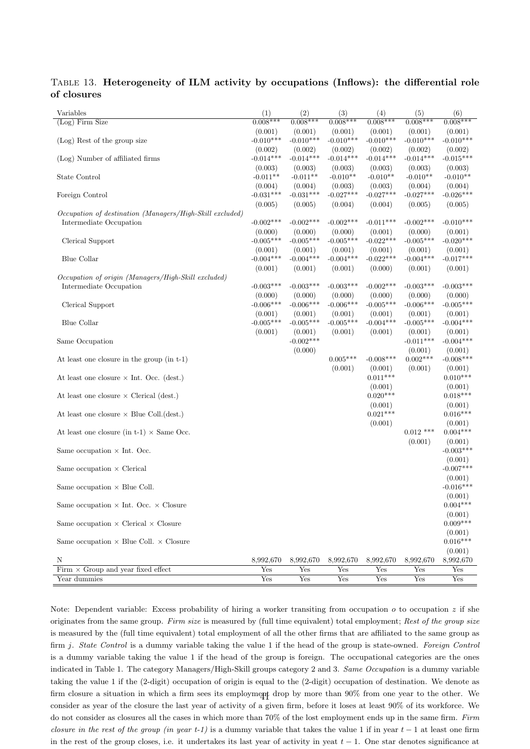| Variables                                                | (1)         | (2)         | (3)         | (4)         | (5)         | (6)         |
|----------------------------------------------------------|-------------|-------------|-------------|-------------|-------------|-------------|
| (Log) Firm Size                                          | $0.008***$  | $0.008***$  | $0.008***$  | $0.008***$  | $0.008***$  | $0.008***$  |
|                                                          | (0.001)     | (0.001)     | (0.001)     | (0.001)     | (0.001)     | (0.001)     |
| (Log) Rest of the group size                             | $-0.010***$ | $-0.010***$ | $-0.010***$ | $-0.010***$ | $-0.010***$ | $-0.010***$ |
|                                                          | (0.002)     | (0.002)     | (0.002)     | (0.002)     | (0.002)     | (0.002)     |
| (Log) Number of affiliated firms                         | $-0.014***$ | $-0.014***$ | $-0.014***$ | $-0.014***$ | $-0.014***$ | $-0.015***$ |
|                                                          | (0.003)     | (0.003)     | (0.003)     | (0.003)     | (0.003)     | (0.003)     |
| State Control                                            | $-0.011**$  | $-0.011**$  | $-0.010**$  | $-0.010**$  | $-0.010**$  | $-0.010**$  |
|                                                          | (0.004)     | (0.004)     | (0.003)     | (0.003)     | (0.004)     | (0.004)     |
| Foreign Control                                          | $-0.031***$ | $-0.031***$ | $-0.027***$ | $-0.027***$ | $-0.027***$ | $-0.026***$ |
|                                                          | (0.005)     | (0.005)     | (0.004)     | (0.004)     | (0.005)     | (0.005)     |
| Occupation of destination (Managers/High-Skill excluded) |             |             |             |             |             |             |
| Intermediate Occupation                                  | $-0.002***$ | $-0.002***$ | $-0.002***$ | $-0.011***$ | $-0.002***$ | $-0.010***$ |
|                                                          | (0.000)     | (0.000)     | (0.000)     | (0.001)     | (0.000)     | (0.001)     |
| Clerical Support                                         | $-0.005***$ | $-0.005***$ | $-0.005***$ | $-0.022***$ | $-0.005***$ | $-0.020***$ |
|                                                          | (0.001)     | (0.001)     | (0.001)     | (0.001)     | (0.001)     | (0.001)     |
| Blue Collar                                              | $-0.004***$ | $-0.004***$ | $-0.004***$ | $-0.022***$ | $-0.004***$ | $-0.017***$ |
|                                                          | (0.001)     | (0.001)     | (0.001)     | (0.000)     | (0.001)     | (0.001)     |
| Occupation of origin (Managers/High-Skill excluded)      |             |             |             |             |             |             |
| Intermediate Occupation                                  | $-0.003***$ | $-0.003***$ | $-0.003***$ | $-0.002***$ | $-0.003***$ | $-0.003***$ |
|                                                          | (0.000)     | (0.000)     | (0.000)     | (0.000)     | (0.000)     | (0.000)     |
| Clerical Support                                         | $-0.006***$ | $-0.006***$ | $-0.006***$ | $-0.005***$ | $-0.006***$ | $-0.005***$ |
|                                                          | (0.001)     | (0.001)     | (0.001)     | (0.001)     | (0.001)     | (0.001)     |
| Blue Collar                                              | $-0.005***$ | $-0.005***$ | $-0.005***$ | $-0.004***$ | $-0.005***$ | $-0.004***$ |
|                                                          | (0.001)     | (0.001)     | (0.001)     | (0.001)     | (0.001)     | (0.001)     |
| Same Occupation                                          |             | $-0.002***$ |             |             | $-0.011***$ | $-0.004***$ |
|                                                          |             | (0.000)     |             |             | (0.001)     | (0.001)     |
| At least one closure in the group (in t-1)               |             |             | $0.005***$  | $-0.008***$ | $0.002***$  | $-0.008***$ |
|                                                          |             |             | (0.001)     | (0.001)     | (0.001)     | (0.001)     |
| At least one closure $\times$ Int. Occ. (dest.)          |             |             |             | $0.011***$  |             | $0.010***$  |
|                                                          |             |             |             | (0.001)     |             | (0.001)     |
| At least one closure $\times$ Clerical (dest.)           |             |             |             | $0.020***$  |             | $0.018***$  |
|                                                          |             |             |             | (0.001)     |             | (0.001)     |
| At least one closure $\times$ Blue Coll. (dest.)         |             |             |             | $0.021***$  |             | $0.016***$  |
|                                                          |             |             |             | (0.001)     |             | (0.001)     |
| At least one closure (in t-1) $\times$ Same Occ.         |             |             |             |             | $0.012$ *** | $0.004***$  |
|                                                          |             |             |             |             | (0.001)     | (0.001)     |
| Same occupation $\times$ Int. Occ.                       |             |             |             |             |             | $-0.003***$ |
|                                                          |             |             |             |             |             | (0.001)     |
| Same occupation $\times$ Clerical                        |             |             |             |             |             | $-0.007***$ |
|                                                          |             |             |             |             |             | (0.001)     |
| Same occupation $\times$ Blue Coll.                      |             |             |             |             |             | $-0.016***$ |
|                                                          |             |             |             |             |             | (0.001)     |
| Same occupation $\times$ Int. Occ. $\times$ Closure      |             |             |             |             |             | $0.004***$  |
|                                                          |             |             |             |             |             | (0.001)     |
| Same occupation $\times$ Clerical $\times$ Closure       |             |             |             |             |             | $0.009***$  |
|                                                          |             |             |             |             |             | (0.001)     |
| Same occupation $\times$ Blue Coll. $\times$ Closure     |             |             |             |             |             | $0.016***$  |
|                                                          |             |             |             |             |             | (0.001)     |
| N                                                        | 8,992,670   | 8,992,670   | 8,992,670   | 8,992,670   | 8,992,670   | 8,992,670   |
| Firm $\times$ Group and year fixed effect                | Yes         | Yes         | Yes         | Yes         | Yes         | Yes         |
| Year dummies                                             | Yes         | Yes         | Yes         | Yes         | Yes         | Yes         |

#### <span id="page-41-0"></span>Table 13. Heterogeneity of ILM activity by occupations (Inflows): the differential role of closures

Note: Dependent variable: Excess probability of hiring a worker transiting from occupation  $\rho$  to occupation z if she originates from the same group. Firm size is measured by (full time equivalent) total employment; Rest of the group size is measured by the (full time equivalent) total employment of all the other firms that are affiliated to the same group as firm j. State Control is a dummy variable taking the value 1 if the head of the group is state-owned. Foreign Control is a dummy variable taking the value 1 if the head of the group is foreign. The occupational categories are the ones indicated in Table 1. The category Managers/High-Skill groups category 2 and 3. Same Occupation is a dummy variable taking the value 1 if the (2-digit) occupation of origin is equal to the (2-digit) occupation of destination. We denote as firm closure a situation in which a firm sees its employment drop by more than  $90\%$  from one year to the other. We consider as year of the closure the last year of activity of a given firm, before it loses at least 90% of its workforce. We do not consider as closures all the cases in which more than 70% of the lost employment ends up in the same firm. Firm closure in the rest of the group (in year t-1) is a dummy variable that takes the value 1 if in year  $t-1$  at least one firm in the rest of the group closes, i.e. it undertakes its last year of activity in yeat  $t - 1$ . One star denotes significance at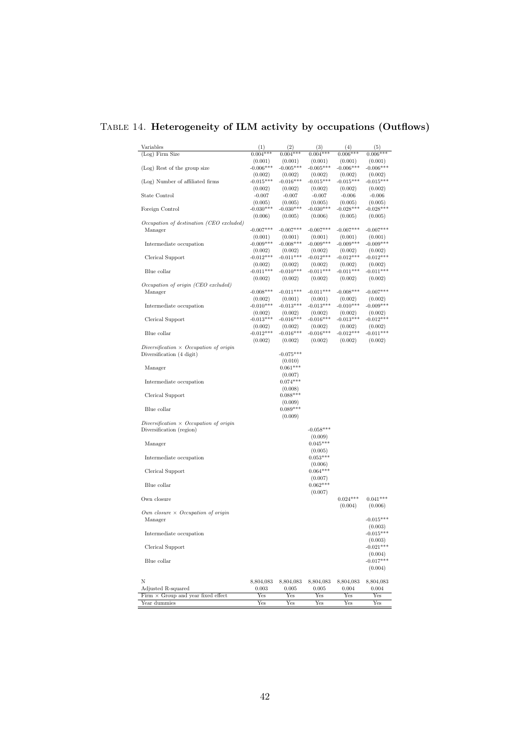# Table 14. Heterogeneity of ILM activity by occupations (Outflows)

| Variables<br>(Log) Firm Size                                              | (1)<br>$0.004***$      | (2)<br>$0.004***$      | (3)<br>$0.004***$      | (4)<br>$0.006***$      | (5)<br>$0.006***$      |
|---------------------------------------------------------------------------|------------------------|------------------------|------------------------|------------------------|------------------------|
|                                                                           | (0.001)                | (0.001)                | (0.001)                | (0.001)                | (0.001)                |
| (Log) Rest of the group size                                              | $-0.006***$            | $-0.005***$            | $-0.005***$            | $-0.006***$            | $-0.006***$            |
| (Log) Number of affiliated firms                                          | (0.002)<br>$-0.015***$ | (0.002)<br>$-0.016***$ | (0.002)<br>$-0.015***$ | (0.002)<br>$-0.015***$ | (0.002)<br>$-0.015***$ |
|                                                                           | (0.002)                | (0.002)                | (0.002)                | (0.002)                | (0.002)                |
| State Control                                                             | $-0.007$               | $-0.007$               | $-0.007$               | $-0.006$               | $-0.006$               |
| Foreign Control                                                           | (0.005)<br>$-0.030***$ | (0.005)<br>$-0.030***$ | (0.005)<br>$-0.030***$ | (0.005)<br>$-0.028***$ | (0.005)<br>$-0.028***$ |
|                                                                           | (0.006)                | (0.005)                | (0.006)                | (0.005)                | (0.005)                |
| Occupation of destination (CEO excluded)                                  |                        |                        |                        |                        |                        |
| Manager                                                                   | $-0.007***$            | $-0.007***$            | $-0.007***$            | $-0.007***$            | $-0.007***$            |
| Intermediate occupation                                                   | (0.001)<br>$-0.009***$ | (0.001)<br>$-0.008***$ | (0.001)<br>$-0.009***$ | (0.001)<br>$-0.009***$ | (0.001)<br>$-0.009***$ |
|                                                                           | (0.002)                | (0.002)                | (0.002)                | (0.002)                | (0.002)                |
| Clerical Support                                                          | $-0.012***$            | $-0.011***$            | $-0.012***$            | $-0.012***$            | $-0.012***$            |
| Blue collar                                                               | (0.002)<br>$-0.011***$ | (0.002)<br>$-0.010***$ | (0.002)<br>$-0.011***$ | (0.002)<br>$-0.011***$ | (0.002)<br>$-0.011***$ |
|                                                                           | (0.002)                | (0.002)                | (0.002)                | (0.002)                | (0.002)                |
| Occupation of origin (CEO excluded)                                       |                        |                        |                        |                        |                        |
| Manager                                                                   | $-0.008***$            | $-0.011***$            | $-0.011***$            | $-0.008***$            | $-0.007***$            |
| Intermediate occupation                                                   | (0.002)<br>$-0.010***$ | (0.001)<br>$-0.013***$ | (0.001)<br>$-0.013***$ | (0.002)<br>$-0.010***$ | (0.002)<br>$-0.009***$ |
|                                                                           | (0.002)                | (0.002)                | (0.002)                | (0.002)                | (0.002)                |
| Clerical Support                                                          | $-0.013***$            | $-0.016***$            | $-0.016***$            | $-0.013***$            | $-0.012***$            |
| Blue collar                                                               | (0.002)<br>$-0.012***$ | (0.002)<br>$-0.016***$ | (0.002)                | (0.002)<br>$-0.012***$ | (0.002)<br>$-0.011***$ |
|                                                                           | (0.002)                | (0.002)                | $-0.016***$<br>(0.002) | (0.002)                | (0.002)                |
| $Diversification \times Occupation$ of origin                             |                        |                        |                        |                        |                        |
| Diversification (4 digit)                                                 |                        | $-0.075***$            |                        |                        |                        |
| Manager                                                                   |                        | (0.010)<br>$0.061***$  |                        |                        |                        |
|                                                                           |                        | (0.007)                |                        |                        |                        |
| Intermediate occupation                                                   |                        | $0.074***$             |                        |                        |                        |
|                                                                           |                        | (0.008)                |                        |                        |                        |
| Clerical Support                                                          |                        | $0.088***$<br>(0.009)  |                        |                        |                        |
| Blue collar                                                               |                        | $0.089***$             |                        |                        |                        |
|                                                                           |                        | (0.009)                |                        |                        |                        |
| Diversification $\times$ Occupation of origin<br>Diversification (region) |                        |                        | $-0.058***$            |                        |                        |
|                                                                           |                        |                        | (0.009)                |                        |                        |
| Manager                                                                   |                        |                        | $0.045***$             |                        |                        |
| Intermediate occupation                                                   |                        |                        | (0.005)<br>$0.053***$  |                        |                        |
|                                                                           |                        |                        | (0.006)                |                        |                        |
| Clerical Support                                                          |                        |                        | $0.064***$             |                        |                        |
|                                                                           |                        |                        | (0.007)                |                        |                        |
| Blue collar                                                               |                        |                        | $0.062***$<br>(0.007)  |                        |                        |
| Own closure                                                               |                        |                        |                        | $0.024***$             | $0.041***$             |
|                                                                           |                        |                        |                        | (0.004)                | (0.006)                |
| Own closure $\times$ Occupation of origin<br>Manager                      |                        |                        |                        |                        | $-0.015***$            |
|                                                                           |                        |                        |                        |                        | (0.003)                |
| Intermediate occupation                                                   |                        |                        |                        |                        | $-0.015***$            |
|                                                                           |                        |                        |                        |                        | (0.003)                |
| Clerical Support                                                          |                        |                        |                        |                        | $-0.021***$<br>(0.004) |
| Blue collar                                                               |                        |                        |                        |                        | $-0.017***$            |
|                                                                           |                        |                        |                        |                        | (0.004)                |
| N                                                                         | 8,804,083              | 8,804,083              | 8,804,083              | 8,804,083              | 8,804,083              |
| Adjusted R-squared                                                        | 0.003                  | 0.005                  | 0.005                  | 0.004                  | 0.004                  |
| Firm $\times$ Group and year fixed effect                                 | Yes                    | Yes                    | Yes                    | $_{\rm Yes}$           | Yes                    |
| Year dummies                                                              | Yes                    | Yes                    | Yes                    | Yes                    | Yes                    |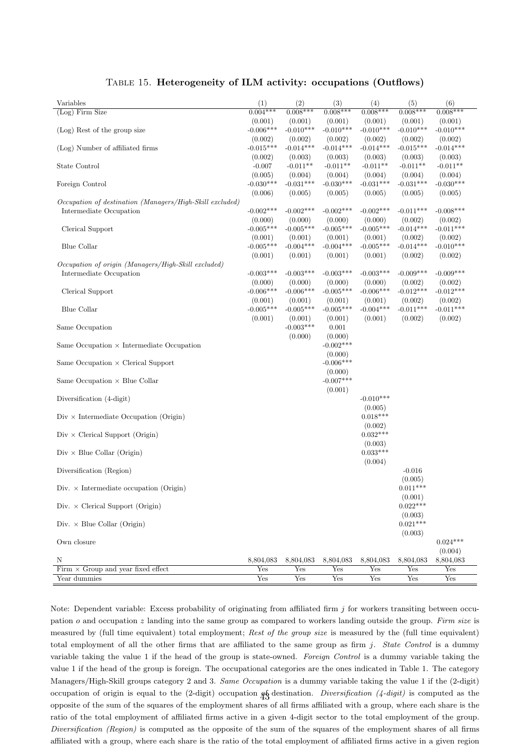| Variables                                                | (1)         | (2)         | (3)         | (4)         | (5)         | (6)         |
|----------------------------------------------------------|-------------|-------------|-------------|-------------|-------------|-------------|
| $(\text{Log})$ Firm Size                                 | $0.004***$  | $0.008***$  | $0.008***$  | $0.008***$  | $0.008***$  | $0.008***$  |
|                                                          | (0.001)     | (0.001)     | (0.001)     | (0.001)     | (0.001)     | (0.001)     |
| (Log) Rest of the group size                             | $-0.006***$ | $-0.010***$ | $-0.010***$ | $-0.010***$ | $-0.010***$ | $-0.010***$ |
|                                                          | (0.002)     | (0.002)     | (0.002)     | (0.002)     | (0.002)     | (0.002)     |
| (Log) Number of affiliated firms                         | $-0.015***$ | $-0.014***$ | $-0.014***$ | $-0.014***$ | $-0.015***$ | $-0.014***$ |
|                                                          | (0.002)     | (0.003)     | (0.003)     | (0.003)     | (0.003)     | (0.003)     |
| State Control                                            | $-0.007$    | $-0.011**$  | $-0.011**$  | $-0.011**$  | $-0.011**$  | $-0.011**$  |
|                                                          | (0.005)     | (0.004)     | (0.004)     | (0.004)     | (0.004)     | (0.004)     |
| Foreign Control                                          | $-0.030***$ | $-0.031***$ | $-0.030***$ | $-0.031***$ | $-0.031***$ | $-0.030***$ |
|                                                          | (0.006)     | (0.005)     | (0.005)     | (0.005)     | (0.005)     | (0.005)     |
| Occupation of destination (Managers/High-Skill excluded) |             |             |             |             |             |             |
| Intermediate Occupation                                  | $-0.002***$ | $-0.002***$ | $-0.002***$ | $-0.002***$ | $-0.011***$ | $-0.008***$ |
|                                                          | (0.000)     | (0.000)     | (0.000)     | (0.000)     | (0.002)     | (0.002)     |
| Clerical Support                                         | $-0.005***$ | $-0.005***$ | $-0.005***$ | $-0.005***$ | $-0.014***$ | $-0.011***$ |
|                                                          | (0.001)     | (0.001)     | (0.001)     | (0.001)     | (0.002)     | (0.002)     |
| Blue Collar                                              | $-0.005***$ | $-0.004***$ | $-0.004***$ | $-0.005***$ | $-0.014***$ | $-0.010***$ |
|                                                          | (0.001)     | (0.001)     | (0.001)     | (0.001)     | (0.002)     | (0.002)     |
| Occupation of origin (Managers/High-Skill excluded)      |             |             |             |             |             |             |
| Intermediate Occupation                                  | $-0.003***$ | $-0.003***$ | $-0.003***$ | $-0.003***$ | $-0.009***$ | $-0.009***$ |
|                                                          | (0.000)     | (0.000)     | (0.000)     | (0.000)     | (0.002)     | (0.002)     |
| Clerical Support                                         | $-0.006***$ | $-0.006***$ | $-0.005***$ | $-0.006***$ | $-0.012***$ | $-0.012***$ |
|                                                          | (0.001)     | (0.001)     | (0.001)     | (0.001)     | (0.002)     | (0.002)     |
| Blue Collar                                              | $-0.005***$ | $-0.005***$ | $-0.005***$ | $-0.004***$ | $-0.011***$ | $-0.011***$ |
|                                                          | (0.001)     | (0.001)     | (0.001)     | (0.001)     | (0.002)     | (0.002)     |
| Same Occupation                                          |             | $-0.003***$ | 0.001       |             |             |             |
|                                                          |             | (0.000)     | (0.000)     |             |             |             |
| Same Occupation $\times$ Intermediate Occupation         |             |             | $-0.002***$ |             |             |             |
|                                                          |             |             | (0.000)     |             |             |             |
| Same Occupation $\times$ Clerical Support                |             |             | $-0.006***$ |             |             |             |
|                                                          |             |             | (0.000)     |             |             |             |
| Same Occupation $\times$ Blue Collar                     |             |             | $-0.007***$ |             |             |             |
|                                                          |             |             | (0.001)     |             |             |             |
| Diversification (4-digit)                                |             |             |             | $-0.010***$ |             |             |
|                                                          |             |             |             | (0.005)     |             |             |
| $Div \times$ Intermediate Occupation (Origin)            |             |             |             | $0.018***$  |             |             |
|                                                          |             |             |             | (0.002)     |             |             |
| $Div \times$ Clerical Support (Origin)                   |             |             |             | $0.032***$  |             |             |
|                                                          |             |             |             | (0.003)     |             |             |
| $\mathrm{Div}\,\times\,\mathrm{Blue}$ Collar (Origin)    |             |             |             | $0.033***$  |             |             |
|                                                          |             |             |             | (0.004)     |             |             |
| Diversification (Region)                                 |             |             |             |             | $-0.016$    |             |
|                                                          |             |             |             |             | (0.005)     |             |
| Div. $\times$ Intermediate occupation (Origin)           |             |             |             |             | $0.011***$  |             |
|                                                          |             |             |             |             | (0.001)     |             |
| Div. $\times$ Clerical Support (Origin)                  |             |             |             |             | $0.022***$  |             |
|                                                          |             |             |             |             | (0.003)     |             |
| Div. $\times$ Blue Collar (Origin)                       |             |             |             |             | $0.021***$  |             |
|                                                          |             |             |             |             | (0.003)     |             |
| Own closure                                              |             |             |             |             |             | $0.024***$  |
|                                                          |             |             |             |             |             | (0.004)     |
| Ν                                                        | 8,804,083   | 8,804,083   | 8,804,083   | 8,804,083   | 8,804,083   | 8,804,083   |
| Firm $\times$ Group and year fixed effect                | Yes         | Yes         | Yes         | Yes         | Yes         | Yes         |
| Year dummies                                             | Yes         | Yes         | Yes         | Yes         | Yes         | Yes         |

#### Table 15. Heterogeneity of ILM activity: occupations (Outflows)

Note: Dependent variable: Excess probability of originating from affiliated firm  $j$  for workers transiting between occupation  $o$  and occupation  $z$  landing into the same group as compared to workers landing outside the group. Firm size is measured by (full time equivalent) total employment; Rest of the group size is measured by the (full time equivalent) total employment of all the other firms that are affiliated to the same group as firm  $j$ . State Control is a dummy variable taking the value 1 if the head of the group is state-owned. Foreign Control is a dummy variable taking the value 1 if the head of the group is foreign. The occupational categories are the ones indicated in Table 1. The category Managers/High-Skill groups category 2 and 3. Same Occupation is a dummy variable taking the value 1 if the (2-digit) occupation of origin is equal to the (2-digit) occupation  $q_3^f$  destination. Diversification (4-digit) is computed as the opposite of the sum of the squares of the employment shares of all firms affiliated with a group, where each share is the ratio of the total employment of affiliated firms active in a given 4-digit sector to the total employment of the group. Diversification (Region) is computed as the opposite of the sum of the squares of the employment shares of all firms affiliated with a group, where each share is the ratio of the total employment of affiliated firms active in a given region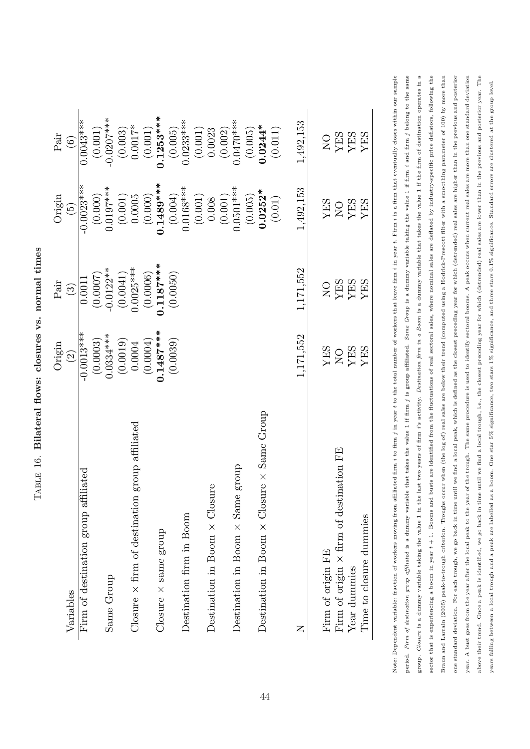|                                                          | Origin                                                                                                                    | $\operatorname{Pair}$                                                                                                                          | Origin                                                                                                                                                                                                                 | $\operatorname{Pair}$                                                                                      |
|----------------------------------------------------------|---------------------------------------------------------------------------------------------------------------------------|------------------------------------------------------------------------------------------------------------------------------------------------|------------------------------------------------------------------------------------------------------------------------------------------------------------------------------------------------------------------------|------------------------------------------------------------------------------------------------------------|
| Variables                                                | $\widehat{c}$                                                                                                             | $\binom{3}{2}$                                                                                                                                 | $\sqrt{9}$                                                                                                                                                                                                             | $\begin{pmatrix} 6 \end{pmatrix}$                                                                          |
| Firm of destination group affiliated                     |                                                                                                                           |                                                                                                                                                |                                                                                                                                                                                                                        |                                                                                                            |
|                                                          |                                                                                                                           |                                                                                                                                                |                                                                                                                                                                                                                        |                                                                                                            |
| Same Group                                               |                                                                                                                           |                                                                                                                                                |                                                                                                                                                                                                                        |                                                                                                            |
|                                                          | $\begin{array}{r} -0.0013*** \ (0.0003) \ 0.0334*** \ (0.0019) \ (0.0019) \ (0.0004) \ (0.0004) \ (0.1487*** \end{array}$ | $\begin{array}{c} 0.0011 \\ (0.0007) \\ -0.0122^{**} \\ (0.0041) \\ 0.0025^{***} \\ (0.0006) \\ (0.0006) \\ \textbf{0.1187^{***}} \end{array}$ | $\begin{array}{r} -0.0023*** \ (0.000) \ (0.0107*** \ (0.011) \ (0.005 \ (0.0005 \ (0.004) \ (0.01489*** \ (0.0168*** \ (0.0168*** \ (0.0101) \ (0.001) \ (0.001) \ (0.001) \ (0.005) \ (0.005) \ (0.005) \end{array}$ | $\begin{array}{r} 0.0043*** \ (0.001) \ -0.0207*** \ -0.0207*** \ (0.003) \ 0.0017* \ (0.001) \end{array}$ |
| group affiliated<br>Closure $\times$ firm of destination |                                                                                                                           |                                                                                                                                                |                                                                                                                                                                                                                        |                                                                                                            |
|                                                          |                                                                                                                           |                                                                                                                                                |                                                                                                                                                                                                                        |                                                                                                            |
| $Closure \times same$ group                              |                                                                                                                           |                                                                                                                                                |                                                                                                                                                                                                                        |                                                                                                            |
|                                                          | (0.0039)                                                                                                                  | (0.0050)                                                                                                                                       |                                                                                                                                                                                                                        | $(0.005)$<br>0.0233***                                                                                     |
| Destination firm in Boom                                 |                                                                                                                           |                                                                                                                                                |                                                                                                                                                                                                                        |                                                                                                            |
|                                                          |                                                                                                                           |                                                                                                                                                |                                                                                                                                                                                                                        | (0.001)                                                                                                    |
| Destination in Boom $\times$ Closure                     |                                                                                                                           |                                                                                                                                                |                                                                                                                                                                                                                        | 0.0023                                                                                                     |
|                                                          |                                                                                                                           |                                                                                                                                                |                                                                                                                                                                                                                        | $(0.002)$<br>$0.0470***$                                                                                   |
| group<br>Destination in Boom $\times$ Same               |                                                                                                                           |                                                                                                                                                |                                                                                                                                                                                                                        |                                                                                                            |
|                                                          |                                                                                                                           |                                                                                                                                                |                                                                                                                                                                                                                        |                                                                                                            |
| Destination in Boom $\times$ Closure $\times$ Same Group |                                                                                                                           |                                                                                                                                                |                                                                                                                                                                                                                        | $(0.005)$<br>0.0244*                                                                                       |
|                                                          |                                                                                                                           |                                                                                                                                                | $(0.01)$                                                                                                                                                                                                               | (0.011)                                                                                                    |
| Z                                                        | 1,171,552                                                                                                                 | 1,171,552                                                                                                                                      | 1,492,153                                                                                                                                                                                                              | 1,492,153                                                                                                  |
| Firm of origin FE                                        |                                                                                                                           |                                                                                                                                                |                                                                                                                                                                                                                        |                                                                                                            |
| Firm of origin $\times$ firm of destination FE           |                                                                                                                           |                                                                                                                                                |                                                                                                                                                                                                                        |                                                                                                            |
| Year dummies                                             | YES<br>NO<br>YES                                                                                                          | NES<br>VES<br>VES<br>VES                                                                                                                       | <b>YES<br/>NO<br/>YES<br/>YES</b>                                                                                                                                                                                      | NHS<br>VHS<br>VHS<br>VHS                                                                                   |
| Time to closure dummies                                  | YES                                                                                                                       |                                                                                                                                                |                                                                                                                                                                                                                        |                                                                                                            |
|                                                          |                                                                                                                           |                                                                                                                                                |                                                                                                                                                                                                                        |                                                                                                            |

sector that is experiencing a boom in year  $t+1$ . Booms and busts are identified from the fluctuations of real sectoral sales, where nominal sales are deflated by industry-specific price deflators, following the Note: Dependent variable: fraction of workers moving from affiliated firm  $i$  to firm  $j$  in year t to the total number of workers that leave firm i in year t. Firm  $i$  is a firm that eventually closes within our sample period. Firm of destination group affiliated is a dummy variable that takes the value 1 if firm j is group affiliated. Same Group is a dummy variable taking the value 1 if firm i and firm j belong to the same group. Closure is a dummy variable taking the value 1 in the last two years of firm i's activity. Destination firm in a Boom is a dummy variable that takes the value 1 if the firm of destination operates in a group. Closure is a dummy variable taking the value 1 in the last two years of firm i's activity. Destination is a dummy variable that takes the value 1 if the firm of destination operates in a Braun and Larrain (2005) peak-to-trough criterion. Troughs occur when (the log of) real sales are below their trend (computed using a Hodrick-Prescott filter with a smoothing parameter of 100) by more than year. A bust goes from the year after the local peak to the year of the trough. The same procedure is used to identify sectoral booms. A peak occurs when current real sales are more than one standard deviation above their trend. Once a peak is identified, we go back in time until we find a local trough, i.e., the closest preceding year for which (detrended) real sales are lower than in the previous and posterior year. The Note: Dependent variable: fraction of workers moving from affiliated firm i to the total number of workers that leave firm i in year t. Firm i is a firm that eventually closes within our sample period. Firm of destination group affiliated is a dummy variable that takes the value 1 if firm i a dummy variable taking the value 1 if firm i and firm i belong to the same one standard deviation. For each trough, we go back in time until we find a local peak, which is defined as the closest preceding year for which (detrended) real sales are higher than in the previous and posterior sector that is experiencing a boom in year  $t+1$ . Booms and busts are identified from the fluctuations of real sectoral sales, where nominal sales are deflated by industry-specific price deflators, following the Braun and Larrain (2005) peak-to-trough criterion. Troughs occur when (the log of) real sales are below their trend (computed using a Hodrick-Prescott filter with a smoothing parameter of 100) by more than one standard deviation. For each trough, we go back in time until we find a local peak, which is defined as the closest preceding year for which (detrended) real sales are higher than in the previous and posterior year. A bust goes from the year after the local peak to the year of the trough. The same procedure is used to identify sectoral booms. A peak occurs when current real sales are more than one standard deviation above their trend. Once a peak is identified, we go back in time until we find a local trough, i.e., the closest preceding year for which (detrended) real sales are lower than in the previous and posterior year. The years falling between a local trough and a peak are labelled as a boom. One star 5% significance, two stars 1% significance, and three stars 0.1% significance. Standard errors are clustered at the group level. years falling between a local trough and a peak are labelled as a boom. One star 5% significance, two stars 1% significance, and three stars 0.1% significance. Standard errors are clustered at the group level.

<span id="page-44-0"></span>TABLE 16. Bilateral flows: closures vs. normal times  $TABLE 16.$  Bilateral flows: closures vs. normal times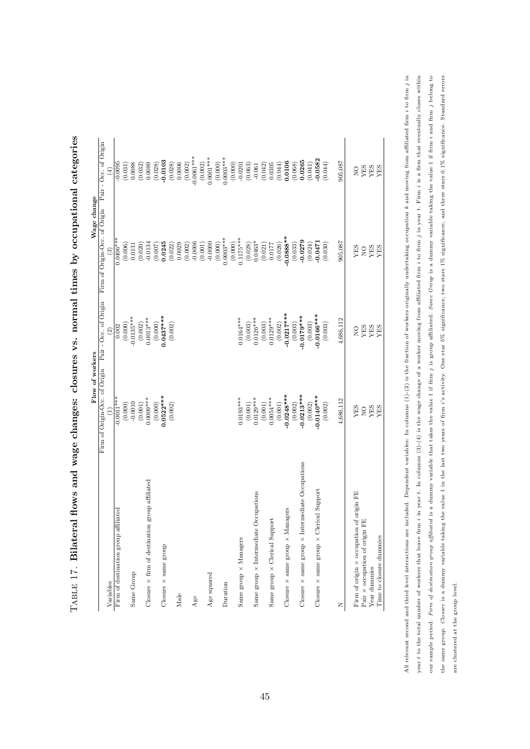|                                                               | Firm of Origin-Occ. of Origin Pair - Occ. of Origin |                          | Firm of Origin-Occ. of Origin | Pair - Occ. of Origin |
|---------------------------------------------------------------|-----------------------------------------------------|--------------------------|-------------------------------|-----------------------|
| Variables                                                     |                                                     | $\widehat{\mathfrak{D}}$ |                               | $\widehat{E}$         |
| Firm of destination group affiliated                          | $-0.0011***$                                        | 0.002                    | $0.0406***$                   | $-0.0095$             |
|                                                               | (0.000)                                             | (0.000)                  | (0.006)                       | (0.031)               |
| Same Group                                                    | $-0.0010$                                           | $-0.0135***$             | 0.0131                        | 0.0088                |
|                                                               | (0.001)                                             | (0.002)                  | (0.020)                       |                       |
| Closure $\times$ firm of destination group affiliated         | $0.0009***$                                         | $0.0013***$              | $-0.0134$                     | $(0.032)$<br>$0.0089$ |
|                                                               | (0.000)                                             | (0.000)                  | (0.007)                       | (0.028)               |
| Closure × same group                                          | $0.0522***$                                         | $0.0437***$              | 0.0245                        | $-0.0103$             |
|                                                               | (0.002)                                             | (0.002)                  | (0.022)                       | (0.028)               |
| Male                                                          |                                                     |                          | 0.0029                        | 0.0006                |
|                                                               |                                                     |                          | (0.002)                       | (0.002)               |
| Age                                                           |                                                     |                          | $-0.0006$                     | $-0.0061***$          |
|                                                               |                                                     |                          | (0.001)                       | (0.002)               |
| Age squared                                                   |                                                     |                          | $-0.0000$                     | $0.0001***$           |
|                                                               |                                                     |                          | (0.000)                       | (0.000)               |
| Duration                                                      |                                                     |                          | $0.0003***$                   | $0.0003***$           |
|                                                               |                                                     |                          | (0.000)                       | (0.000)               |
| Same group × Managers                                         | $0.0193***$                                         | $0.0164***$              | $0.1175***$                   | $-0.0201$             |
|                                                               | (0.001)                                             | (0.003)                  | (0.028)                       | (0.063)               |
| Same group × Intermediate Occupations                         | $0.0129***$                                         | $0.0126***$              | $0.0463*$                     | $-0.061$              |
|                                                               | (0.001)                                             | (0.003)                  | (0.021)                       | (0.042)               |
| Same group × Clerical Support                                 | $0.0054***$                                         | $0.0129***$              | 0.0177                        | 0.0305                |
|                                                               | (0.001)                                             | (0.002)                  | (0.026)                       | (0.044)               |
| Closure $\times$ same group $\times$ Managers                 | $-0.0248***$                                        | $-0.0217***$             | $-0.0888**$                   | 0.0106                |
|                                                               | (0.002)                                             | (0.003)                  | (0.033)                       | (0.068)               |
| Closure $\times$ same group $\times$ Intermediate Occupations | $-0.0213***$                                        | $-0.0179***$             | $-0.0279$                     | 0.0265                |
|                                                               | (0.002)                                             | (0.003)                  | (0.024)                       | (0.041)               |
| Closure $\times$ same group $\times$ Clerical Support         | $-0.0140***$                                        | $-0.0166***$             | $-0.0471$                     | $-0.0582$             |
|                                                               | (0.002)                                             | (0.003)                  | (0.030)                       | (0.044)               |
| z                                                             | 4,686,112                                           | 4,686,112                | 905,087                       | 905,087               |
| Firm of origin × occupation of origin FE                      | <b>YES</b>                                          | $_{\rm N_O}^{\rm O}$     | YES                           | $_{\rm N_O}$          |
| Pair x occupation of origin FE                                | $_{\rm NO}$                                         | YES                      | $_{\rm N}^{\rm O}$            | YES                   |
| Year dummies                                                  | YES                                                 | YES                      | YES                           | <b>YES</b><br>YES     |
| Time to closure dummies                                       | <b>YES</b>                                          | <b>YES</b>               | <b>YES</b>                    |                       |

<span id="page-45-0"></span>TABLE 17. Bilateral flows and wage changes: closures vs. normal times by occupational categories  $_{\rm TABLE}$  17. Bilateral flows and wage changes: closures vs. normal times by occupational categories All relevant second and third level interactions are included. Dependent variables: In columns (1)-(2) is the fraction of workers originally undertaking occupation k and moving from affiliated firm i to firm j in year  $t$  to the total number of workers that leave firm  $i$  in year  $t$ . In columns  $(3)-(4)$  is the wage change of a worker moving from affiliated firm  $i$  to firm  $j$  in year  $t$ . Firm  $i$  is a firm that eventually closes our sample period. Firm of destination group affiliated is a dummy variable that takes the value 1 if firm j is group affiliated. Same Group is a dummy variable taking the value 1 if firm i and firm j belong to the same group. Closure is a dummy variable taking the value 1 in the last two years of firm i's activity. One star 5% significance, two stars 1% significance, and three stars 0.1% significance. Standard errors All relevant second and third level interactions are included. Dependent variables: In columns (1)-(2) is the fraction of workers originally undertaking occupation k and moving from affiliated firm  $i$  to firm j in year t to the total number of workers that leave firm  $i$  in year t. In columns (3)-(4) is the wage change of a worker moving from affiliated firm i to firm  $i$  is a firm that eventually closes within our sample period. Firm of destination group affiliated is a dummy variable that takes the value value value of destination group is a dummy value 1 if firm i and firm j belong to  $j$ the same group. Closure is a dummy variable taking the value 1 in the last two years of firm i's activity. One star 5% significance, two stars 12% significance, and three stars 0.1% significance. Standard errors are clustered at the group level. are clustered at the group level.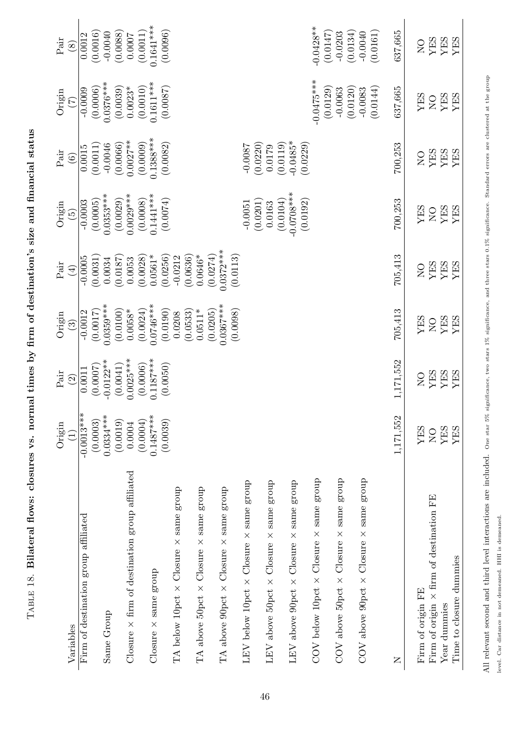<span id="page-46-0"></span>

All relevant second and third level interactions are included. One star 5% significance, two stars 1% significance, and three stars 0.1% significance. Standard errors are clustered at the group All relevant second and third level interactions are included. One star 5% significance, two stars 1% significance, and three stars 0.1% significance. Standard errors are clustered at the group

level. Car distance in not demeaned. HHI is demeaned. level. Car distance in not demeaned. HHI is demeaned.

TABLE 18. Bilateral flows: closures vs. normal times by firm of destination's size and financial status  $_{\rm{TABLE~18.~Bilateral~flows:~classes}$  vs. normal times by firm of destination's size and financial status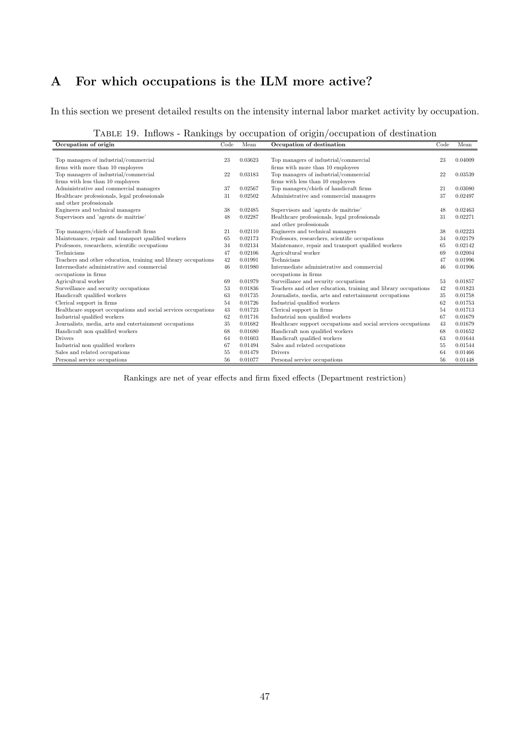# A For which occupations is the ILM more active?

In this section we present detailed results on the intensity internal labor market activity by occupation.

|  |  |  | TABLE 19. Inflows - Rankings by occupation of origin/occupation of destination |  |
|--|--|--|--------------------------------------------------------------------------------|--|
|  |  |  |                                                                                |  |

| Occupation of origin                                           | Code | Mean    | Occupation of destination                                      | Code | Mean    |
|----------------------------------------------------------------|------|---------|----------------------------------------------------------------|------|---------|
|                                                                |      |         |                                                                |      |         |
| Top managers of industrial/commercial                          | 23   | 0.03623 | Top managers of industrial/commercial                          | 23   | 0.04009 |
| firms with more than 10 employees                              |      |         | firms with more than 10 employees                              |      |         |
| Top managers of industrial/commercial                          | 22   | 0.03183 | Top managers of industrial/commercial                          | 22   | 0.03539 |
| firms with less than 10 employees                              |      |         | firms with less than 10 employees                              |      |         |
| Administrative and commercial managers                         | 37   | 0.02567 | Top managers/chiefs of handicraft firms                        | 21   | 0.03080 |
| Healthcare professionals, legal professionals                  | 31   | 0.02502 | Administrative and commercial managers                         | 37   | 0.02497 |
| and other professionals                                        |      |         |                                                                |      |         |
| Engineers and technical managers                               | 38   | 0.02485 | Supervisors and 'agents de maitrise'                           | 48   | 0.02463 |
| Supervisors and 'agents de maitrise'                           | 48   | 0.02287 | Healthcare professionals, legal professionals                  | 31   | 0.02271 |
|                                                                |      |         | and other professionals                                        |      |         |
| Top managers/chiefs of handicraft firms                        | 21   | 0.02110 | Engineers and technical managers                               | 38   | 0.02223 |
| Maintenance, repair and transport qualified workers            | 65   | 0.02173 | Professors, researchers, scientific occupations                | 34   | 0.02179 |
| Professors, researchers, scientific occupations                | 34   | 0.02134 | Maintenance, repair and transport qualified workers            | 65   | 0.02142 |
| <b>Technicians</b>                                             | 47   | 0.02106 | Agricultural worker                                            | 69   | 0.02004 |
| Teachers and other education, training and library occupations | 42   | 0.01991 | Technicians                                                    | 47   | 0.01996 |
| Intermediate administrative and commercial                     | 46   | 0.01980 | Intermediate administrative and commercial                     | 46   | 0.01906 |
| occupations in firms                                           |      |         | occupations in firms                                           |      |         |
| Agricultural worker                                            | 69   | 0.01979 | Surveillance and security occupations                          | 53   | 0.01857 |
| Surveillance and security occupations                          | 53   | 0.01836 | Teachers and other education, training and library occupations | 42   | 0.01823 |
| Handicraft qualified workers                                   | 63   | 0.01735 | Journalists, media, arts and entertainment occupations         | 35   | 0.01758 |
| Clerical support in firms                                      | 54   | 0.01726 | Industrial qualified workers                                   | 62   | 0.01753 |
| Healthcare support occupations and social services occupations | 43   | 0.01723 | Clerical support in firms                                      | 54   | 0.01713 |
| Industrial qualified workers                                   | 62   | 0.01716 | Industrial non qualified workers                               | 67   | 0.01679 |
| Journalists, media, arts and entertainment occupations         | 35   | 0.01682 | Healthcare support occupations and social services occupations | 43   | 0.01679 |
| Handicraft non qualified workers                               | 68   | 0.01680 | Handicraft non qualified workers                               | 68   | 0.01652 |
| <b>Drivers</b>                                                 | 64   | 0.01603 | Handicraft qualified workers                                   | 63   | 0.01644 |
| Industrial non qualified workers                               | 67   | 0.01494 | Sales and related occupations                                  | 55   | 0.01544 |
| Sales and related occupations                                  | 55   | 0.01479 | <b>Drivers</b>                                                 | 64   | 0.01466 |
| Personal service occupations                                   | 56   | 0.01077 | Personal service occupations                                   | 56   | 0.01448 |

Rankings are net of year effects and firm fixed effects (Department restriction)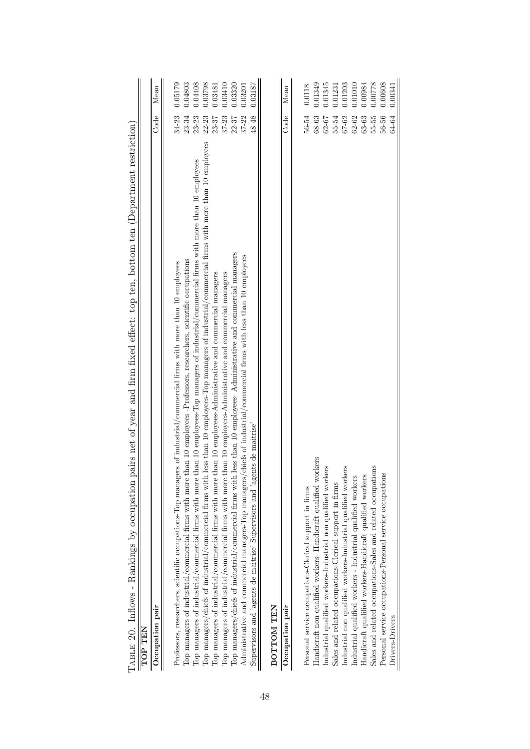| pairs net of year and firm fixed effect: top ten, bottom ten (Department restriction)<br>TABLE 20. Inflows - Rankings by occupation 1                  |           |                                 |
|--------------------------------------------------------------------------------------------------------------------------------------------------------|-----------|---------------------------------|
| TOP TEN                                                                                                                                                |           |                                 |
| Occupation pair                                                                                                                                        | Code      | Mean                            |
|                                                                                                                                                        |           |                                 |
| Professors, researchers, scientific occupations-Top managers of industrial/commercial firms with more than 10 employees                                | 34-23     | 0.05179                         |
| Top managers of industrial/commercial firms with more than 10 employees -Professors, researchers, scientific occupations                               | 23-34     | 0.04803                         |
| Top managers of industrial/commercial firms with more than 10 employees-Top managers of industrial/commercial firms with more than 10 employees        | $23 - 23$ | 0.04408                         |
| Top managers/chiefs of industrial/commercial firms with less than 10 employees-Top managers of industrial/commercial firms with more than 10 employees | $22 - 23$ | 0.03798                         |
| Top managers of industrial/commercial firms with more than 10 employees-Administrative and commercial managers                                         | 23-37     | 0.03481                         |
| than 10 employees-Administrative and commercial managers<br>Top managers of industrial/commercial firms with more                                      | $37 - 23$ | 0.03410                         |
| Top managers/chiefs of industrial/commercial firms with less than 10 employees- Administrative and commercial managers                                 | $22 - 37$ | 0.03320                         |
| chiefs of industrial/commercial firms with less than 10 employees<br>Administrative and commercial managers-Top managers/                              | $37 - 22$ | 0.03201                         |
| Supervisors and 'agents de maitrise'-Supervisors and 'agents de maitrise'                                                                              | 48-48     | 0.03187                         |
| BOTTOM TEN                                                                                                                                             |           |                                 |
| Occupation pair                                                                                                                                        | Code      | $\label{eq:mean} \mathbf{Mean}$ |
|                                                                                                                                                        |           |                                 |
| Personal service occupations-Clerical support in firms                                                                                                 | 56-54     | 0.0118                          |
| Handicraft non qualified workers- Handicraft qualified workers                                                                                         | 68-63     | 0.01349                         |
| Industrial qualified workers-Industrial non qualified workers                                                                                          | 62-67     | 0.01345                         |
| Sales and related occupations-Clerical support in firms                                                                                                | $55 - 54$ | 0.01231                         |
| Industrial non qualified workers-Industrial qualified workers                                                                                          | 67-62     | 0.01203                         |
| Industrial qualified workers - Industrial qualified workers                                                                                            | $62 - 62$ | 0.01010                         |
| Handicraft qualified workers-Handicraft qualified workers                                                                                              | $63 - 63$ | 1.00984                         |
| Sales and related occupations-Sales and related occupations                                                                                            | $55 - 55$ | 0.00778                         |
| Personal service occupations-Personal service occupations                                                                                              | 56-56     | 0.00608                         |
| Drivers-Drivers                                                                                                                                        | 64-64     | 0.00341                         |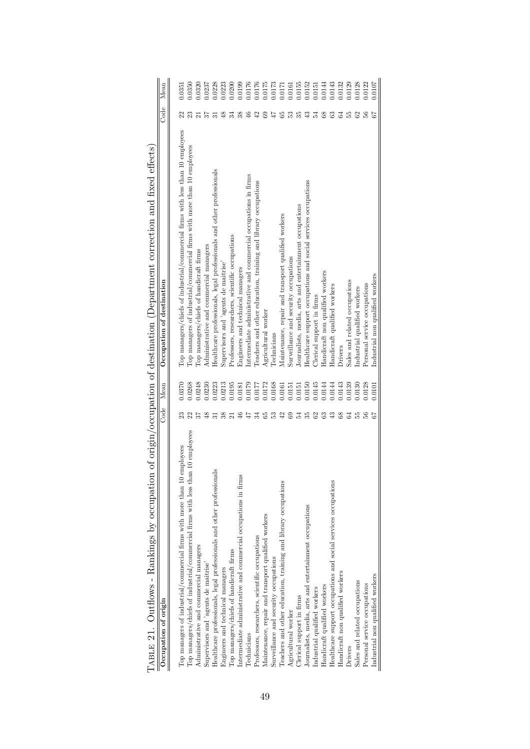| TABLE 21. Outflows - Rankings by occupation of origin/occupation of destination (Department correction and fixed effects) |                 |        |                                                                                |      |        |
|---------------------------------------------------------------------------------------------------------------------------|-----------------|--------|--------------------------------------------------------------------------------|------|--------|
| Occupation of origin                                                                                                      | Code            | Mean   | Occupation of destination                                                      | Code | Mean   |
|                                                                                                                           |                 |        |                                                                                |      |        |
| employees<br>Top managers of industrial/commercial firms with more than 10                                                |                 | 0.0370 | Top managers/chiefs of industrial/commercial firms with less than 10 employees |      | 0.0351 |
| Top managers/chiefs of industrial/commercial firms with less than 10 employees                                            |                 | 0.0268 | Top managers of industrial/commercial firms with more than 10 employees        |      | 0.0350 |
| Administrative and commercial managers                                                                                    |                 | 0.248  | Top managers/chiefs of handicraft firms                                        |      | 0.0320 |
| Supervisors and 'agents de maitrise'                                                                                      | 48              | 0.0230 | Administrative and commercial managers                                         |      | 0.0237 |
| Healthcare professionals, legal professionals and other professionals                                                     | ಸ               | 0.0223 | Healthcare professionals, legal professionals and other professionals          |      | 0.0228 |
| Engineers and technical managers                                                                                          | 38              | 0.0213 | Supervisors and 'agents de maitrise'                                           |      | 0.0223 |
| Top managers/chiefs of handicraft firms                                                                                   | ಸ               | 0.0195 | Professors, researchers, scientific occupations                                |      | 0.0200 |
| Intermediate administrative and commercial occupations in firms                                                           | $\frac{6}{5}$   | 0.0181 | Engineers and technical managers                                               |      | 0.0199 |
| Technicians                                                                                                               | 47              | 0.0179 | Intermediate administrative and commercial occupations in firms                |      | 0.0176 |
| Professors, researchers, scientific occupations                                                                           | ಸ               | 0.0177 | Teachers and other education, training and library occupations                 |      | 0.0176 |
| Maintenance, repair and transport qualified workers                                                                       | 65              | 0.0172 | Agricultural worker                                                            |      | 0.0175 |
| Surveillance and security occupations                                                                                     | ಣ               | 0.0168 | Technicians                                                                    |      | 0.0173 |
| Teachers and other education, training and library occupations                                                            | $\overline{42}$ | 0.0161 | Maintenance, repair and transport qualified workers                            |      | 0.0171 |
| Agricultural worker                                                                                                       |                 | 0.0151 | Surveillance and security occupations                                          |      | 0.0161 |
| Clerical support in firms                                                                                                 | 54              | 0.0151 | Journalists, media, arts and entertainment occupations                         |      | 0.0155 |
| Journalists, media, arts and entertainment occupations                                                                    | 35              | 0.0150 | Healthcare support occupations and social services occupations                 |      | 0.0152 |
| Industrial qualified workers                                                                                              | 62              | 0.0145 | Clerical support in firms                                                      |      | 0.0151 |
| Handicraft qualified workers                                                                                              | 3               | 0.0144 | Handicraft non qualified workers                                               |      | 0.0144 |
| Healthcare support occupations and social services occupations                                                            | ₽               | 0.0144 | Handicraft qualified workers                                                   |      | 0.0143 |
| Handicraft non qualified workers                                                                                          | 68              | 0.0143 | Drivers                                                                        |      | 0.0132 |
| Drivers                                                                                                                   | 3               | 0.0139 | Sales and related occupations                                                  |      | 0.0129 |
| Sales and related occupations                                                                                             |                 | 0.0130 | Industrial qualified workers                                                   |      | 0.0128 |
| Personal service occupations                                                                                              | 56              | 0.0128 | Personal service occupations                                                   |      | 0.0122 |
| Industrial non qualified workers                                                                                          | 67              | 0.0101 | Industrial non qualified workers                                               | 57   | 0.0107 |
|                                                                                                                           |                 |        |                                                                                |      |        |

| i<br>くくし<br>Ì                                                                                                                      |
|------------------------------------------------------------------------------------------------------------------------------------|
| ĺ                                                                                                                                  |
| i                                                                                                                                  |
|                                                                                                                                    |
| てつき サーバ cred cred created サミクラ<br>j<br>١                                                                                           |
| יש בבכבב של המונח המונח המונח המונח המונח המונח המונח המונח המונח המונח המונח המונח המונח המונח המונח המונח המ<br>י<br>י<br>l<br>ĺ |
| ֚֡֬ <u>֚</u>                                                                                                                       |
| <br> <br> <br> <br>$\frac{1}{2}$                                                                                                   |
|                                                                                                                                    |
| i<br>S<br>֖֖֧֖֧֧֪ׅ֧֧֧֚֚֚֚֚֚֚֚֚֚֚֚֚֚֚֚֚֡֝֝֓֝֓֝֬֝֓֬֝֬֝֓֝֬֝֓֝֬֝֬֝֓֬֝֬֝֓֝֬֝֬֝֬֝֬                                                       |
|                                                                                                                                    |
| )<br> }<br> }<br>j                                                                                                                 |
| i<br>֧֦֖֦֦֧֧֧֧֛֛֛֛֛֛֚֚֚֚֞֝֝֝֝֬֝֬֝֓֝֬֝֓֝֬֝֓֝֬֝֬֝֬֜֜<br>֧֪֖֧ׅ֖֧ׅ֧֧ׅ֧ׅ֧֛֚֚֚֚֚֚֚֚֚֚֚֚֚֚֚֚֚֚֚֚֝֝֬֩<br>١<br>$\overline{ }$               |
|                                                                                                                                    |
| - Ne Oceanorthough Original Catalogue<br>j<br>Í<br>١                                                                               |
| Í<br>⋾<br>٦                                                                                                                        |
| ,<br>i<br>י<br>J<br>֖֖֖֧ׅׅׅׅ֧ׅׅ֖֧ׅ֖֧֖֧ׅ֧ׅ֖֧֪֧֪ׅׅ֪֧֪ׅ֧֪ׅ֧ׅ֧ׅ֧֪ׅ֧֪ׅ֧֚֚֚֚֚֚֚֚֚֚֚֚֚֚֚֚֚֚֚֚֚֚֚֚֚֚֚֚֚֬֕֕֝֝֬֝֬֝֬֝֬֝֬֝֬֝֬<br>I<br>ׇ֚֡      |
|                                                                                                                                    |
| I<br>l<br>I                                                                                                                        |
| ֕                                                                                                                                  |
| ׇׇ֚֕֡<br>֕<br>I<br>֕<br>֖֦֚֚֚֚֚֚֚֚֚֚֚֚֚֚֚֚֚֞֝֝֡֡֡֡֡֡֡֡֡֡֡֬֝֬֞֓֡֡֡֡֬֝֓֞֓֡֬֝֓֞֬֝֓֞֓֡֬֝֬֞֓֞֬֝֓֞֬֝֓֞֬֝֓֞֬֝֓֞֬֝֬֝֬<br>í                 |
| ׇ֚֕֕                                                                                                                               |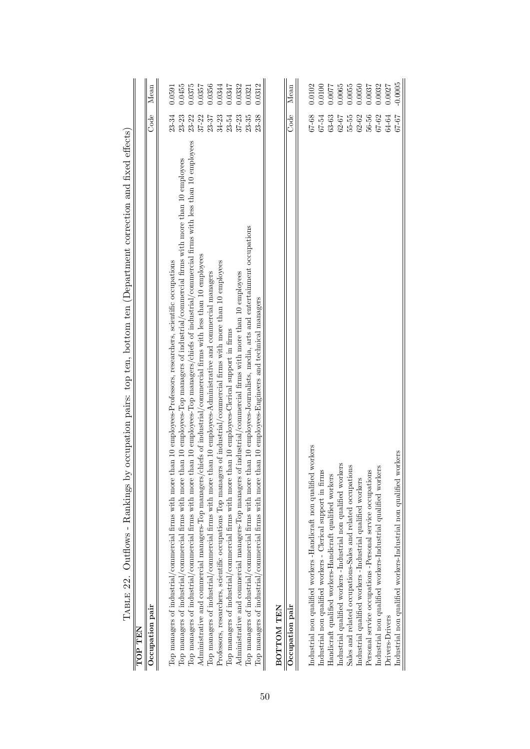| TABLE 22. Outflows - Rankings by occupation pairs: top ten, bottom ten (Department correction and fixed effects)                                         |           |        |
|----------------------------------------------------------------------------------------------------------------------------------------------------------|-----------|--------|
| TOP TEN                                                                                                                                                  |           |        |
| Occupation pair                                                                                                                                          | Code      | Mean   |
|                                                                                                                                                          |           |        |
| Top managers of industrial/commercial firms with more than 10 employees-Professors, researchers, scientific occupations                                  | 23-34     | 0.591  |
| Top managers of industrial/commercial firms with more than 10 employees-Top managers of industrial/commercial firms with more than 10 employees          | $23 - 23$ | 0.0455 |
| han 10 employees-Top managers/chiefs of industrial/commercial firms with less than 10 employees<br>Top managers of industrial/commercial firms with more | 23-22     | 0.375  |
| chiefs of industrial/commercial firms with less than 10 employees<br>Administrative and commercial managers-Top managers/                                | $37 - 22$ | 0.0357 |
| Top managers of industrial/commercial firms with more than 10 employees-Administrative and commercial managers                                           | 23-37     | 0.0356 |
| Professors, researchers, scientific occupations Top managers of industrial/commercial firms with more than 10 employees                                  | $34-23$   | 0344   |
| Top managers of industrial/commercial firms with more than 10 employees-Clerical support in firms                                                        | 23-54     | 1.0347 |
| of industrial/commercial firms with more than 10 employees<br>Administrative and commercial managers-Top managers                                        | $37 - 23$ | 0.332  |
| than 10 employees-Journalists, media, arts and entertainment occupations<br>Top managers of industrial/commercial firms with more                        | $23 - 35$ | 0.0321 |
| Top managers of industrial/commercial firms with more than 10 employees-Engineers and technical managers                                                 | 23-38     | 0.0312 |
| BOTTOM TEN                                                                                                                                               |           |        |
|                                                                                                                                                          |           |        |
| Occupation pair                                                                                                                                          | Code      | Mean   |
|                                                                                                                                                          |           |        |
| Industrial non qualified workers -Handicraft non qualified workers                                                                                       | 67-68     | 0.0102 |
| Industrial non qualified workers - Clerical support in firms                                                                                             | 67-54     | 0.0100 |
| Handicraft qualified workers-Handicraft qualified workers                                                                                                | 63-63     | 0.0077 |
| Industrial qualified workers -Industrial non qualified workers                                                                                           | 62-67     | 0.0065 |
| Sales and related occupations-Sales and related occupations                                                                                              | $55 - 55$ | 0.0055 |
| Industrial qualified workers -Industrial qualified workers                                                                                               | $62 - 62$ | 0.0050 |
| Personal service occupations -Personal service occupations                                                                                               | 56-56     | 0.0037 |
| Industrial non qualified workers-Industrial qualified workers                                                                                            | 67-62     | 0.0032 |
| Drivers-Drivers                                                                                                                                          | 64-64     | 0.0027 |
| Industrial non qualified workers-Industrial non qualified workers                                                                                        | 57-67     | 0.0005 |

50